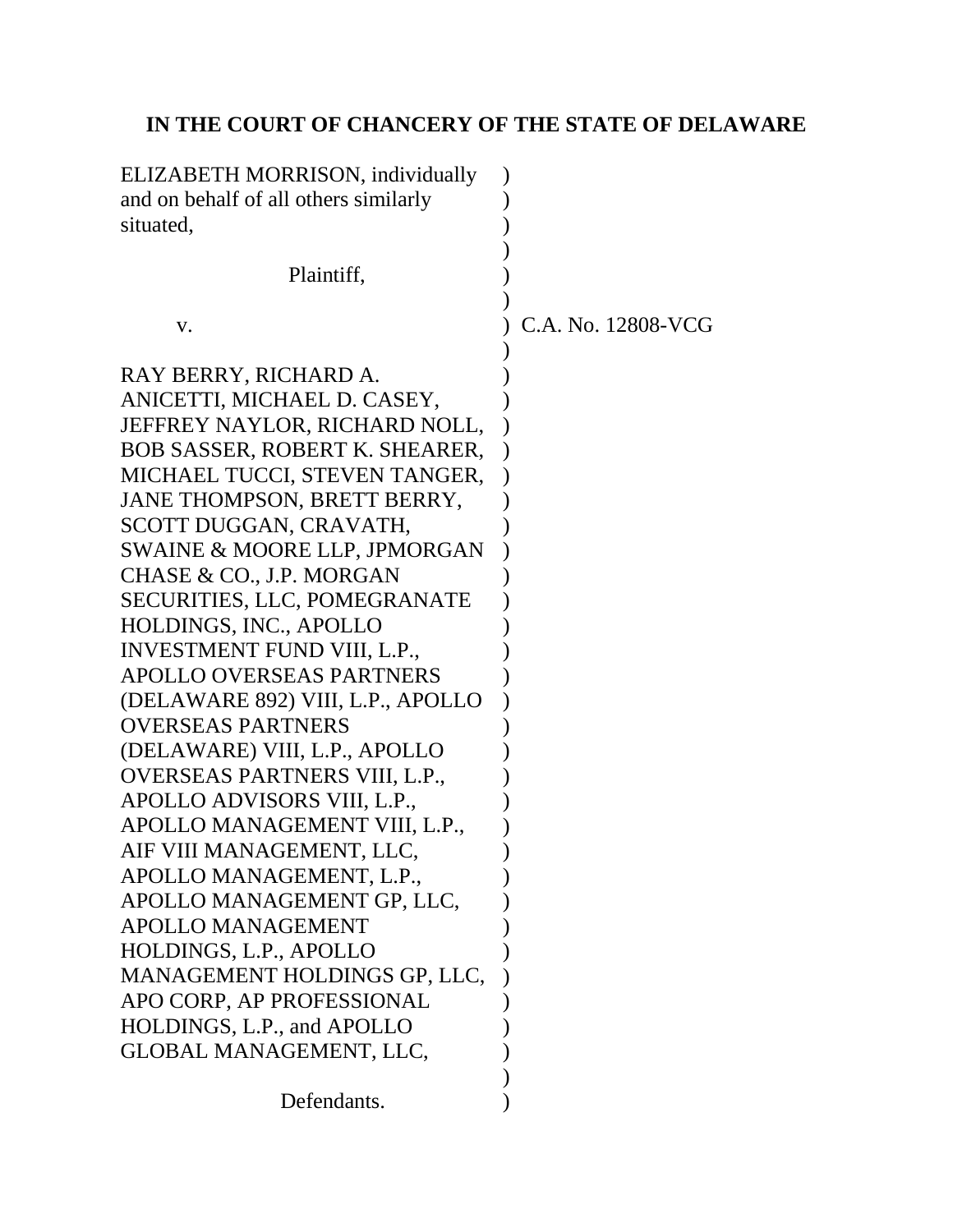# **IN THE COURT OF CHANCERY OF THE STATE OF DELAWARE**

| ELIZABETH MORRISON, individually        |                    |
|-----------------------------------------|--------------------|
| and on behalf of all others similarly   |                    |
| situated,                               |                    |
|                                         |                    |
| Plaintiff,                              |                    |
|                                         |                    |
| V.                                      | C.A. No. 12808-VCG |
|                                         |                    |
| RAY BERRY, RICHARD A.                   |                    |
| ANICETTI, MICHAEL D. CASEY,             |                    |
| JEFFREY NAYLOR, RICHARD NOLL,           |                    |
| <b>BOB SASSER, ROBERT K. SHEARER,</b>   |                    |
| MICHAEL TUCCI, STEVEN TANGER,           |                    |
| JANE THOMPSON, BRETT BERRY,             |                    |
| SCOTT DUGGAN, CRAVATH,                  |                    |
| <b>SWAINE &amp; MOORE LLP, JPMORGAN</b> |                    |
| CHASE & CO., J.P. MORGAN                |                    |
| SECURITIES, LLC, POMEGRANATE            |                    |
| HOLDINGS, INC., APOLLO                  |                    |
| <b>INVESTMENT FUND VIII, L.P.,</b>      |                    |
| <b>APOLLO OVERSEAS PARTNERS</b>         |                    |
| (DELAWARE 892) VIII, L.P., APOLLO       |                    |
| <b>OVERSEAS PARTNERS</b>                |                    |
| (DELAWARE) VIII, L.P., APOLLO           |                    |
| OVERSEAS PARTNERS VIII, L.P.,           |                    |
| APOLLO ADVISORS VIII, L.P.,             |                    |
| APOLLO MANAGEMENT VIII, L.P.,           |                    |
| AIF VIII MANAGEMENT, LLC                |                    |
| APOLLO MANAGEMENT, L.P.,                |                    |
| APOLLO MANAGEMENT GP, LLC,              |                    |
| <b>APOLLO MANAGEMENT</b>                |                    |
| HOLDINGS, L.P., APOLLO                  |                    |
| MANAGEMENT HOLDINGS GP, LLC,            |                    |
| APO CORP, AP PROFESSIONAL               |                    |
| HOLDINGS, L.P., and APOLLO              |                    |
| GLOBAL MANAGEMENT, LLC,                 |                    |
|                                         |                    |
| Defendants.                             |                    |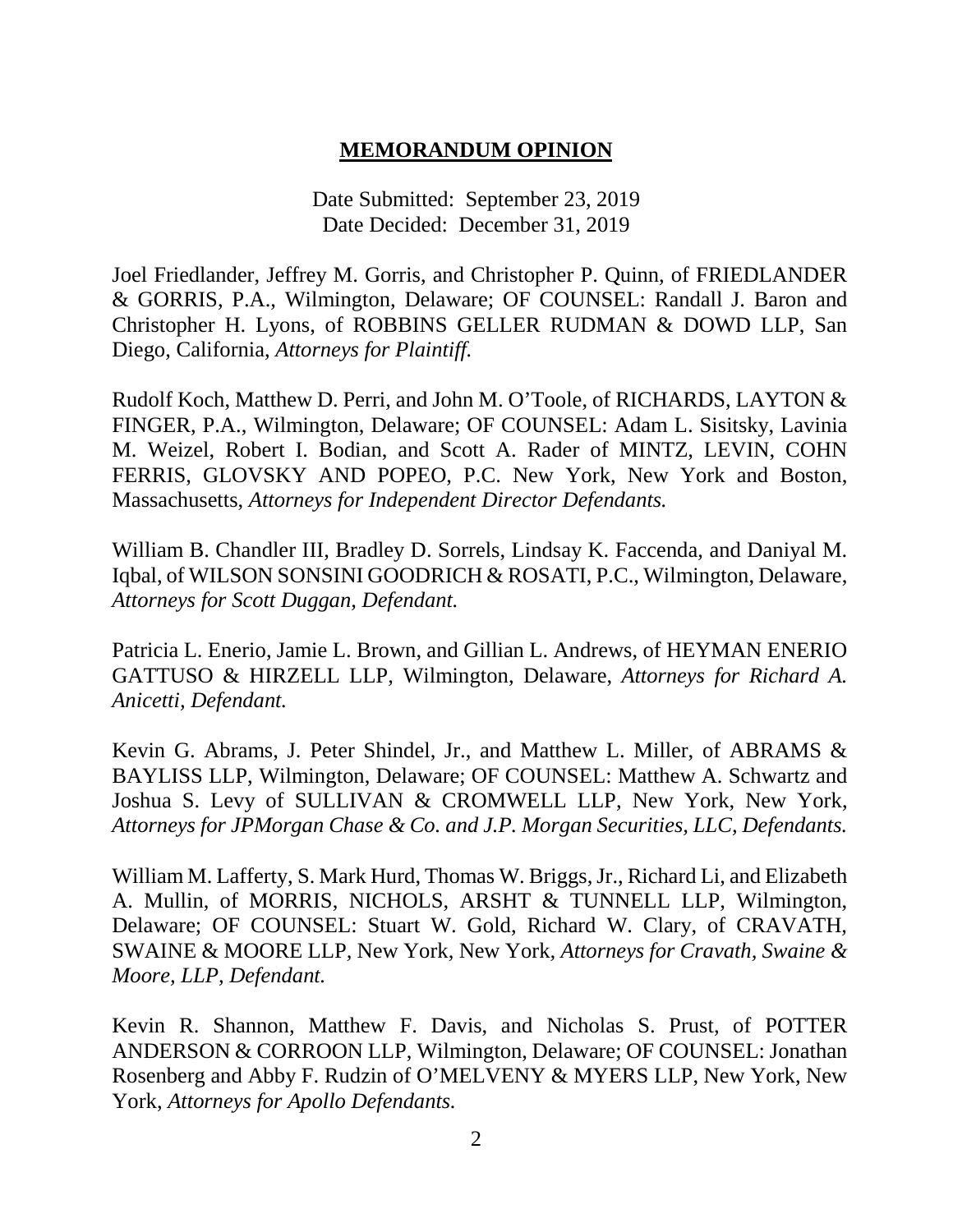### **MEMORANDUM OPINION**

Date Submitted: September 23, 2019 Date Decided: December 31, 2019

Joel Friedlander, Jeffrey M. Gorris, and Christopher P. Quinn, of FRIEDLANDER & GORRIS, P.A., Wilmington, Delaware; OF COUNSEL: Randall J. Baron and Christopher H. Lyons, of ROBBINS GELLER RUDMAN & DOWD LLP, San Diego, California, *Attorneys for Plaintiff.*

Rudolf Koch, Matthew D. Perri, and John M. O'Toole, of RICHARDS, LAYTON & FINGER, P.A., Wilmington, Delaware; OF COUNSEL: Adam L. Sisitsky, Lavinia M. Weizel, Robert I. Bodian, and Scott A. Rader of MINTZ, LEVIN, COHN FERRIS, GLOVSKY AND POPEO, P.C. New York, New York and Boston, Massachusetts, *Attorneys for Independent Director Defendants.*

William B. Chandler III, Bradley D. Sorrels, Lindsay K. Faccenda, and Daniyal M. Iqbal, of WILSON SONSINI GOODRICH & ROSATI, P.C., Wilmington, Delaware, *Attorneys for Scott Duggan, Defendant.*

Patricia L. Enerio, Jamie L. Brown, and Gillian L. Andrews, of HEYMAN ENERIO GATTUSO & HIRZELL LLP, Wilmington, Delaware, *Attorneys for Richard A. Anicetti, Defendant.*

Kevin G. Abrams, J. Peter Shindel, Jr., and Matthew L. Miller, of ABRAMS & BAYLISS LLP, Wilmington, Delaware; OF COUNSEL: Matthew A. Schwartz and Joshua S. Levy of SULLIVAN & CROMWELL LLP, New York, New York, *Attorneys for JPMorgan Chase & Co. and J.P. Morgan Securities, LLC, Defendants.*

William M. Lafferty, S. Mark Hurd, Thomas W. Briggs, Jr., Richard Li, and Elizabeth A. Mullin, of MORRIS, NICHOLS, ARSHT & TUNNELL LLP, Wilmington, Delaware; OF COUNSEL: Stuart W. Gold, Richard W. Clary, of CRAVATH, SWAINE & MOORE LLP*,* New York, New York*, Attorneys for Cravath, Swaine & Moore, LLP, Defendant.*

Kevin R. Shannon, Matthew F. Davis, and Nicholas S. Prust, of POTTER ANDERSON & CORROON LLP, Wilmington, Delaware; OF COUNSEL: Jonathan Rosenberg and Abby F. Rudzin of O'MELVENY & MYERS LLP, New York, New York, *Attorneys for Apollo Defendants.*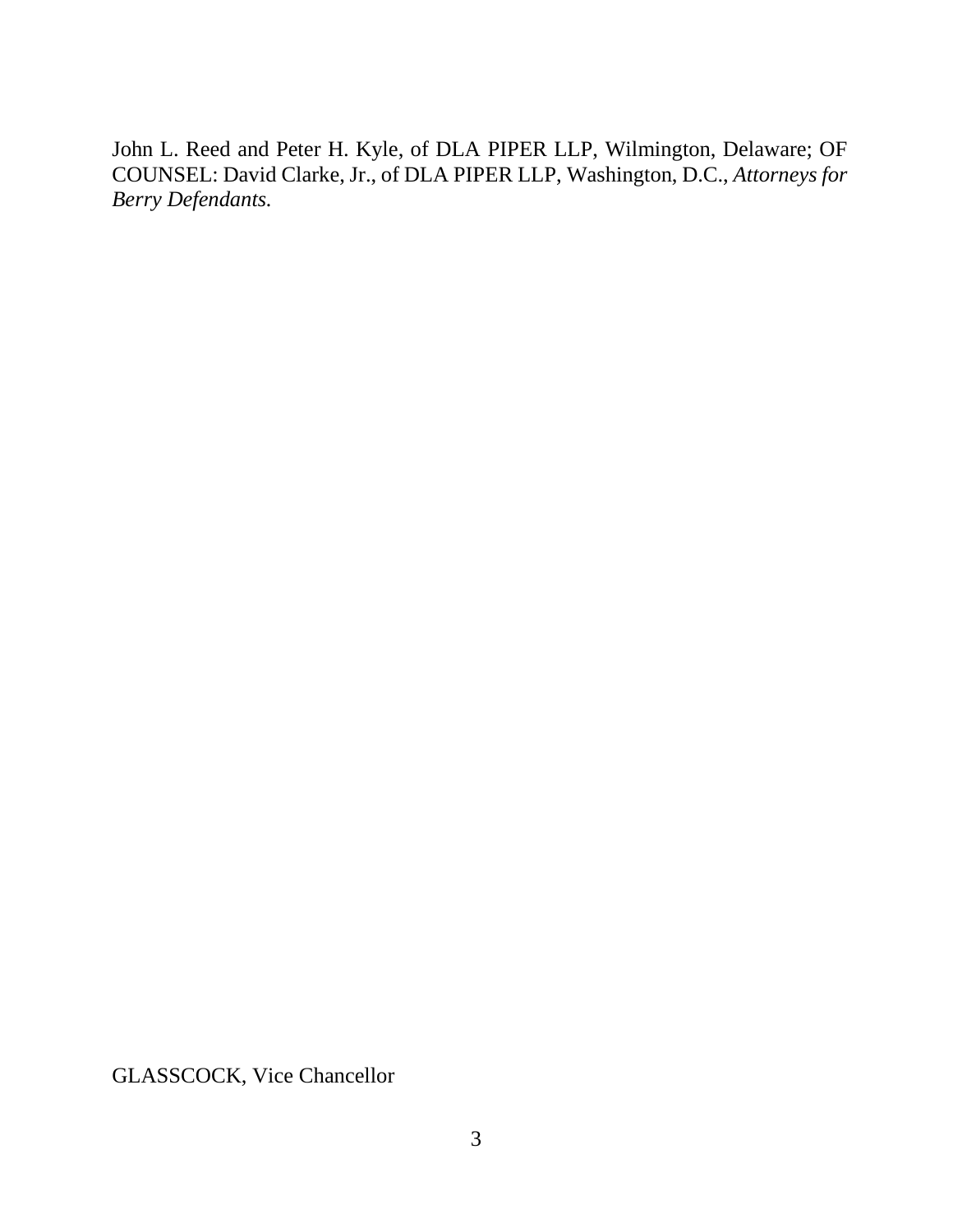John L. Reed and Peter H. Kyle, of DLA PIPER LLP, Wilmington, Delaware; OF COUNSEL: David Clarke, Jr., of DLA PIPER LLP, Washington, D.C., *Attorneys for Berry Defendants.*

GLASSCOCK, Vice Chancellor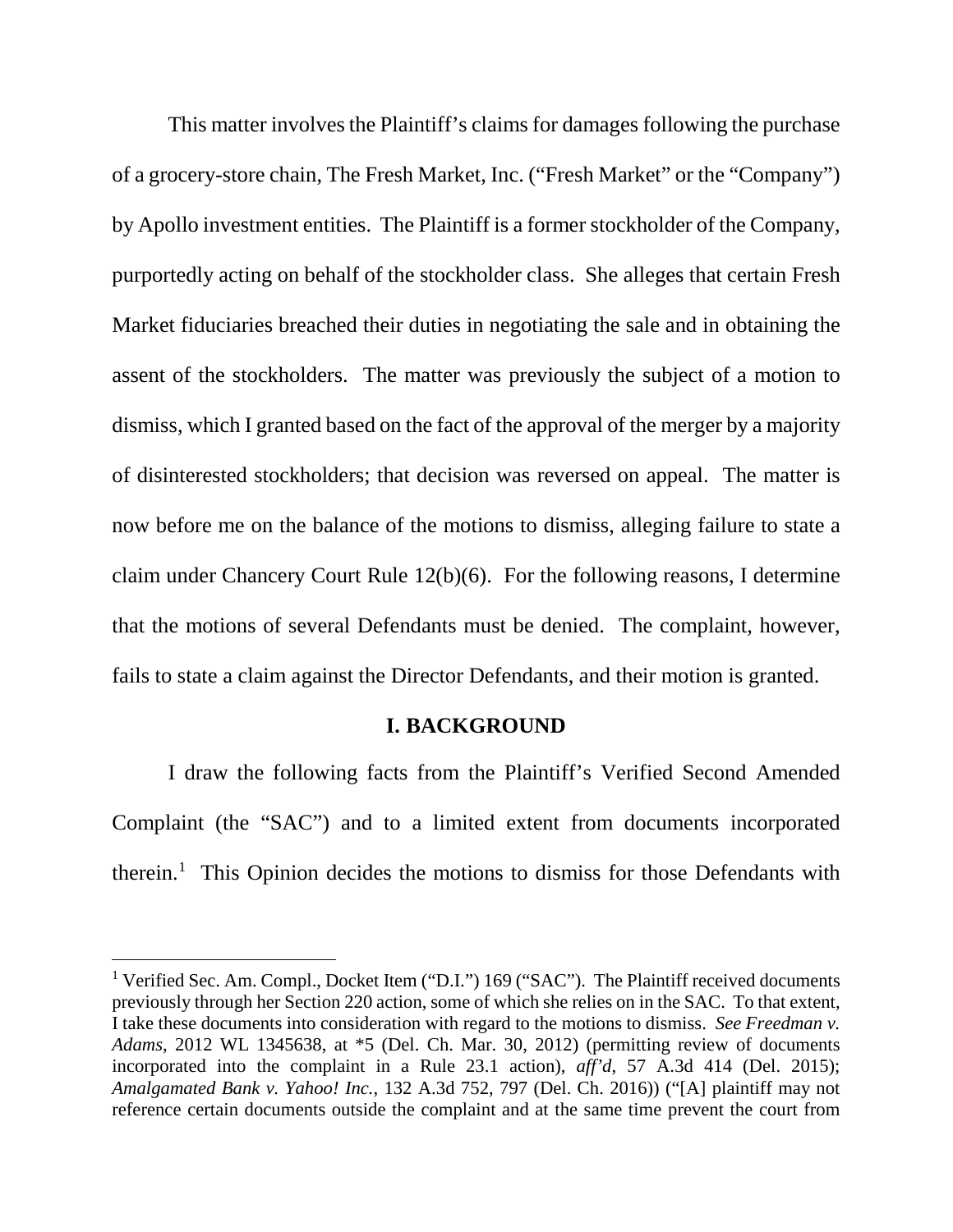This matter involves the Plaintiff's claims for damages following the purchase of a grocery-store chain, The Fresh Market, Inc. ("Fresh Market" or the "Company") by Apollo investment entities. The Plaintiff is a former stockholder of the Company, purportedly acting on behalf of the stockholder class. She alleges that certain Fresh Market fiduciaries breached their duties in negotiating the sale and in obtaining the assent of the stockholders. The matter was previously the subject of a motion to dismiss, which I granted based on the fact of the approval of the merger by a majority of disinterested stockholders; that decision was reversed on appeal. The matter is now before me on the balance of the motions to dismiss, alleging failure to state a claim under Chancery Court Rule 12(b)(6). For the following reasons, I determine that the motions of several Defendants must be denied. The complaint, however, fails to state a claim against the Director Defendants, and their motion is granted.

#### **I. BACKGROUND**

I draw the following facts from the Plaintiff's Verified Second Amended Complaint (the "SAC") and to a limited extent from documents incorporated therein.<sup>1</sup> This Opinion decides the motions to dismiss for those Defendants with

<sup>&</sup>lt;sup>1</sup> Verified Sec. Am. Compl., Docket Item ("D.I.") 169 ("SAC"). The Plaintiff received documents previously through her Section 220 action, some of which she relies on in the SAC. To that extent, I take these documents into consideration with regard to the motions to dismiss. *See Freedman v. Adams*, 2012 WL 1345638, at \*5 (Del. Ch. Mar. 30, 2012) (permitting review of documents incorporated into the complaint in a Rule 23.1 action), *aff'd*, 57 A.3d 414 (Del. 2015); *Amalgamated Bank v. Yahoo! Inc.*, 132 A.3d 752, 797 (Del. Ch. 2016)) ("[A] plaintiff may not reference certain documents outside the complaint and at the same time prevent the court from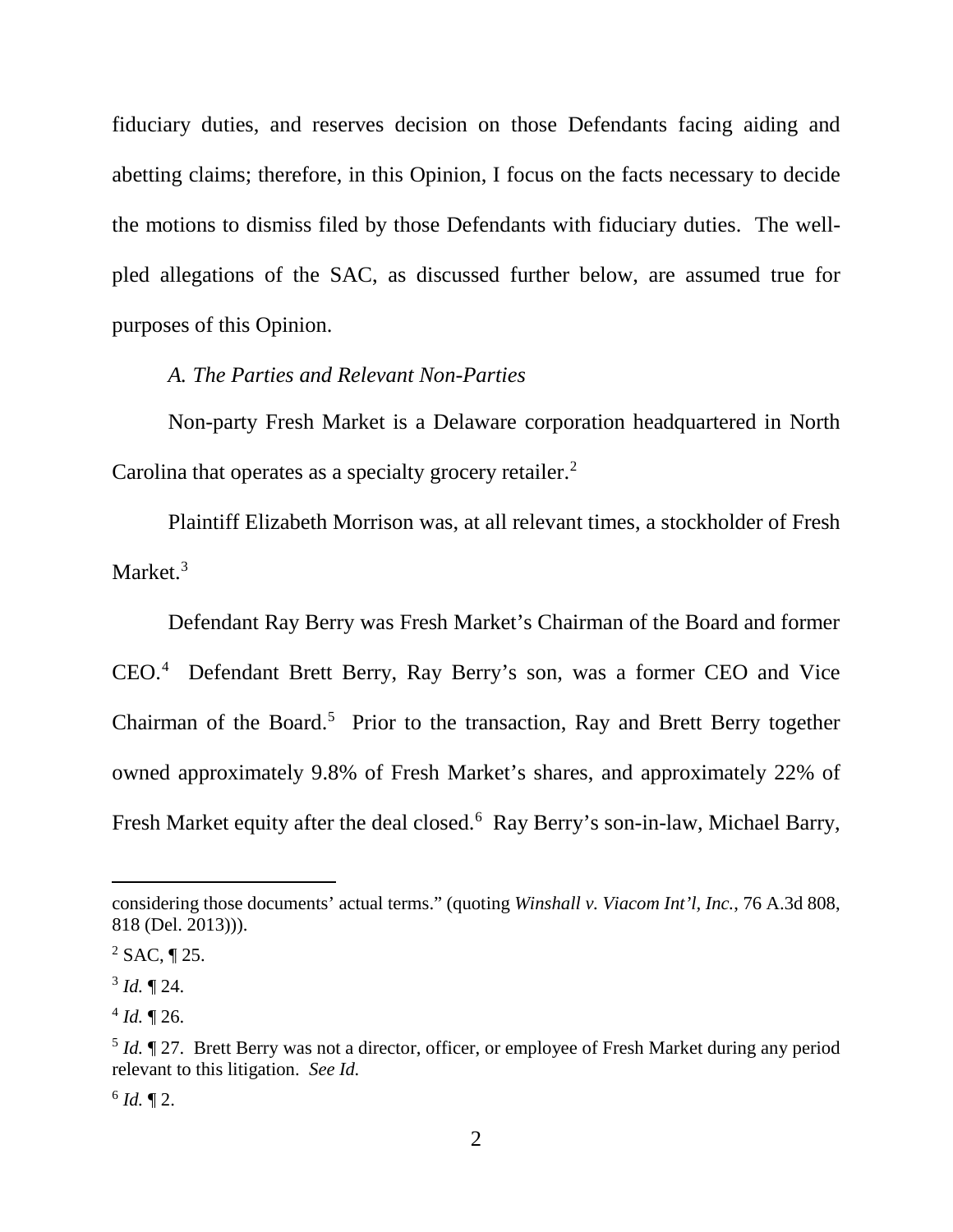fiduciary duties, and reserves decision on those Defendants facing aiding and abetting claims; therefore, in this Opinion, I focus on the facts necessary to decide the motions to dismiss filed by those Defendants with fiduciary duties. The wellpled allegations of the SAC, as discussed further below, are assumed true for purposes of this Opinion.

### *A. The Parties and Relevant Non-Parties*

Non-party Fresh Market is a Delaware corporation headquartered in North Carolina that operates as a specialty grocery retailer.<sup>2</sup>

Plaintiff Elizabeth Morrison was, at all relevant times, a stockholder of Fresh Market.<sup>3</sup>

Defendant Ray Berry was Fresh Market's Chairman of the Board and former CEO.4 Defendant Brett Berry, Ray Berry's son, was a former CEO and Vice Chairman of the Board.<sup>5</sup> Prior to the transaction, Ray and Brett Berry together owned approximately 9.8% of Fresh Market's shares, and approximately 22% of Fresh Market equity after the deal closed.<sup>6</sup> Ray Berry's son-in-law, Michael Barry,

 $\overline{a}$ 

considering those documents' actual terms." (quoting *Winshall v. Viacom Int'l, Inc.*, 76 A.3d 808, 818 (Del. 2013))).

 $^{2}$  SAC, ¶ 25.

 $3$  *Id.*  $\P$  24.

 $4$  *Id.*  $\P$  26.

<sup>&</sup>lt;sup>5</sup> *Id.*  $\sqrt{27}$ . Brett Berry was not a director, officer, or employee of Fresh Market during any period relevant to this litigation. *See Id.*

 $6$  *Id.* 12.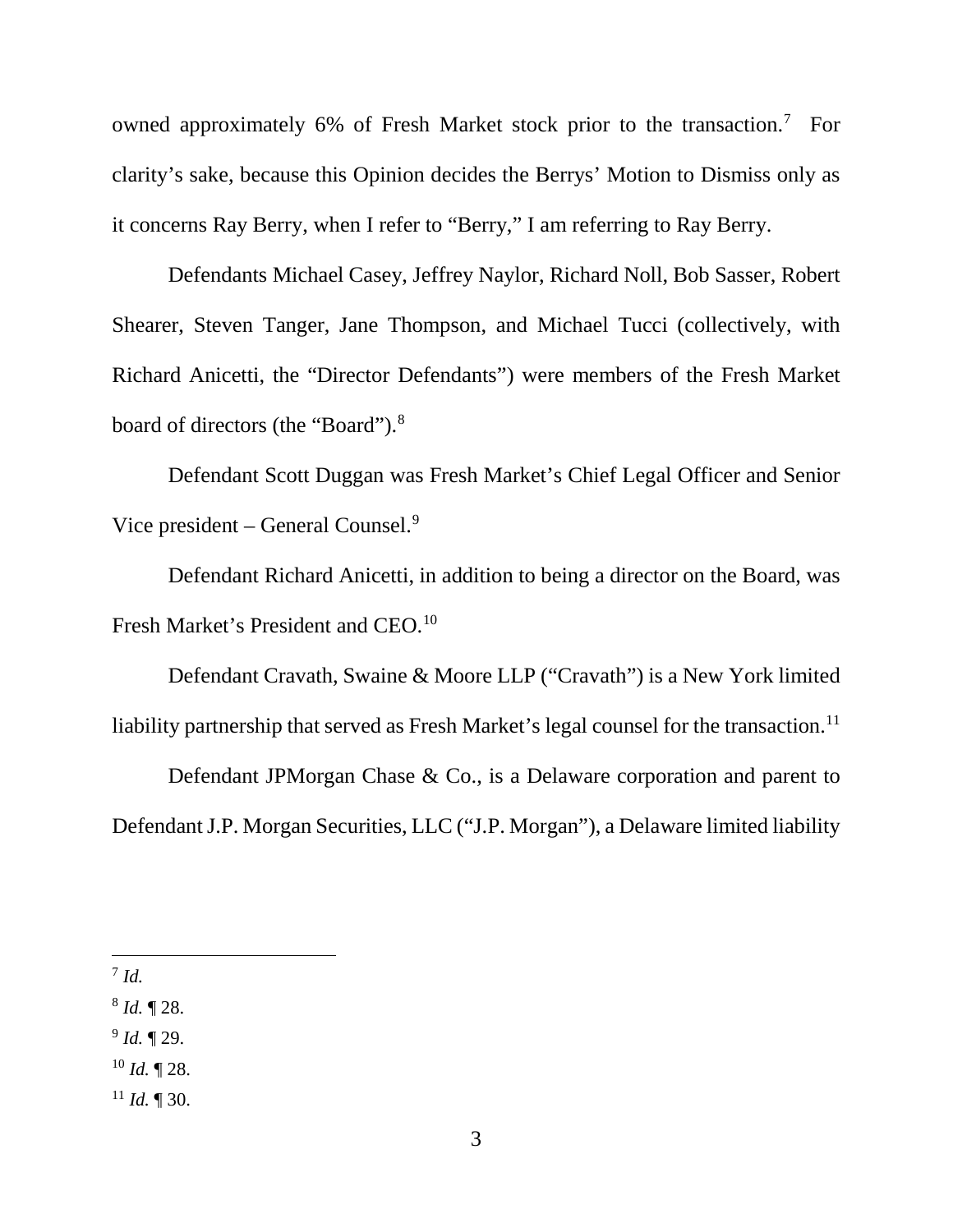owned approximately 6% of Fresh Market stock prior to the transaction.<sup>7</sup> For clarity's sake, because this Opinion decides the Berrys' Motion to Dismiss only as it concerns Ray Berry, when I refer to "Berry," I am referring to Ray Berry.

Defendants Michael Casey, Jeffrey Naylor, Richard Noll, Bob Sasser, Robert Shearer, Steven Tanger, Jane Thompson, and Michael Tucci (collectively, with Richard Anicetti, the "Director Defendants") were members of the Fresh Market board of directors (the "Board").8

Defendant Scott Duggan was Fresh Market's Chief Legal Officer and Senior Vice president – General Counsel. $9$ 

Defendant Richard Anicetti, in addition to being a director on the Board, was Fresh Market's President and CEO.<sup>10</sup>

Defendant Cravath, Swaine & Moore LLP ("Cravath") is a New York limited liability partnership that served as Fresh Market's legal counsel for the transaction.<sup>11</sup>

Defendant JPMorgan Chase & Co., is a Delaware corporation and parent to Defendant J.P. Morgan Securities, LLC ("J.P. Morgan"), a Delaware limited liability

7 *Id.*

<sup>8</sup> *Id.* ¶ 28.

<sup>9</sup> *Id.* ¶ 29.

 $^{10}$  *Id.* ¶ 28.

 $11$  *Id.* 1 30.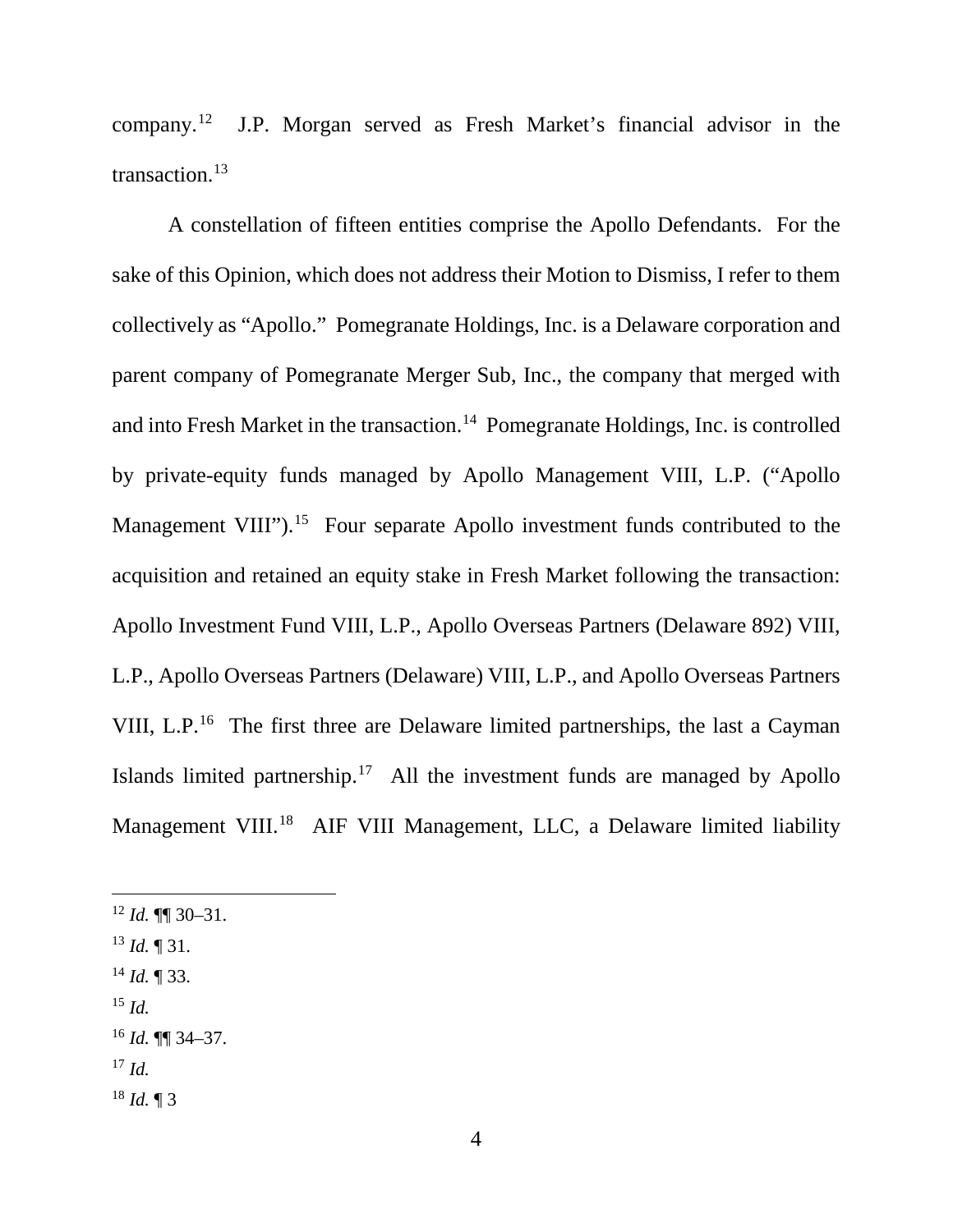company.12 J.P. Morgan served as Fresh Market's financial advisor in the transaction.13

A constellation of fifteen entities comprise the Apollo Defendants. For the sake of this Opinion, which does not address their Motion to Dismiss, I refer to them collectively as "Apollo." Pomegranate Holdings, Inc. is a Delaware corporation and parent company of Pomegranate Merger Sub, Inc., the company that merged with and into Fresh Market in the transaction.<sup>14</sup> Pomegranate Holdings, Inc. is controlled by private-equity funds managed by Apollo Management VIII, L.P. ("Apollo Management VIII").<sup>15</sup> Four separate Apollo investment funds contributed to the acquisition and retained an equity stake in Fresh Market following the transaction: Apollo Investment Fund VIII, L.P., Apollo Overseas Partners (Delaware 892) VIII, L.P., Apollo Overseas Partners (Delaware) VIII, L.P., and Apollo Overseas Partners VIII, L.P.<sup>16</sup> The first three are Delaware limited partnerships, the last a Cayman Islands limited partnership. $17$  All the investment funds are managed by Apollo Management VIII.<sup>18</sup> AIF VIII Management, LLC, a Delaware limited liability

- $12$  *Id.* **¶** 30–31.
- <sup>13</sup> *Id.* ¶ 31.
- <sup>14</sup> *Id.* ¶ 33.
- <sup>15</sup> *Id.*
- <sup>16</sup> *Id.* ¶¶ 34–37.
- <sup>17</sup> *Id.*
- $18$  *Id.* 13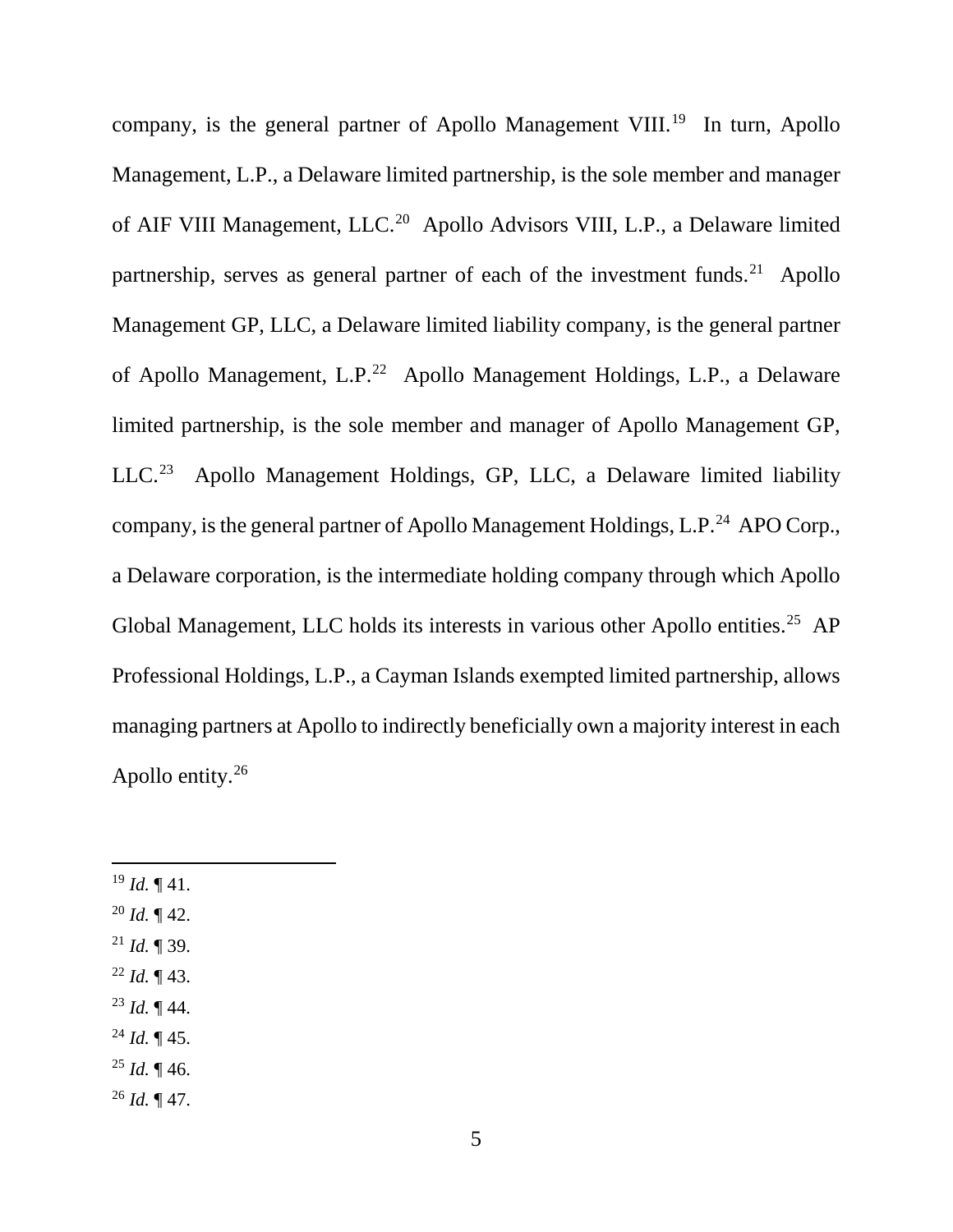company, is the general partner of Apollo Management VIII.<sup>19</sup> In turn, Apollo Management, L.P., a Delaware limited partnership, is the sole member and manager of AIF VIII Management, LLC.20 Apollo Advisors VIII, L.P., a Delaware limited partnership, serves as general partner of each of the investment funds.<sup>21</sup> Apollo Management GP, LLC, a Delaware limited liability company, is the general partner of Apollo Management, L.P.22 Apollo Management Holdings, L.P., a Delaware limited partnership, is the sole member and manager of Apollo Management GP, LLC.23 Apollo Management Holdings, GP, LLC, a Delaware limited liability company, is the general partner of Apollo Management Holdings, L.P.<sup>24</sup> APO Corp., a Delaware corporation, is the intermediate holding company through which Apollo Global Management, LLC holds its interests in various other Apollo entities.<sup>25</sup> AP Professional Holdings, L.P., a Cayman Islands exempted limited partnership, allows managing partners at Apollo to indirectly beneficially own a majority interest in each Apollo entity.26

- $^{19}$  *Id.* ¶ 41.
- $^{20}$  *Id.* ¶ 42.
- <sup>21</sup> *Id.* ¶ 39.
- <sup>22</sup> *Id.* ¶ 43.
- <sup>23</sup> *Id.* ¶ 44.
- <sup>24</sup> *Id.* ¶ 45.
- $^{25}$  *Id.* ¶ 46.
- $^{26}$  *Id.* ¶ 47.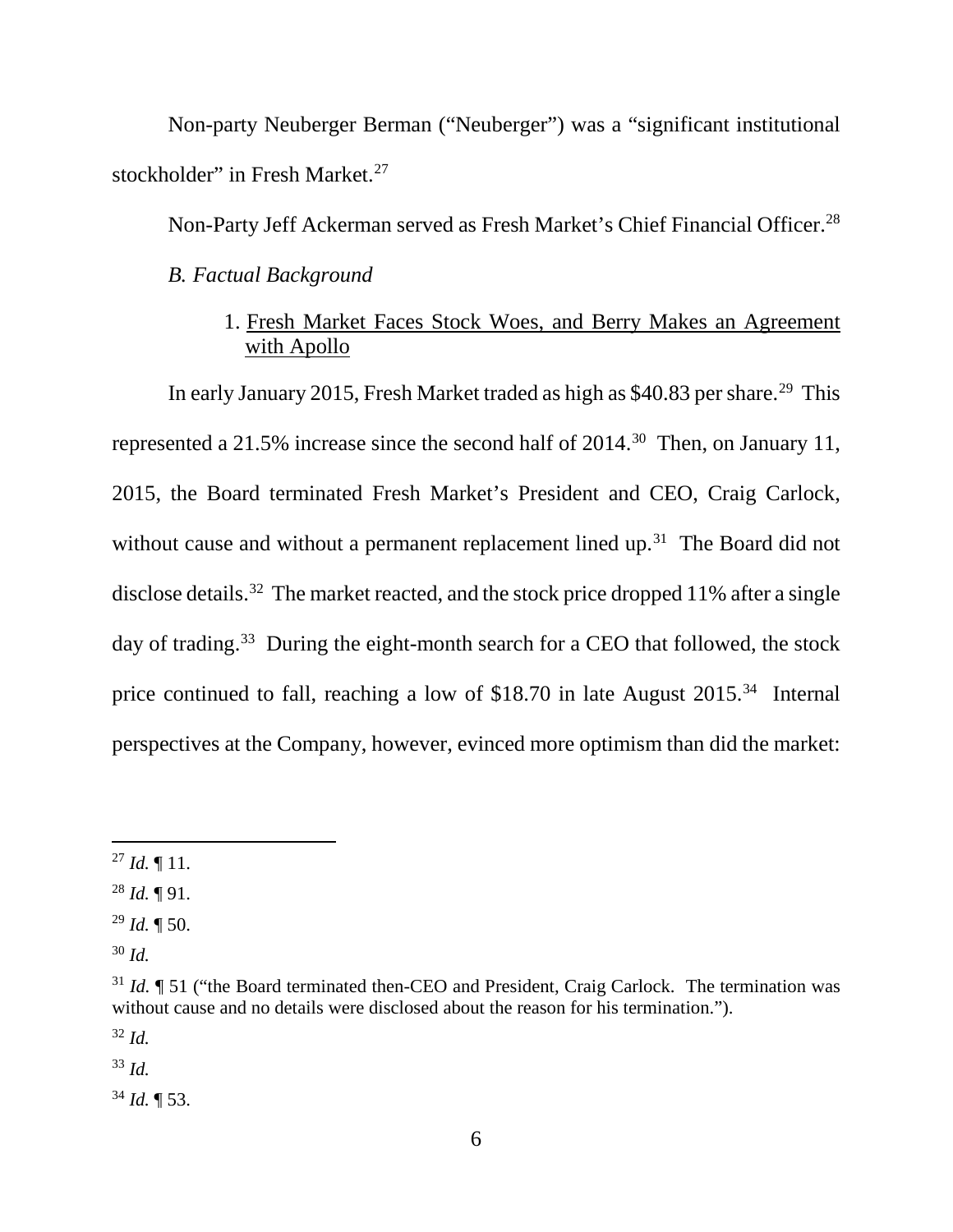Non-party Neuberger Berman ("Neuberger") was a "significant institutional stockholder" in Fresh Market.<sup>27</sup>

Non-Party Jeff Ackerman served as Fresh Market's Chief Financial Officer.<sup>28</sup>

*B. Factual Background*

### 1. Fresh Market Faces Stock Woes, and Berry Makes an Agreement with Apollo

In early January 2015, Fresh Market traded as high as \$40.83 per share.<sup>29</sup> This represented a 21.5% increase since the second half of 2014.<sup>30</sup> Then, on January 11, 2015, the Board terminated Fresh Market's President and CEO, Craig Carlock, without cause and without a permanent replacement lined up.<sup>31</sup> The Board did not disclose details.<sup>32</sup> The market reacted, and the stock price dropped 11% after a single day of trading.<sup>33</sup> During the eight-month search for a CEO that followed, the stock price continued to fall, reaching a low of \$18.70 in late August 2015.34 Internal perspectives at the Company, however, evinced more optimism than did the market:

<sup>32</sup> *Id.*

<sup>33</sup> *Id.*

<sup>34</sup> *Id.* ¶ 53.

 $^{27}$  *Id.*  $\P$  11.

<sup>28</sup> *Id.* ¶ 91.

<sup>29</sup> *Id.* ¶ 50.

<sup>30</sup> *Id.*

<sup>&</sup>lt;sup>31</sup> *Id.* ¶ 51 ("the Board terminated then-CEO and President, Craig Carlock. The termination was without cause and no details were disclosed about the reason for his termination.").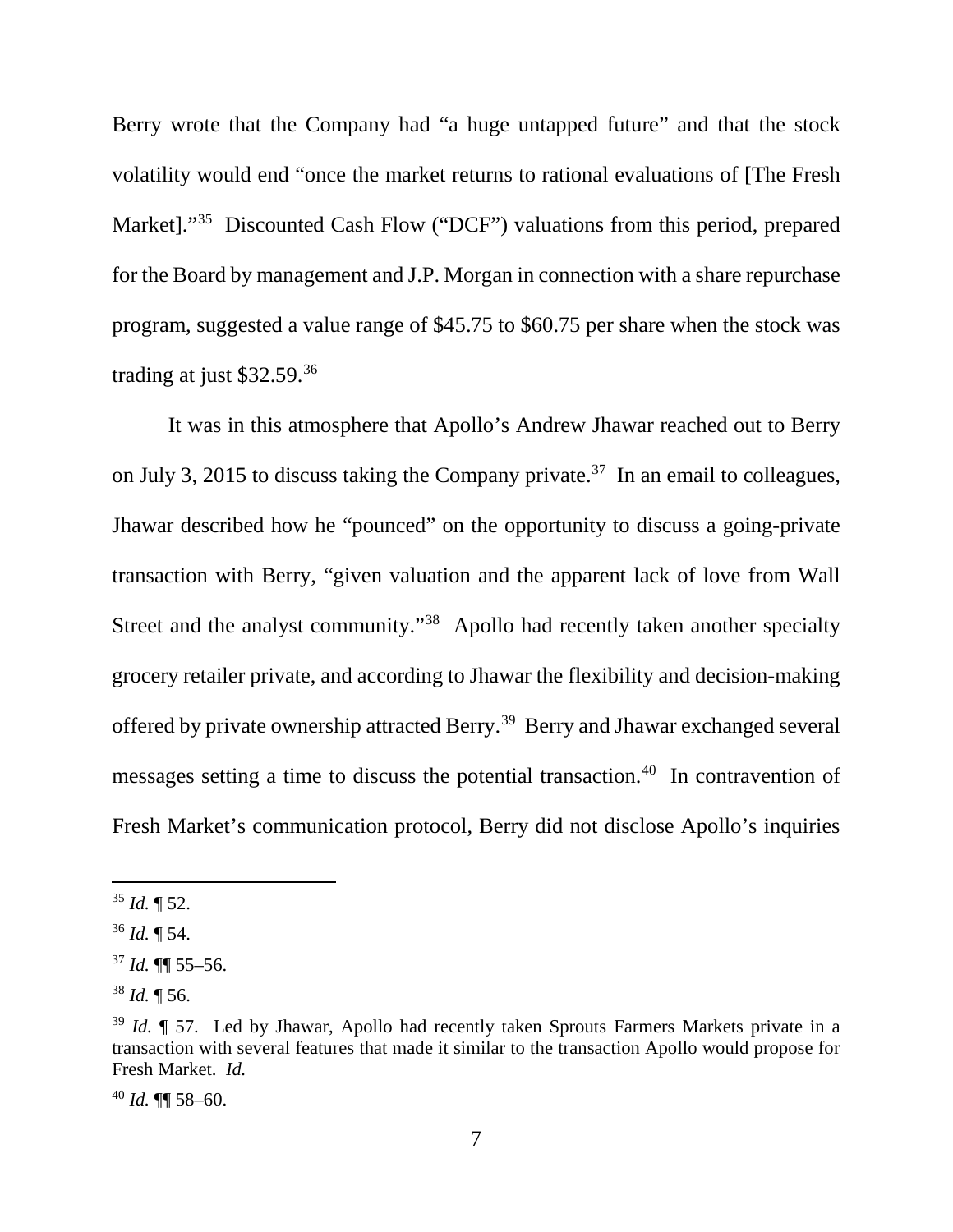Berry wrote that the Company had "a huge untapped future" and that the stock volatility would end "once the market returns to rational evaluations of [The Fresh Market]."<sup>35</sup> Discounted Cash Flow ("DCF") valuations from this period, prepared for the Board by management and J.P. Morgan in connection with a share repurchase program, suggested a value range of \$45.75 to \$60.75 per share when the stock was trading at just \$32.59.36

It was in this atmosphere that Apollo's Andrew Jhawar reached out to Berry on July 3, 2015 to discuss taking the Company private.<sup>37</sup> In an email to colleagues, Jhawar described how he "pounced" on the opportunity to discuss a going-private transaction with Berry, "given valuation and the apparent lack of love from Wall Street and the analyst community."<sup>38</sup> Apollo had recently taken another specialty grocery retailer private, and according to Jhawar the flexibility and decision-making offered by private ownership attracted Berry.39 Berry and Jhawar exchanged several messages setting a time to discuss the potential transaction.40 In contravention of Fresh Market's communication protocol, Berry did not disclose Apollo's inquiries

 $35$  *Id.*  $\P$  52.

 $36$  *Id.*  $\P$  54.

 $37$  *Id.* **[1]** 55–56.

<sup>38</sup> *Id.* ¶ 56.

<sup>&</sup>lt;sup>39</sup> *Id.*  $\parallel$  57. Led by Jhawar, Apollo had recently taken Sprouts Farmers Markets private in a transaction with several features that made it similar to the transaction Apollo would propose for Fresh Market. *Id.*

<sup>40</sup> *Id.* ¶¶ 58–60.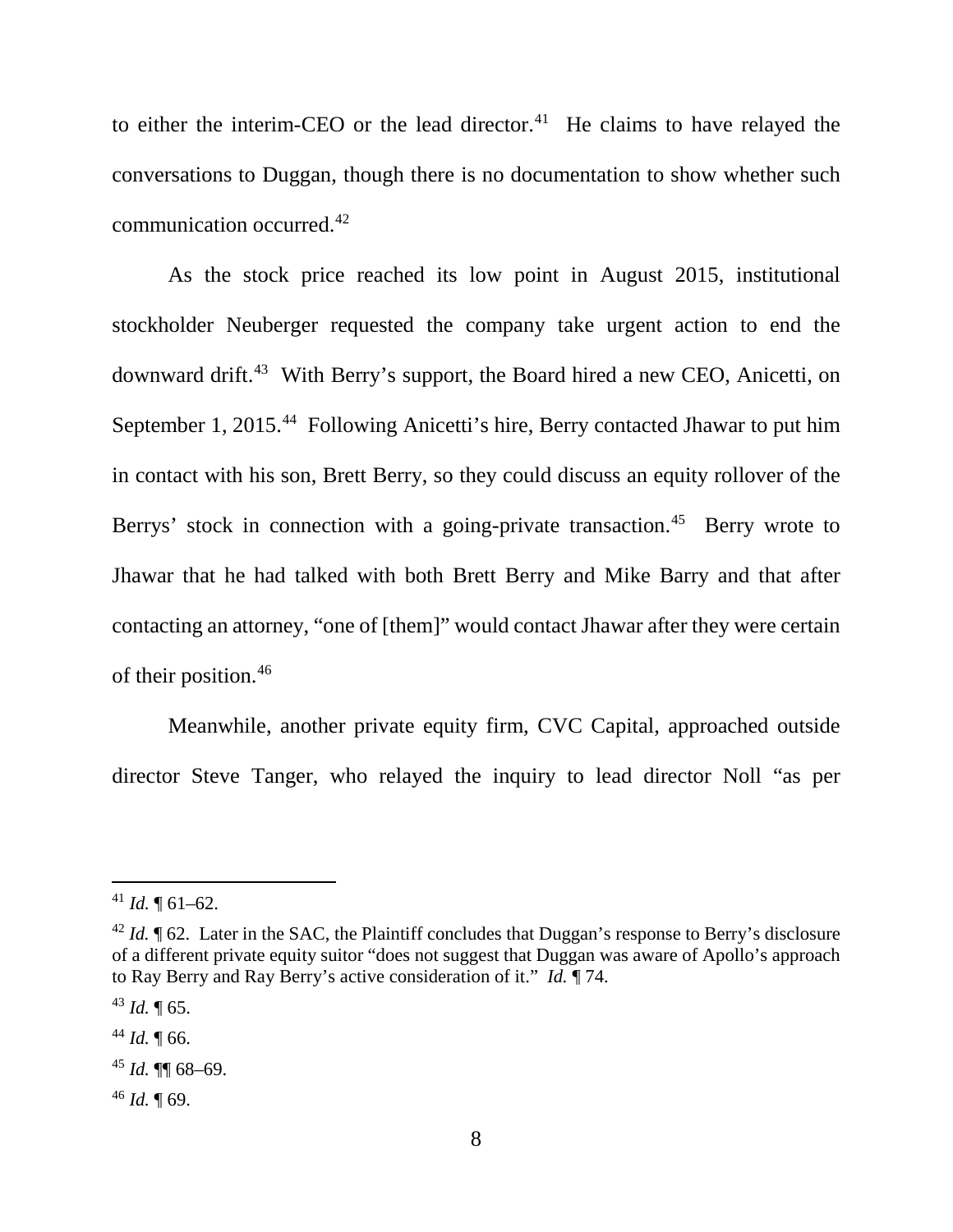to either the interim-CEO or the lead director.<sup>41</sup> He claims to have relayed the conversations to Duggan, though there is no documentation to show whether such communication occurred. 42

As the stock price reached its low point in August 2015, institutional stockholder Neuberger requested the company take urgent action to end the downward drift.43 With Berry's support, the Board hired a new CEO, Anicetti, on September 1, 2015.<sup>44</sup> Following Anicetti's hire, Berry contacted Jhawar to put him in contact with his son, Brett Berry, so they could discuss an equity rollover of the Berrys' stock in connection with a going-private transaction.<sup>45</sup> Berry wrote to Jhawar that he had talked with both Brett Berry and Mike Barry and that after contacting an attorney, "one of [them]" would contact Jhawar after they were certain of their position.46

Meanwhile, another private equity firm, CVC Capital, approached outside director Steve Tanger, who relayed the inquiry to lead director Noll "as per

<sup>46</sup> *Id.* ¶ 69.

 $41$  *Id.*  $\P$  61–62.

 $^{42}$  *Id.*  $\parallel$  62. Later in the SAC, the Plaintiff concludes that Duggan's response to Berry's disclosure of a different private equity suitor "does not suggest that Duggan was aware of Apollo's approach to Ray Berry and Ray Berry's active consideration of it." *Id.* ¶ 74.

 $43$  *Id.*  $\sqrt{65}$ .

 $44$  *Id.* 166.

 $45$  *Id.* **¶** 68–69.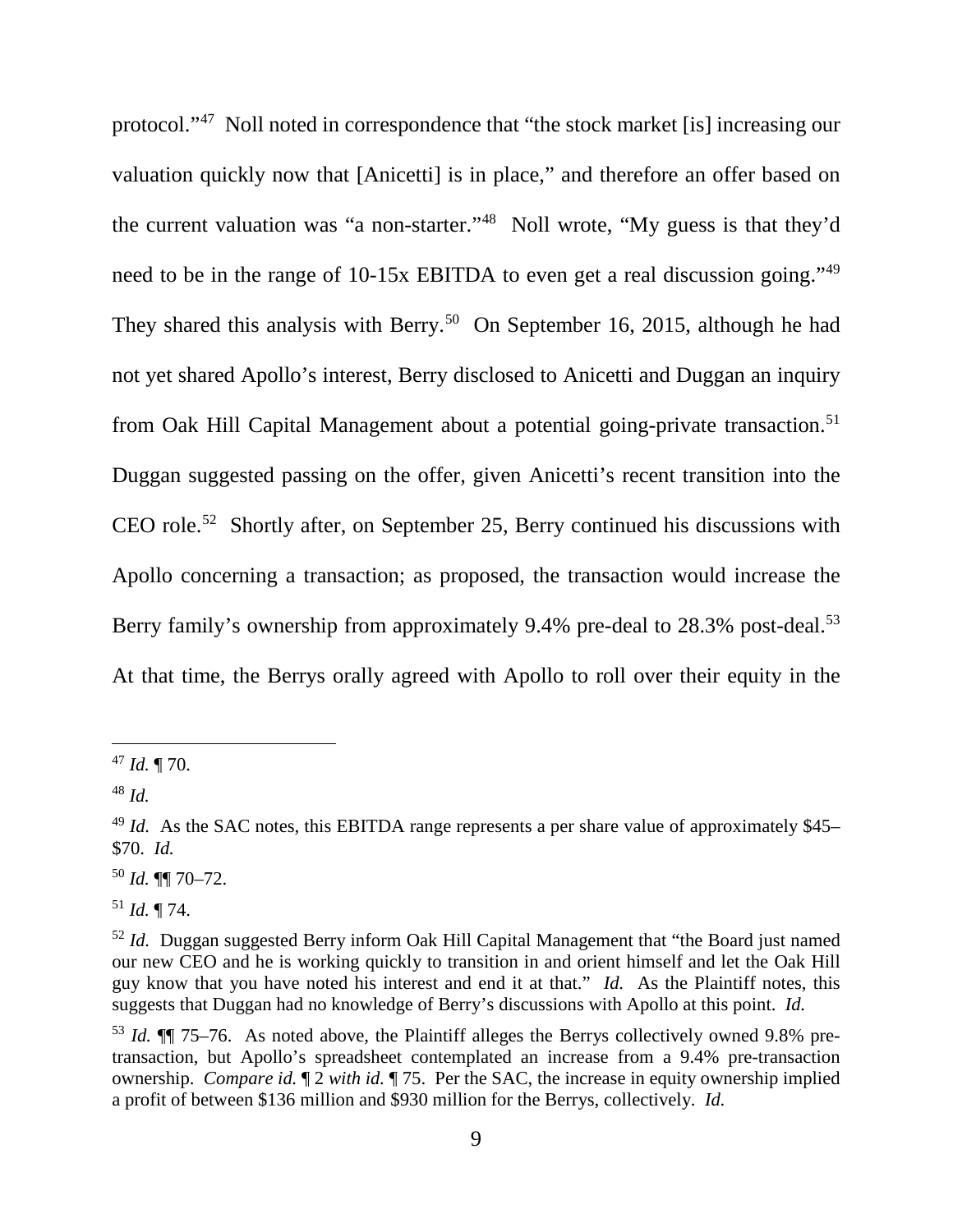protocol."47 Noll noted in correspondence that "the stock market [is] increasing our valuation quickly now that [Anicetti] is in place," and therefore an offer based on the current valuation was "a non-starter."48 Noll wrote, "My guess is that they'd need to be in the range of 10-15x EBITDA to even get a real discussion going."49 They shared this analysis with Berry.<sup>50</sup> On September 16, 2015, although he had not yet shared Apollo's interest, Berry disclosed to Anicetti and Duggan an inquiry from Oak Hill Capital Management about a potential going-private transaction.<sup>51</sup> Duggan suggested passing on the offer, given Anicetti's recent transition into the CEO role.<sup>52</sup> Shortly after, on September 25, Berry continued his discussions with Apollo concerning a transaction; as proposed, the transaction would increase the Berry family's ownership from approximately 9.4% pre-deal to 28.3% post-deal.<sup>53</sup> At that time, the Berrys orally agreed with Apollo to roll over their equity in the

<sup>50</sup> *Id.* ¶¶ 70–72.

<sup>51</sup> *Id.* ¶ 74.

 <sup>47</sup> *Id.* ¶ 70.

<sup>48</sup> *Id.*

<sup>&</sup>lt;sup>49</sup> *Id.* As the SAC notes, this EBITDA range represents a per share value of approximately \$45– \$70. *Id.*

<sup>&</sup>lt;sup>52</sup> *Id.* Duggan suggested Berry inform Oak Hill Capital Management that "the Board just named our new CEO and he is working quickly to transition in and orient himself and let the Oak Hill guy know that you have noted his interest and end it at that." *Id.* As the Plaintiff notes, this suggests that Duggan had no knowledge of Berry's discussions with Apollo at this point. *Id.*

<sup>53</sup> *Id.* ¶¶ 75–76. As noted above, the Plaintiff alleges the Berrys collectively owned 9.8% pretransaction, but Apollo's spreadsheet contemplated an increase from a 9.4% pre-transaction ownership. *Compare id.* ¶ 2 *with id.* ¶ 75. Per the SAC, the increase in equity ownership implied a profit of between \$136 million and \$930 million for the Berrys, collectively. *Id.*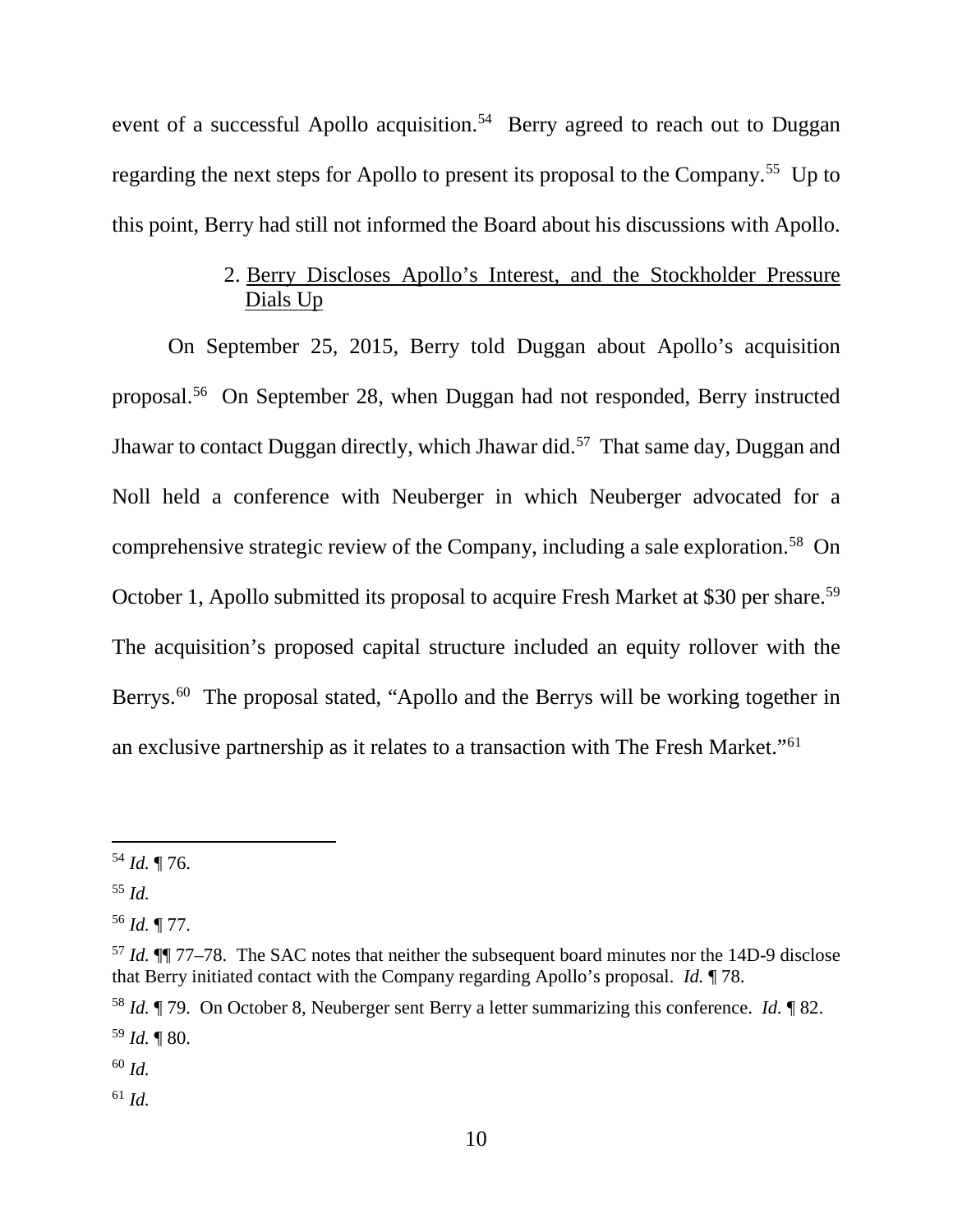event of a successful Apollo acquisition.<sup>54</sup> Berry agreed to reach out to Duggan regarding the next steps for Apollo to present its proposal to the Company.<sup>55</sup> Up to this point, Berry had still not informed the Board about his discussions with Apollo.

## 2. Berry Discloses Apollo's Interest, and the Stockholder Pressure Dials Up

On September 25, 2015, Berry told Duggan about Apollo's acquisition proposal.56 On September 28, when Duggan had not responded, Berry instructed Jhawar to contact Duggan directly, which Jhawar did.57 That same day, Duggan and Noll held a conference with Neuberger in which Neuberger advocated for a comprehensive strategic review of the Company, including a sale exploration. 58 On October 1, Apollo submitted its proposal to acquire Fresh Market at \$30 per share.<sup>59</sup> The acquisition's proposed capital structure included an equity rollover with the Berrys.<sup>60</sup> The proposal stated, "Apollo and the Berrys will be working together in an exclusive partnership as it relates to a transaction with The Fresh Market."61

<sup>60</sup> *Id.*

<sup>61</sup> *Id.*

 <sup>54</sup> *Id.* ¶ 76.

<sup>55</sup> *Id.*

<sup>56</sup> *Id.* ¶ 77.

<sup>57</sup> *Id.* ¶¶ 77–78. The SAC notes that neither the subsequent board minutes nor the 14D-9 disclose that Berry initiated contact with the Company regarding Apollo's proposal. *Id.* ¶ 78.

<sup>58</sup> *Id.* ¶ 79. On October 8, Neuberger sent Berry a letter summarizing this conference. *Id.* ¶ 82. <sup>59</sup> *Id.* ¶ 80.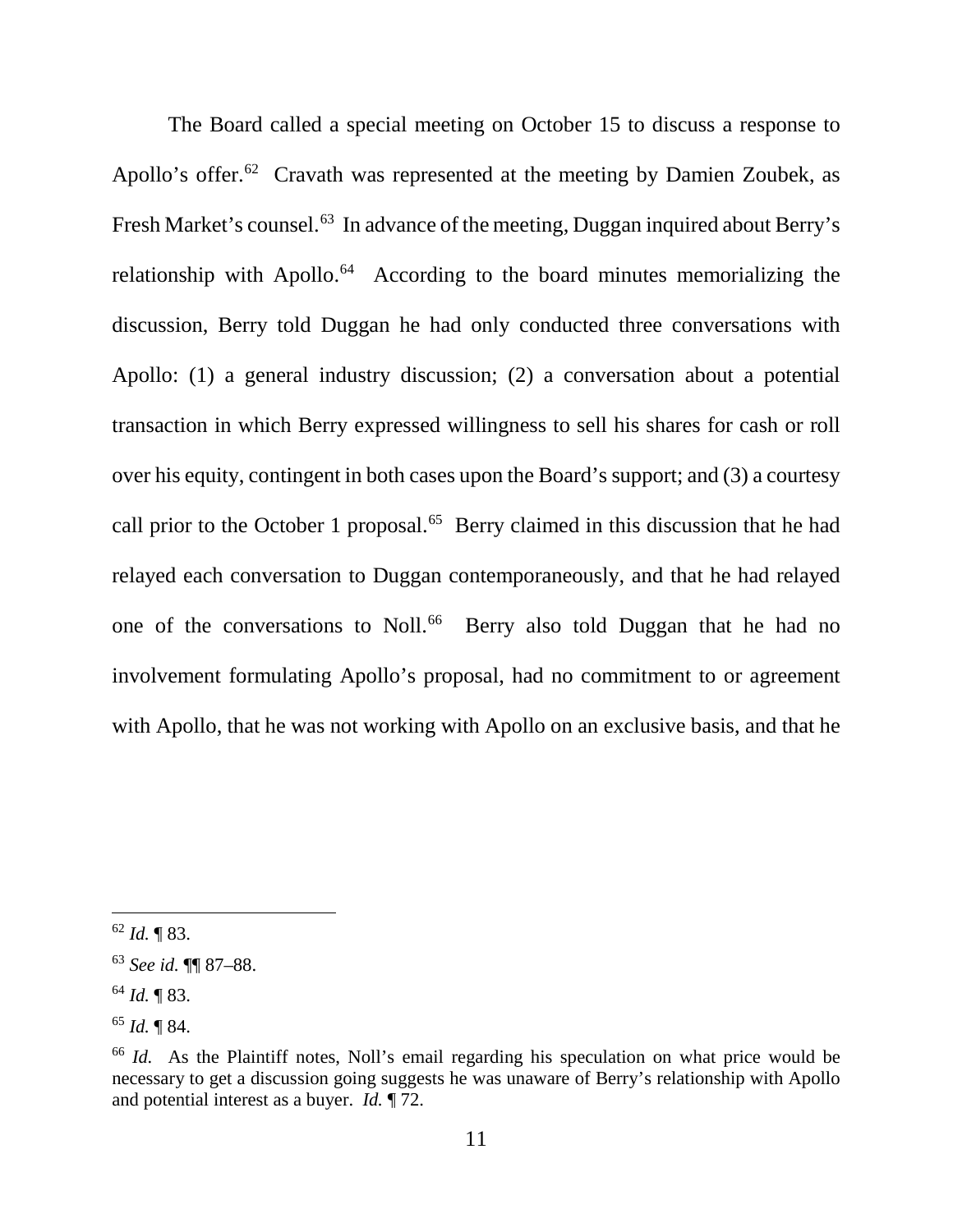The Board called a special meeting on October 15 to discuss a response to Apollo's offer.<sup>62</sup> Cravath was represented at the meeting by Damien Zoubek, as Fresh Market's counsel.<sup>63</sup> In advance of the meeting, Duggan inquired about Berry's relationship with Apollo.<sup>64</sup> According to the board minutes memorializing the discussion, Berry told Duggan he had only conducted three conversations with Apollo: (1) a general industry discussion; (2) a conversation about a potential transaction in which Berry expressed willingness to sell his shares for cash or roll over his equity, contingent in both cases upon the Board's support; and (3) a courtesy call prior to the October 1 proposal.<sup>65</sup> Berry claimed in this discussion that he had relayed each conversation to Duggan contemporaneously, and that he had relayed one of the conversations to Noll.<sup>66</sup> Berry also told Duggan that he had no involvement formulating Apollo's proposal, had no commitment to or agreement with Apollo, that he was not working with Apollo on an exclusive basis, and that he

 $62$  *Id.* 183.

<sup>63</sup> *See id.* ¶¶ 87–88.

<sup>64</sup> *Id.* ¶ 83.

<sup>65</sup> *Id.* ¶ 84.

<sup>66</sup> *Id.* As the Plaintiff notes, Noll's email regarding his speculation on what price would be necessary to get a discussion going suggests he was unaware of Berry's relationship with Apollo and potential interest as a buyer. *Id.* ¶ 72.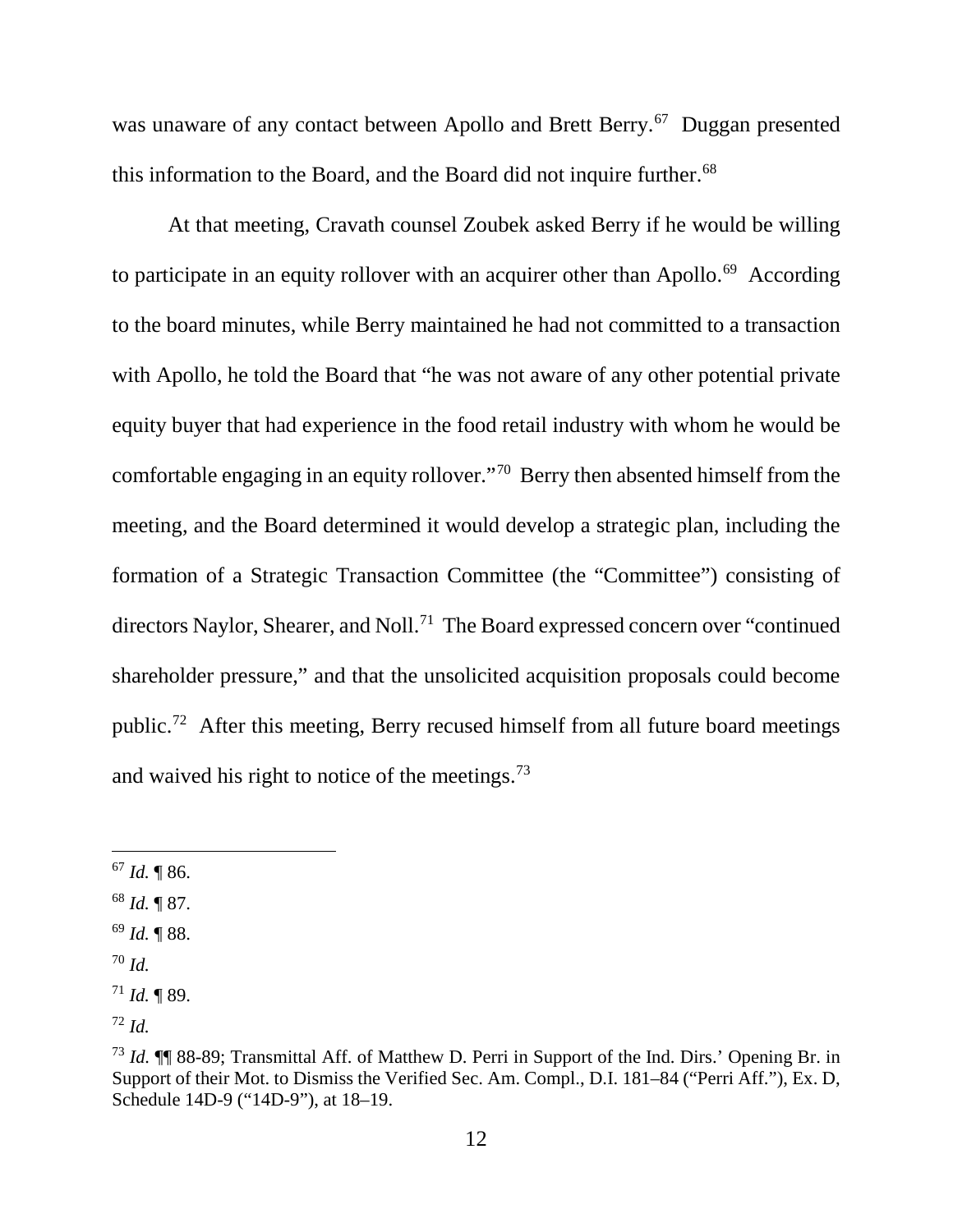was unaware of any contact between Apollo and Brett Berry.<sup>67</sup> Duggan presented this information to the Board, and the Board did not inquire further.<sup>68</sup>

At that meeting, Cravath counsel Zoubek asked Berry if he would be willing to participate in an equity rollover with an acquirer other than Apollo.<sup>69</sup> According to the board minutes, while Berry maintained he had not committed to a transaction with Apollo, he told the Board that "he was not aware of any other potential private equity buyer that had experience in the food retail industry with whom he would be comfortable engaging in an equity rollover."70 Berry then absented himself from the meeting, and the Board determined it would develop a strategic plan, including the formation of a Strategic Transaction Committee (the "Committee") consisting of directors Naylor, Shearer, and Noll. 71 The Board expressed concern over "continued shareholder pressure," and that the unsolicited acquisition proposals could become public.72 After this meeting, Berry recused himself from all future board meetings and waived his right to notice of the meetings.73

- <sup>69</sup> *Id.* ¶ 88.
- <sup>70</sup> *Id.*

 $67$  *Id.*  $\P$  86.

<sup>68</sup> *Id.* ¶ 87.

 $171$  *Id.* 189.

<sup>72</sup> *Id.*

<sup>73</sup> *Id.* ¶¶ 88-89; Transmittal Aff. of Matthew D. Perri in Support of the Ind. Dirs.' Opening Br. in Support of their Mot. to Dismiss the Verified Sec. Am. Compl., D.I. 181–84 ("Perri Aff."), Ex. D, Schedule 14D-9 ("14D-9"), at 18–19.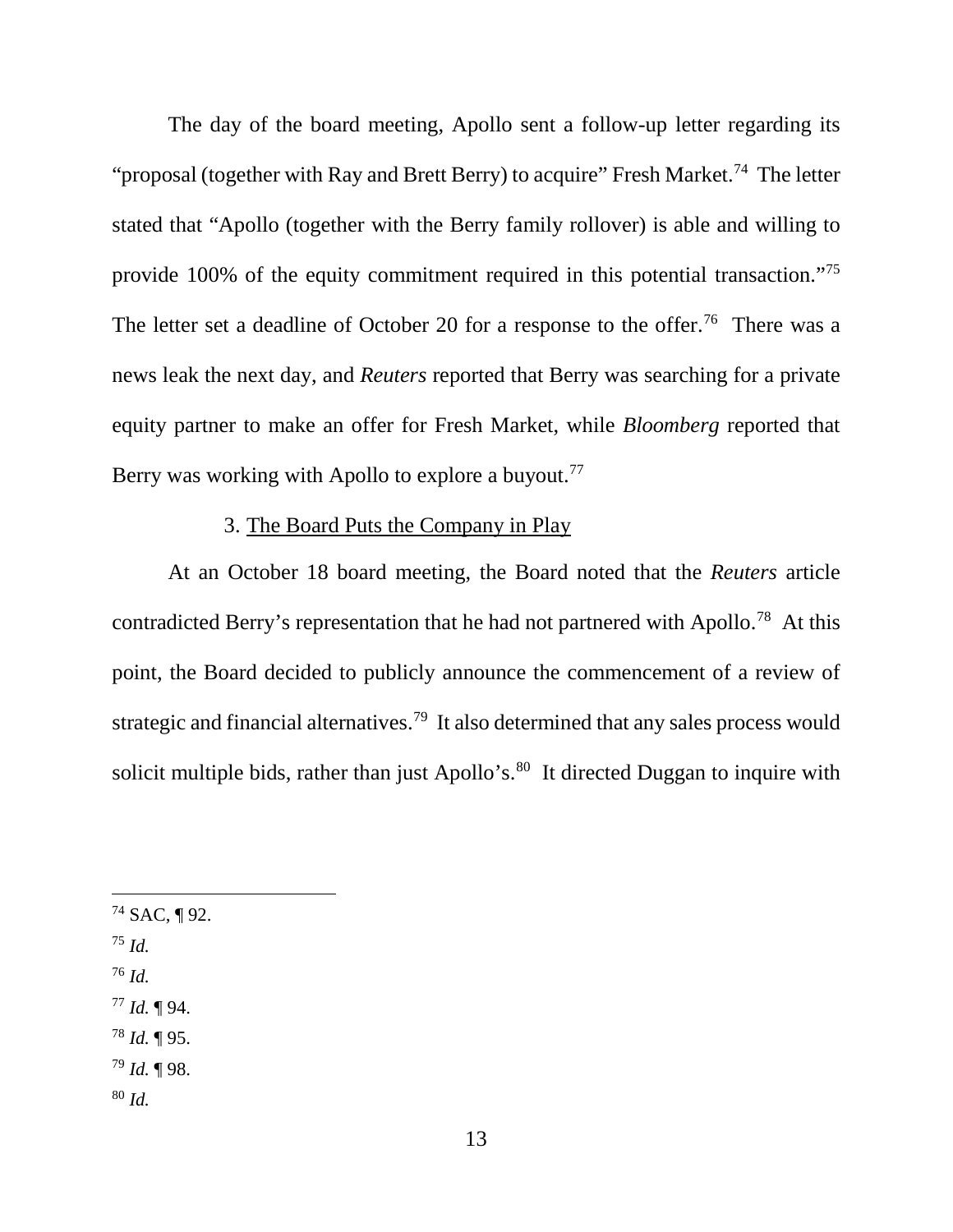The day of the board meeting, Apollo sent a follow-up letter regarding its "proposal (together with Ray and Brett Berry) to acquire" Fresh Market.<sup>74</sup> The letter stated that "Apollo (together with the Berry family rollover) is able and willing to provide 100% of the equity commitment required in this potential transaction."75 The letter set a deadline of October 20 for a response to the offer.<sup>76</sup> There was a news leak the next day, and *Reuters* reported that Berry was searching for a private equity partner to make an offer for Fresh Market, while *Bloomberg* reported that Berry was working with Apollo to explore a buyout.<sup>77</sup>

# 3. The Board Puts the Company in Play

At an October 18 board meeting, the Board noted that the *Reuters* article contradicted Berry's representation that he had not partnered with Apollo.<sup>78</sup> At this point, the Board decided to publicly announce the commencement of a review of strategic and financial alternatives.<sup>79</sup> It also determined that any sales process would solicit multiple bids, rather than just Apollo's. $80$  It directed Duggan to inquire with

- $74$  SAC, ¶ 92.
- <sup>75</sup> *Id.*
- <sup>76</sup> *Id.*
- <sup>77</sup> *Id.* ¶ 94.
- <sup>78</sup> *Id.* ¶ 95.
- <sup>79</sup> *Id.* ¶ 98.
- <sup>80</sup> *Id.*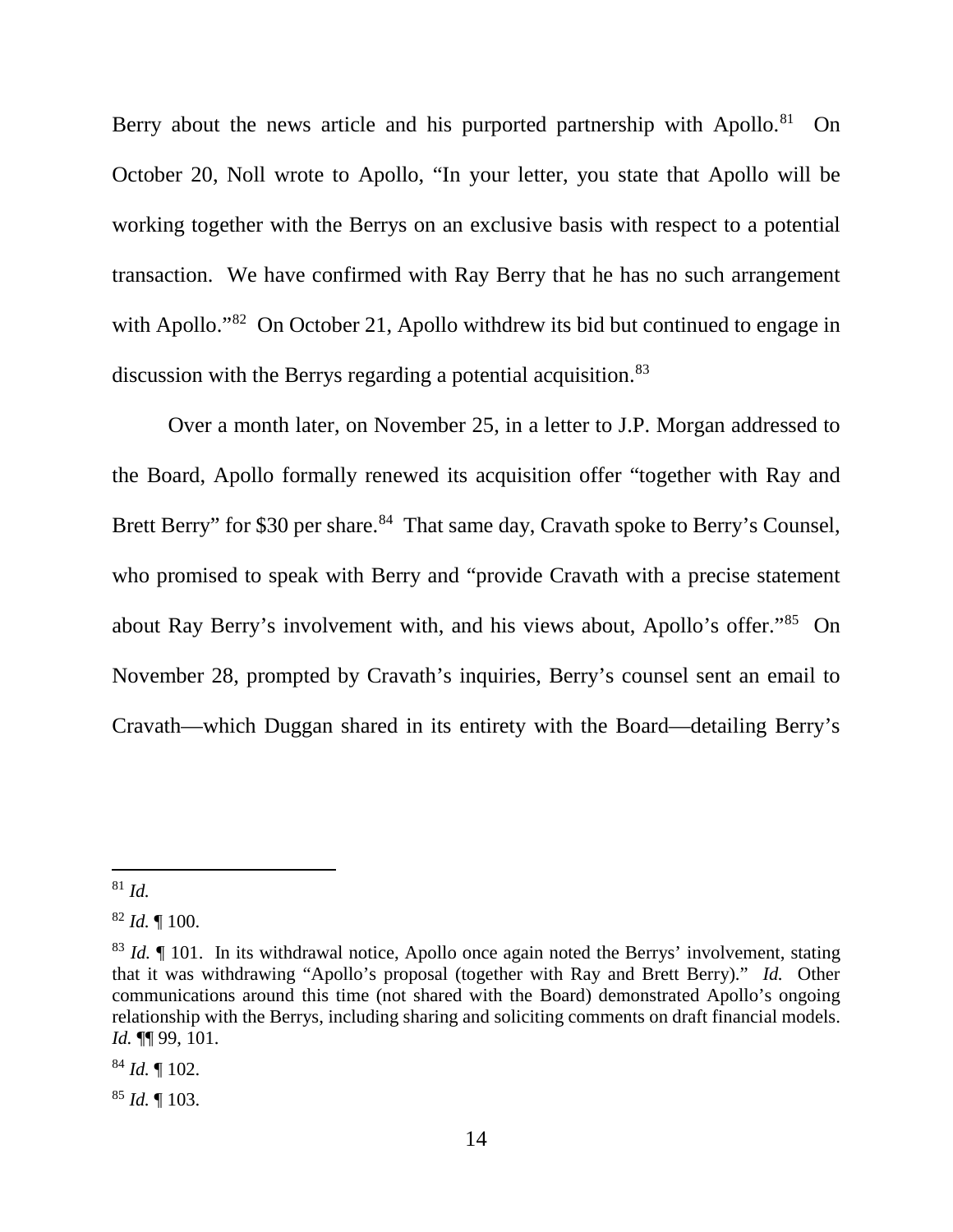Berry about the news article and his purported partnership with Apollo.<sup>81</sup> On October 20, Noll wrote to Apollo, "In your letter, you state that Apollo will be working together with the Berrys on an exclusive basis with respect to a potential transaction. We have confirmed with Ray Berry that he has no such arrangement with Apollo."<sup>82</sup> On October 21, Apollo withdrew its bid but continued to engage in discussion with the Berrys regarding a potential acquisition. 83

Over a month later, on November 25, in a letter to J.P. Morgan addressed to the Board, Apollo formally renewed its acquisition offer "together with Ray and Brett Berry" for \$30 per share.<sup>84</sup> That same day, Cravath spoke to Berry's Counsel, who promised to speak with Berry and "provide Cravath with a precise statement about Ray Berry's involvement with, and his views about, Apollo's offer."85 On November 28, prompted by Cravath's inquiries, Berry's counsel sent an email to Cravath—which Duggan shared in its entirety with the Board—detailing Berry's

<sup>84</sup> *Id.* ¶ 102.

<sup>85</sup> *Id.* ¶ 103.

 <sup>81</sup> *Id.*

<sup>82</sup> *Id.* ¶ 100.

<sup>83</sup> *Id.* ¶ 101. In its withdrawal notice, Apollo once again noted the Berrys' involvement, stating that it was withdrawing "Apollo's proposal (together with Ray and Brett Berry)." *Id.* Other communications around this time (not shared with the Board) demonstrated Apollo's ongoing relationship with the Berrys, including sharing and soliciting comments on draft financial models. *Id.* ¶¶ 99, 101.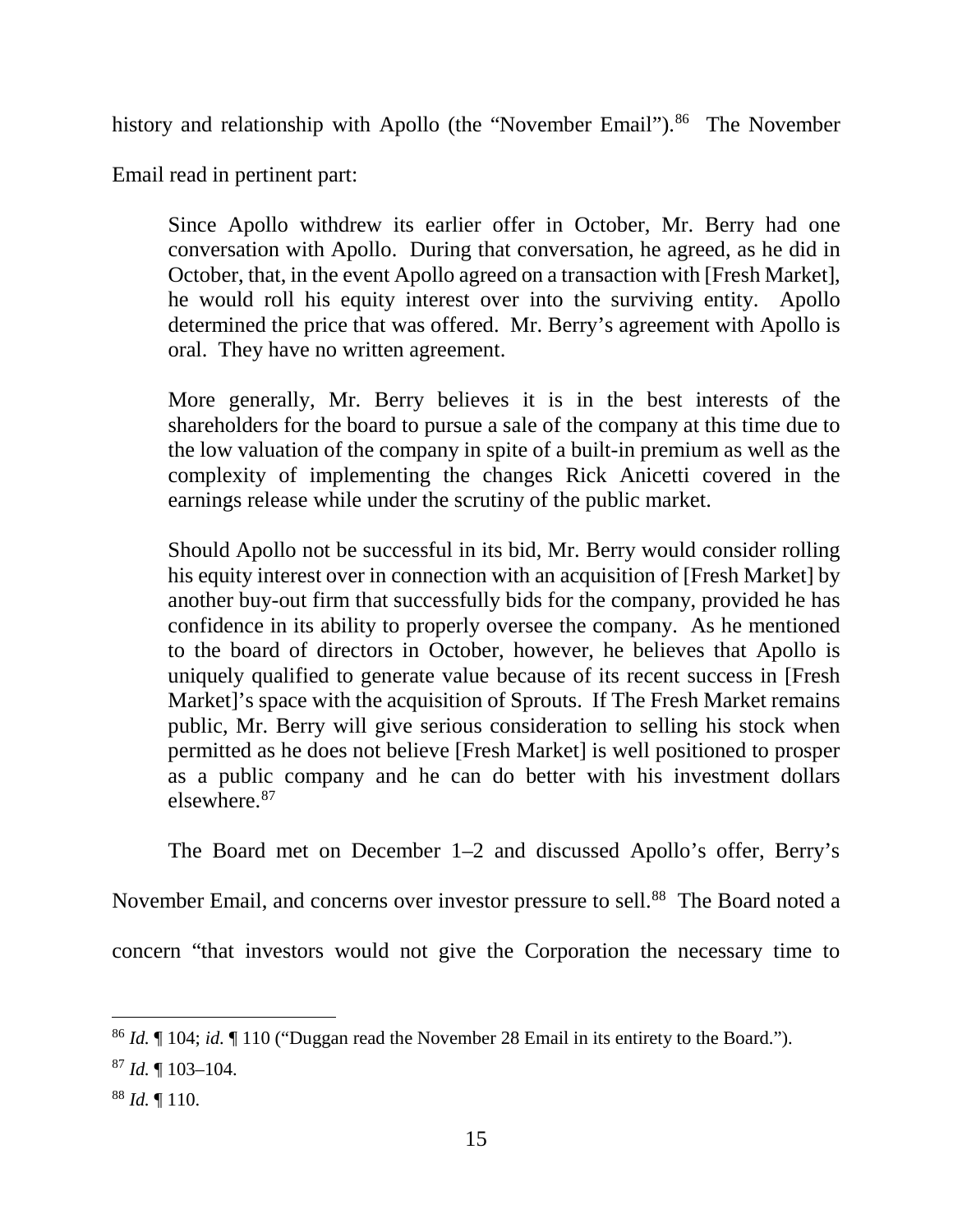history and relationship with Apollo (the "November Email").<sup>86</sup> The November

Email read in pertinent part:

Since Apollo withdrew its earlier offer in October, Mr. Berry had one conversation with Apollo. During that conversation, he agreed, as he did in October, that, in the event Apollo agreed on a transaction with [Fresh Market], he would roll his equity interest over into the surviving entity. Apollo determined the price that was offered. Mr. Berry's agreement with Apollo is oral. They have no written agreement.

More generally, Mr. Berry believes it is in the best interests of the shareholders for the board to pursue a sale of the company at this time due to the low valuation of the company in spite of a built-in premium as well as the complexity of implementing the changes Rick Anicetti covered in the earnings release while under the scrutiny of the public market.

Should Apollo not be successful in its bid, Mr. Berry would consider rolling his equity interest over in connection with an acquisition of [Fresh Market] by another buy-out firm that successfully bids for the company, provided he has confidence in its ability to properly oversee the company. As he mentioned to the board of directors in October, however, he believes that Apollo is uniquely qualified to generate value because of its recent success in [Fresh Market]'s space with the acquisition of Sprouts. If The Fresh Market remains public, Mr. Berry will give serious consideration to selling his stock when permitted as he does not believe [Fresh Market] is well positioned to prosper as a public company and he can do better with his investment dollars elsewhere.87

The Board met on December 1–2 and discussed Apollo's offer, Berry's

November Email, and concerns over investor pressure to sell.<sup>88</sup> The Board noted a

concern "that investors would not give the Corporation the necessary time to

 <sup>86</sup> *Id.* ¶ 104; *id.* ¶ 110 ("Duggan read the November 28 Email in its entirety to the Board.").

<sup>87</sup> *Id.* ¶ 103–104.

<sup>88</sup> *Id.* ¶ 110.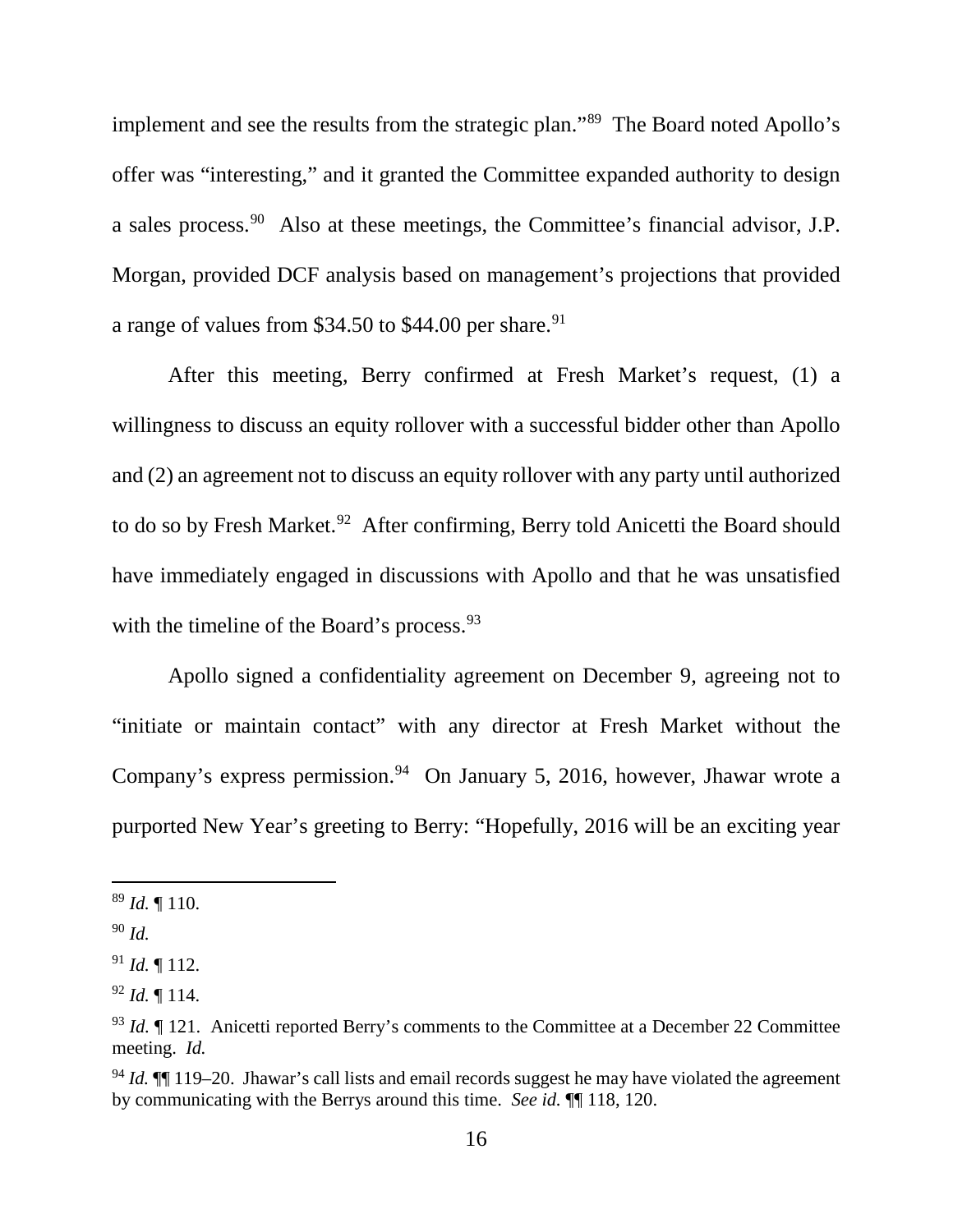implement and see the results from the strategic plan."89 The Board noted Apollo's offer was "interesting," and it granted the Committee expanded authority to design a sales process.90 Also at these meetings, the Committee's financial advisor, J.P. Morgan, provided DCF analysis based on management's projections that provided a range of values from  $$34.50$  to  $$44.00$  per share.<sup>91</sup>

After this meeting, Berry confirmed at Fresh Market's request, (1) a willingness to discuss an equity rollover with a successful bidder other than Apollo and (2) an agreement not to discuss an equity rollover with any party until authorized to do so by Fresh Market.<sup>92</sup> After confirming, Berry told Anicetti the Board should have immediately engaged in discussions with Apollo and that he was unsatisfied with the timeline of the Board's process.<sup>93</sup>

Apollo signed a confidentiality agreement on December 9, agreeing not to "initiate or maintain contact" with any director at Fresh Market without the Company's express permission. 94 On January 5, 2016, however, Jhawar wrote a purported New Year's greeting to Berry: "Hopefully, 2016 will be an exciting year

 <sup>89</sup> *Id.* ¶ 110.

<sup>90</sup> *Id.*

 $91$  *Id.* 112.

<sup>92</sup> *Id.* ¶ 114.

<sup>&</sup>lt;sup>93</sup> *Id.* If 121. Anicetti reported Berry's comments to the Committee at a December 22 Committee meeting. *Id.*

<sup>94</sup> *Id.* ¶¶ 119–20. Jhawar's call lists and email records suggest he may have violated the agreement by communicating with the Berrys around this time. *See id.* ¶¶ 118, 120.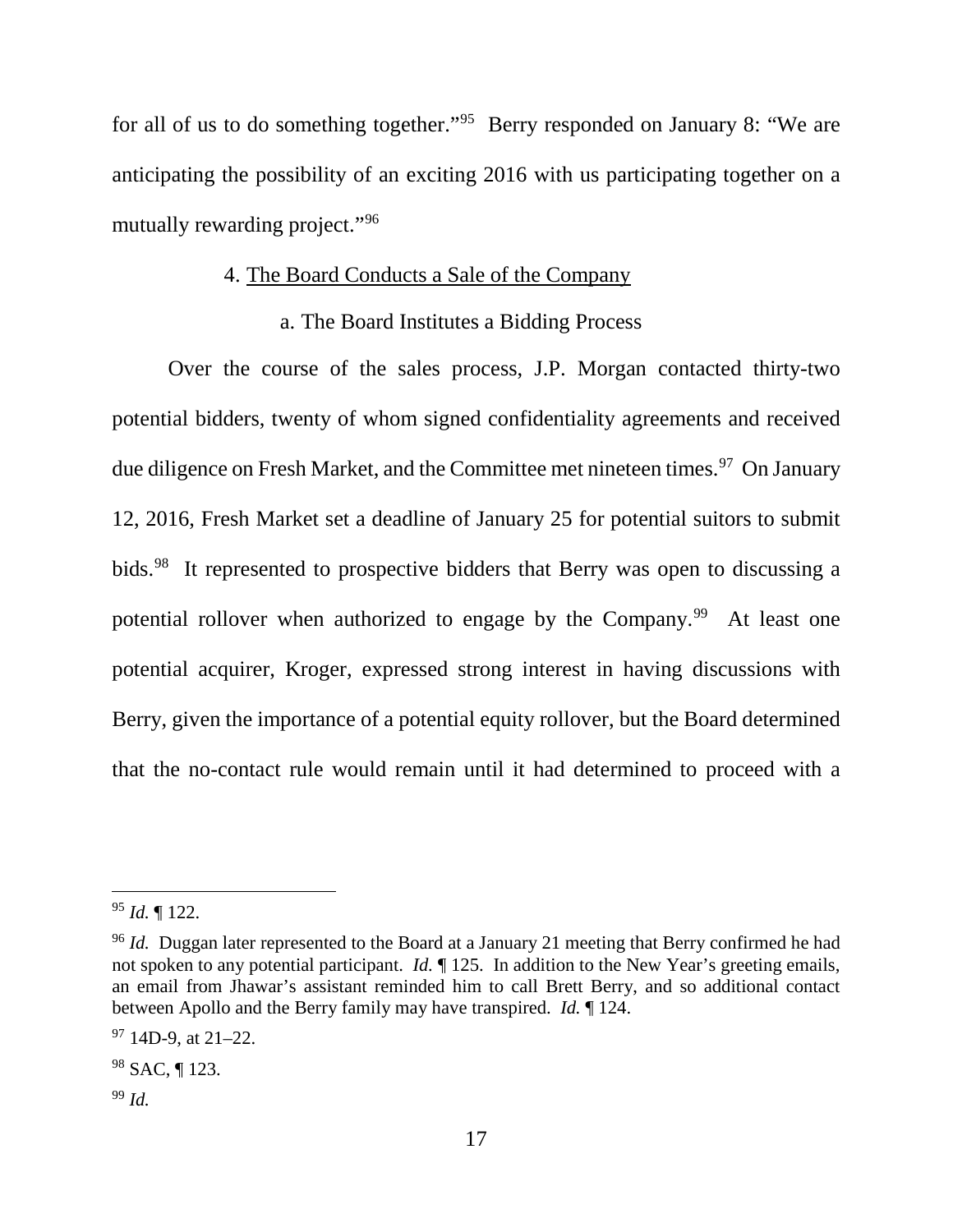for all of us to do something together."95 Berry responded on January 8: "We are anticipating the possibility of an exciting 2016 with us participating together on a mutually rewarding project."96

## 4. The Board Conducts a Sale of the Company

#### a. The Board Institutes a Bidding Process

Over the course of the sales process, J.P. Morgan contacted thirty-two potential bidders, twenty of whom signed confidentiality agreements and received due diligence on Fresh Market, and the Committee met nineteen times.<sup>97</sup> On January 12, 2016, Fresh Market set a deadline of January 25 for potential suitors to submit bids. 98 It represented to prospective bidders that Berry was open to discussing a potential rollover when authorized to engage by the Company.<sup>99</sup> At least one potential acquirer, Kroger, expressed strong interest in having discussions with Berry, given the importance of a potential equity rollover, but the Board determined that the no-contact rule would remain until it had determined to proceed with a

 <sup>95</sup> *Id.* ¶ 122.

<sup>&</sup>lt;sup>96</sup> *Id.* Duggan later represented to the Board at a January 21 meeting that Berry confirmed he had not spoken to any potential participant. *Id.* ¶ 125. In addition to the New Year's greeting emails, an email from Jhawar's assistant reminded him to call Brett Berry, and so additional contact between Apollo and the Berry family may have transpired. *Id.* ¶ 124.

 $97$  14D-9, at 21–22.

<sup>98</sup> SAC, ¶ 123.

<sup>99</sup> *Id.*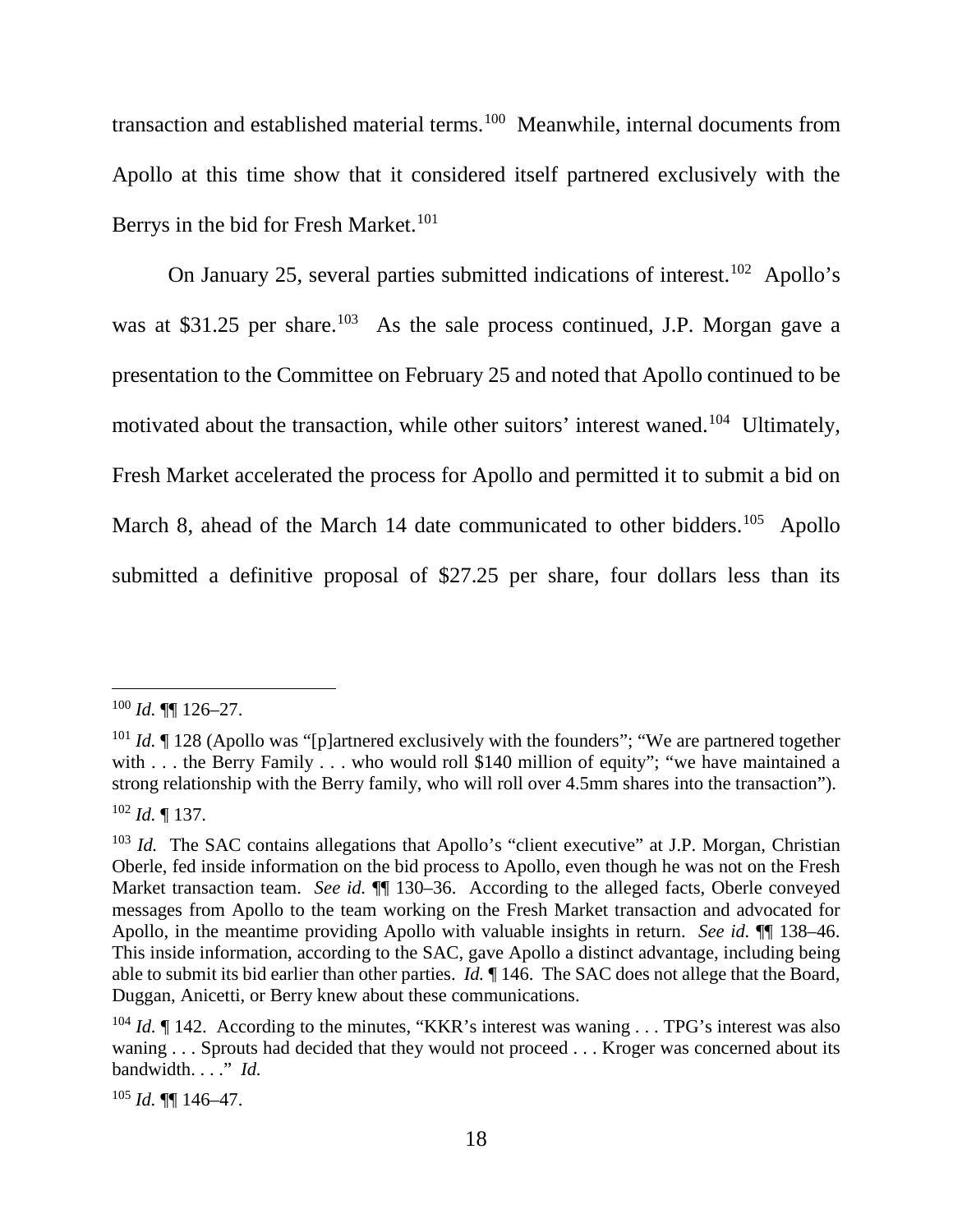transaction and established material terms.<sup>100</sup> Meanwhile, internal documents from Apollo at this time show that it considered itself partnered exclusively with the Berrys in the bid for Fresh Market.<sup>101</sup>

On January 25, several parties submitted indications of interest.<sup>102</sup> Apollo's was at \$31.25 per share.<sup>103</sup> As the sale process continued, J.P. Morgan gave a presentation to the Committee on February 25 and noted that Apollo continued to be motivated about the transaction, while other suitors' interest waned.104 Ultimately, Fresh Market accelerated the process for Apollo and permitted it to submit a bid on March 8, ahead of the March 14 date communicated to other bidders.<sup>105</sup> Apollo submitted a definitive proposal of \$27.25 per share, four dollars less than its

<sup>105</sup> *Id.* ¶¶ 146–47.

 $100$  *Id.* **¶** 126–27.

<sup>&</sup>lt;sup>101</sup> *Id.* If 128 (Apollo was "[p]artnered exclusively with the founders"; "We are partnered together with . . . the Berry Family . . . who would roll \$140 million of equity"; "we have maintained a strong relationship with the Berry family, who will roll over 4.5mm shares into the transaction"). <sup>102</sup> *Id.* ¶ 137.

<sup>&</sup>lt;sup>103</sup> *Id.* The SAC contains allegations that Apollo's "client executive" at J.P. Morgan, Christian Oberle, fed inside information on the bid process to Apollo, even though he was not on the Fresh Market transaction team. *See id.*  $\P$  130–36. According to the alleged facts, Oberle conveyed messages from Apollo to the team working on the Fresh Market transaction and advocated for Apollo, in the meantime providing Apollo with valuable insights in return. *See id.* ¶¶ 138–46. This inside information, according to the SAC, gave Apollo a distinct advantage, including being able to submit its bid earlier than other parties. *Id.* ¶ 146. The SAC does not allege that the Board, Duggan, Anicetti, or Berry knew about these communications.

<sup>&</sup>lt;sup>104</sup> *Id.* If 142. According to the minutes, "KKR's interest was waning . . . TPG's interest was also waning . . . Sprouts had decided that they would not proceed . . . Kroger was concerned about its bandwidth. . . ." *Id.*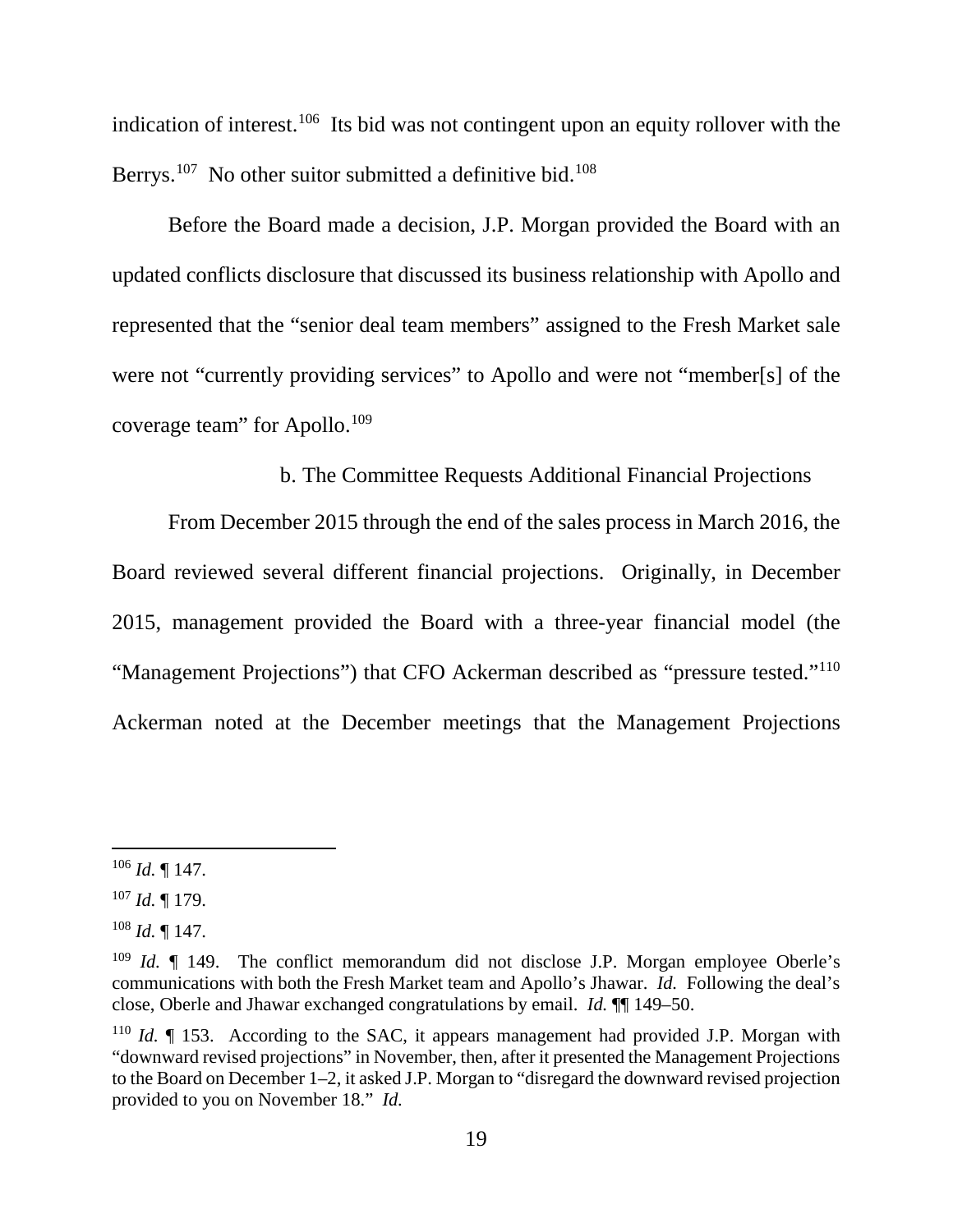indication of interest.<sup>106</sup> Its bid was not contingent upon an equity rollover with the Berrys.<sup>107</sup> No other suitor submitted a definitive bid.<sup>108</sup>

Before the Board made a decision, J.P. Morgan provided the Board with an updated conflicts disclosure that discussed its business relationship with Apollo and represented that the "senior deal team members" assigned to the Fresh Market sale were not "currently providing services" to Apollo and were not "member[s] of the coverage team" for Apollo.<sup>109</sup>

b. The Committee Requests Additional Financial Projections

From December 2015 through the end of the sales process in March 2016, the Board reviewed several different financial projections. Originally, in December 2015, management provided the Board with a three-year financial model (the "Management Projections") that CFO Ackerman described as "pressure tested."<sup>110</sup> Ackerman noted at the December meetings that the Management Projections

 $106$  *Id.* 147.

<sup>107</sup> *Id.* ¶ 179.

<sup>108</sup> *Id.* ¶ 147.

<sup>&</sup>lt;sup>109</sup> *Id.*  $\parallel$  149. The conflict memorandum did not disclose J.P. Morgan employee Oberle's communications with both the Fresh Market team and Apollo's Jhawar. *Id.* Following the deal's close, Oberle and Jhawar exchanged congratulations by email. *Id.* ¶¶ 149–50.

<sup>110</sup> *Id.* ¶ 153. According to the SAC, it appears management had provided J.P. Morgan with "downward revised projections" in November, then, after it presented the Management Projections to the Board on December 1–2, it asked J.P. Morgan to "disregard the downward revised projection provided to you on November 18." *Id.*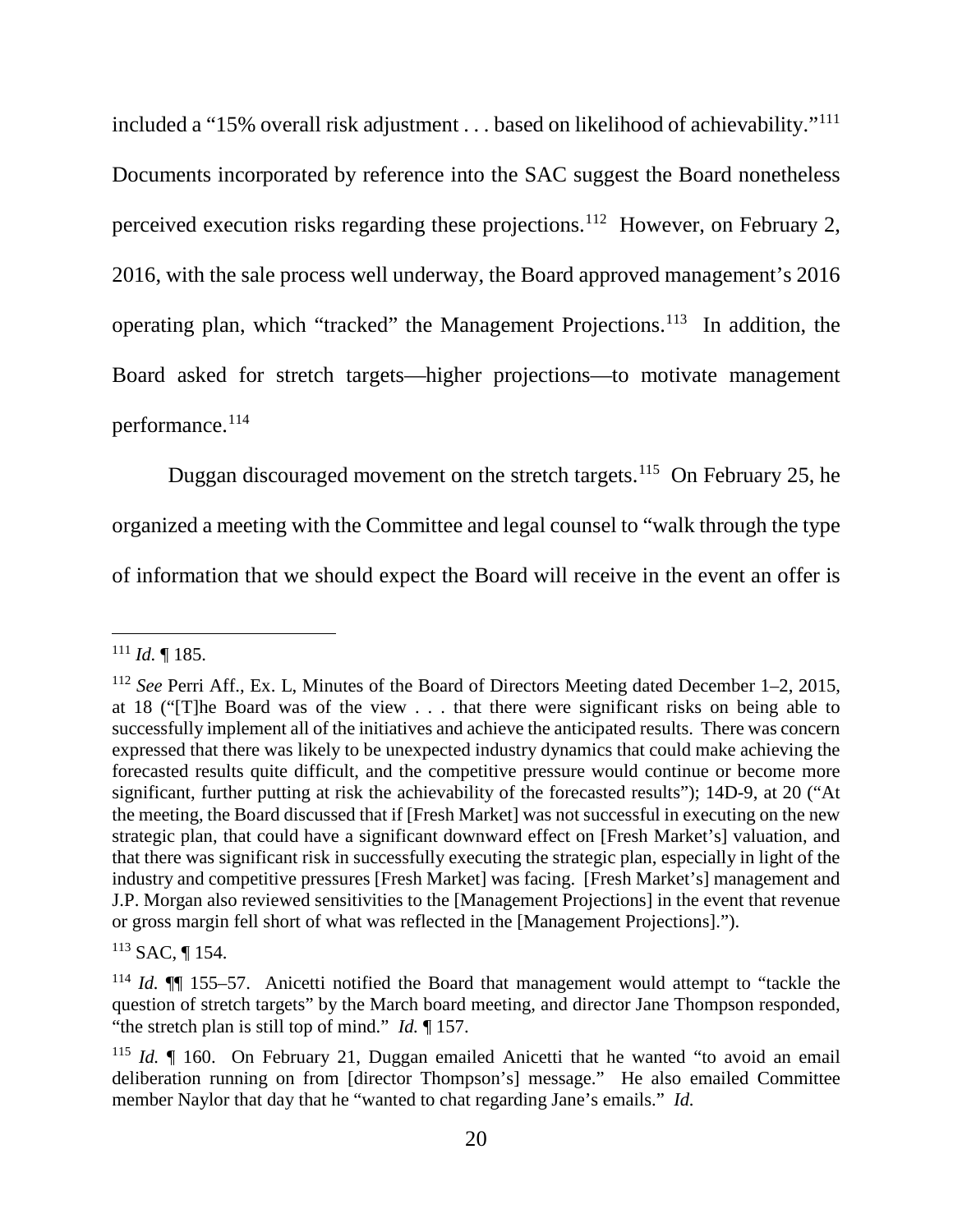included a "15% overall risk adjustment . . . based on likelihood of achievability."111 Documents incorporated by reference into the SAC suggest the Board nonetheless perceived execution risks regarding these projections.<sup>112</sup> However, on February 2, 2016, with the sale process well underway, the Board approved management's 2016 operating plan, which "tracked" the Management Projections. <sup>113</sup> In addition, the Board asked for stretch targets—higher projections—to motivate management performance.<sup>114</sup>

Duggan discouraged movement on the stretch targets.<sup>115</sup> On February 25, he organized a meeting with the Committee and legal counsel to "walk through the type of information that we should expect the Board will receive in the event an offer is

 <sup>111</sup> *Id.* ¶ 185.

<sup>112</sup> *See* Perri Aff., Ex. L, Minutes of the Board of Directors Meeting dated December 1–2, 2015, at 18 ("[T]he Board was of the view . . . that there were significant risks on being able to successfully implement all of the initiatives and achieve the anticipated results. There was concern expressed that there was likely to be unexpected industry dynamics that could make achieving the forecasted results quite difficult, and the competitive pressure would continue or become more significant, further putting at risk the achievability of the forecasted results"); 14D-9, at 20 ("At the meeting, the Board discussed that if [Fresh Market] was not successful in executing on the new strategic plan, that could have a significant downward effect on [Fresh Market's] valuation, and that there was significant risk in successfully executing the strategic plan, especially in light of the industry and competitive pressures [Fresh Market] was facing. [Fresh Market's] management and J.P. Morgan also reviewed sensitivities to the [Management Projections] in the event that revenue or gross margin fell short of what was reflected in the [Management Projections].").

 $113$  SAC, ¶ 154.

<sup>&</sup>lt;sup>114</sup> *Id.*  $\P$  155–57. Anicetti notified the Board that management would attempt to "tackle the question of stretch targets" by the March board meeting, and director Jane Thompson responded, "the stretch plan is still top of mind." *Id.* ¶ 157.

<sup>115</sup> *Id.* ¶ 160. On February 21, Duggan emailed Anicetti that he wanted "to avoid an email deliberation running on from [director Thompson's] message." He also emailed Committee member Naylor that day that he "wanted to chat regarding Jane's emails." *Id.*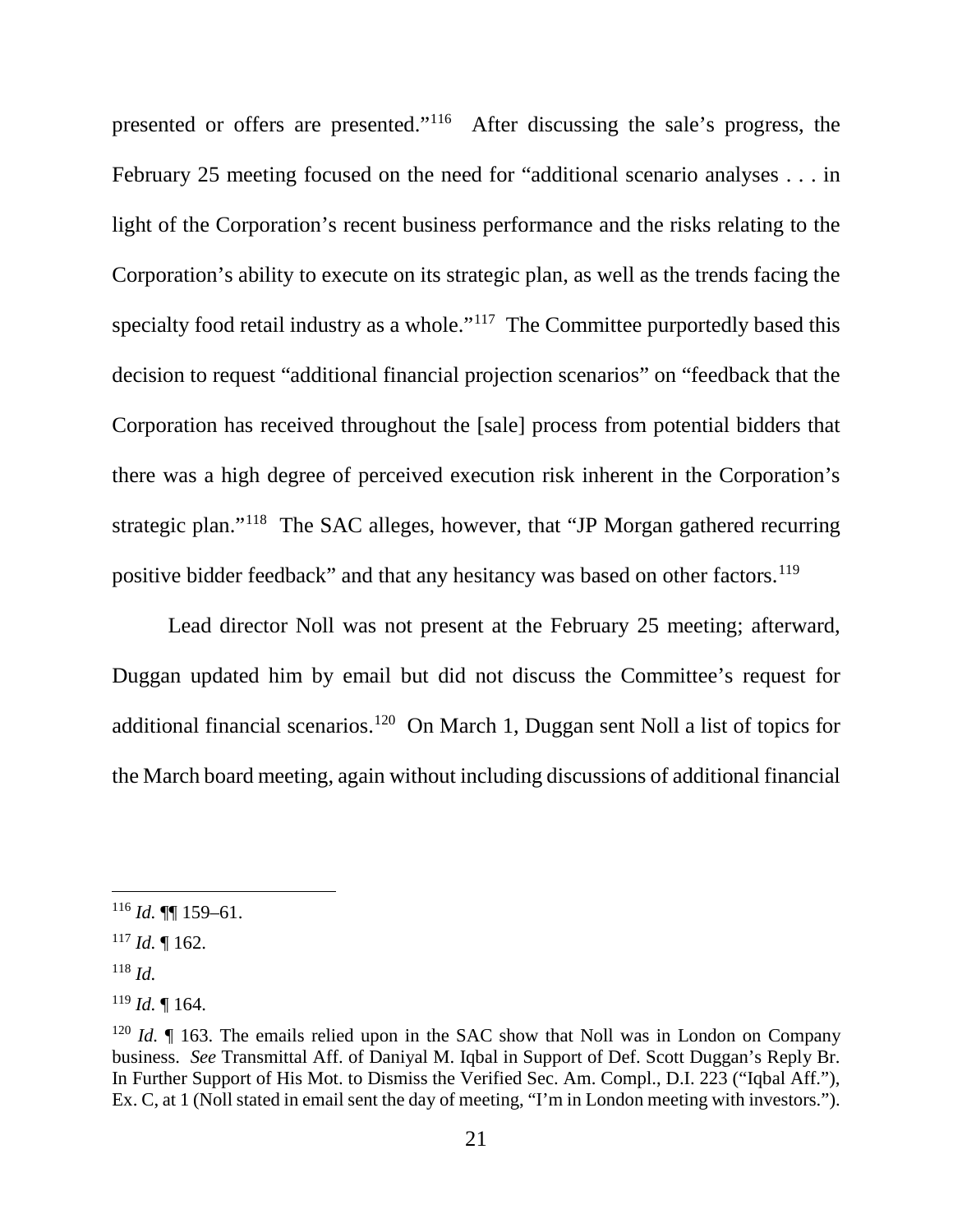presented or offers are presented."116 After discussing the sale's progress, the February 25 meeting focused on the need for "additional scenario analyses . . . in light of the Corporation's recent business performance and the risks relating to the Corporation's ability to execute on its strategic plan, as well as the trends facing the specialty food retail industry as a whole."<sup>117</sup> The Committee purportedly based this decision to request "additional financial projection scenarios" on "feedback that the Corporation has received throughout the [sale] process from potential bidders that there was a high degree of perceived execution risk inherent in the Corporation's strategic plan."118 The SAC alleges, however, that "JP Morgan gathered recurring positive bidder feedback" and that any hesitancy was based on other factors.<sup>119</sup>

Lead director Noll was not present at the February 25 meeting; afterward, Duggan updated him by email but did not discuss the Committee's request for additional financial scenarios.120 On March 1, Duggan sent Noll a list of topics for the March board meeting, again without including discussions of additional financial

 $116$  *Id.* **[16** 159–61.

 $117$  *Id.* 162.

<sup>118</sup> *Id.*

<sup>119</sup> *Id.* ¶ 164.

<sup>&</sup>lt;sup>120</sup> *Id.*  $\parallel$  163. The emails relied upon in the SAC show that Noll was in London on Company business. *See* Transmittal Aff. of Daniyal M. Iqbal in Support of Def. Scott Duggan's Reply Br. In Further Support of His Mot. to Dismiss the Verified Sec. Am. Compl., D.I. 223 ("Iqbal Aff."), Ex. C, at 1 (Noll stated in email sent the day of meeting, "I'm in London meeting with investors.").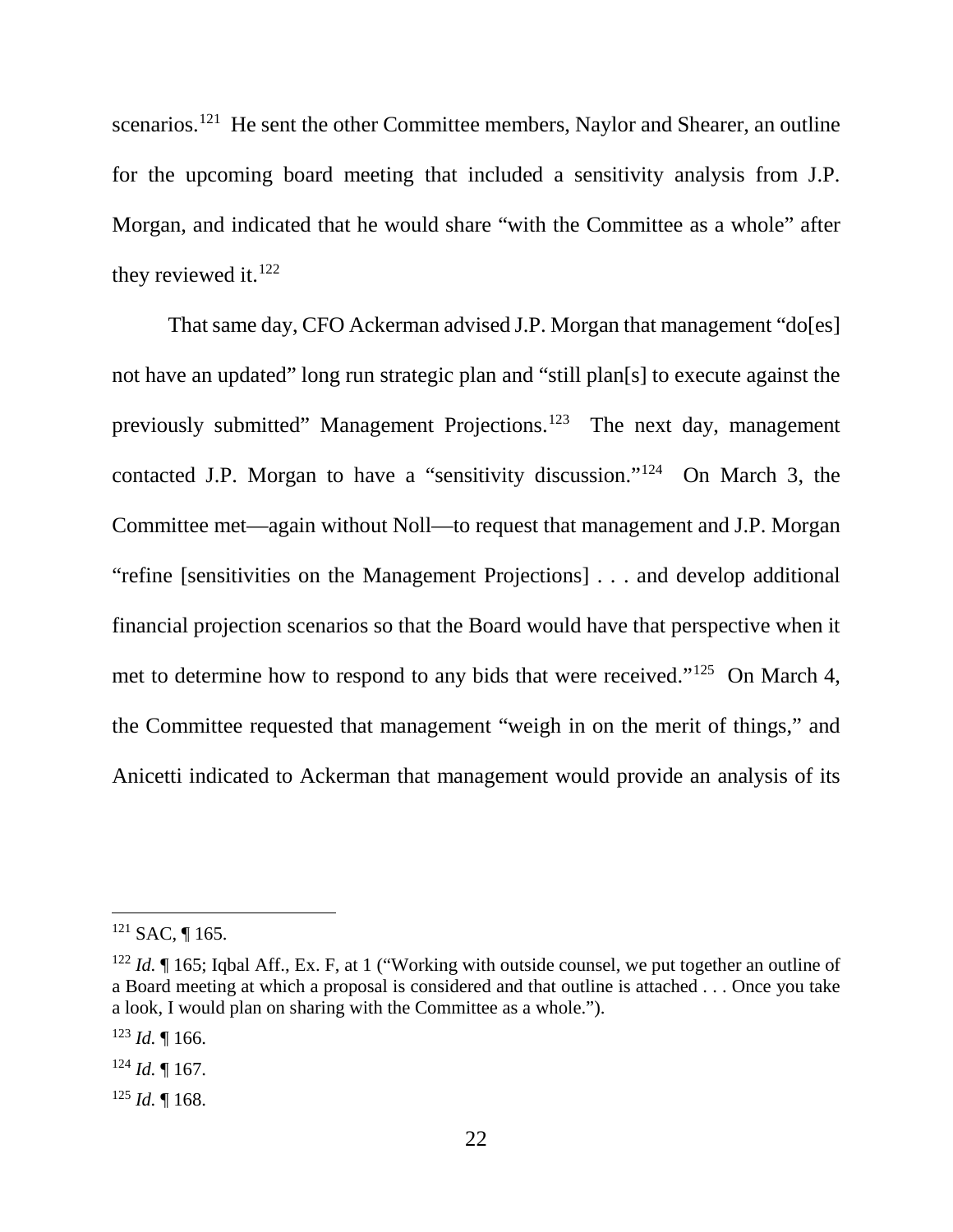scenarios.<sup>121</sup> He sent the other Committee members, Naylor and Shearer, an outline for the upcoming board meeting that included a sensitivity analysis from J.P. Morgan, and indicated that he would share "with the Committee as a whole" after they reviewed it.<sup>122</sup>

That same day, CFO Ackerman advised J.P. Morgan that management "do[es] not have an updated" long run strategic plan and "still plan[s] to execute against the previously submitted" Management Projections.<sup>123</sup> The next day, management contacted J.P. Morgan to have a "sensitivity discussion."124 On March 3, the Committee met—again without Noll—to request that management and J.P. Morgan "refine [sensitivities on the Management Projections] . . . and develop additional financial projection scenarios so that the Board would have that perspective when it met to determine how to respond to any bids that were received."125 On March 4, the Committee requested that management "weigh in on the merit of things," and Anicetti indicated to Ackerman that management would provide an analysis of its

 $121$  SAC, ¶ 165.

<sup>&</sup>lt;sup>122</sup> *Id.* If 165; Iqbal Aff., Ex. F, at 1 ("Working with outside counsel, we put together an outline of a Board meeting at which a proposal is considered and that outline is attached . . . Once you take a look, I would plan on sharing with the Committee as a whole.").

 $123$  *Id.* 166.

 $124$  *Id.* 167.

 $125$  *Id.* 168.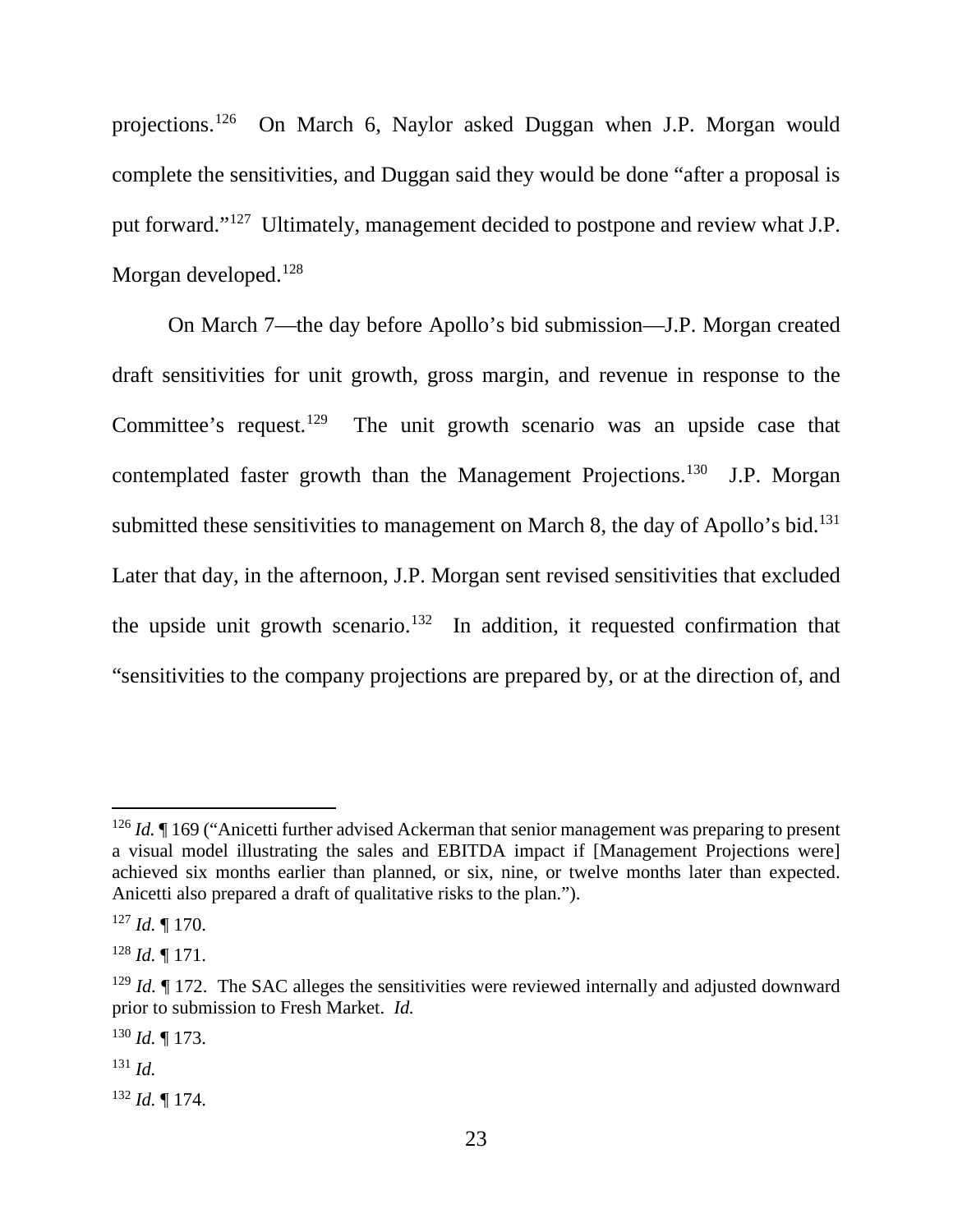projections.126 On March 6, Naylor asked Duggan when J.P. Morgan would complete the sensitivities, and Duggan said they would be done "after a proposal is put forward."127 Ultimately, management decided to postpone and review what J.P. Morgan developed.<sup>128</sup>

On March 7—the day before Apollo's bid submission—J.P. Morgan created draft sensitivities for unit growth, gross margin, and revenue in response to the Committee's request.<sup>129</sup> The unit growth scenario was an upside case that contemplated faster growth than the Management Projections.<sup>130</sup> J.P. Morgan submitted these sensitivities to management on March 8, the day of Apollo's bid.<sup>131</sup> Later that day, in the afternoon, J.P. Morgan sent revised sensitivities that excluded the upside unit growth scenario.<sup>132</sup> In addition, it requested confirmation that "sensitivities to the company projections are prepared by, or at the direction of, and

<sup>132</sup> *Id.* ¶ 174.

<sup>&</sup>lt;sup>126</sup> *Id.* If 169 ("Anicetti further advised Ackerman that senior management was preparing to present a visual model illustrating the sales and EBITDA impact if [Management Projections were] achieved six months earlier than planned, or six, nine, or twelve months later than expected. Anicetti also prepared a draft of qualitative risks to the plan.").

<sup>127</sup> *Id.* ¶ 170.

<sup>128</sup> *Id.* ¶ 171.

<sup>&</sup>lt;sup>129</sup> *Id.*  $\parallel$  172. The SAC alleges the sensitivities were reviewed internally and adjusted downward prior to submission to Fresh Market. *Id.*

<sup>130</sup> *Id.* ¶ 173.

<sup>131</sup> *Id.*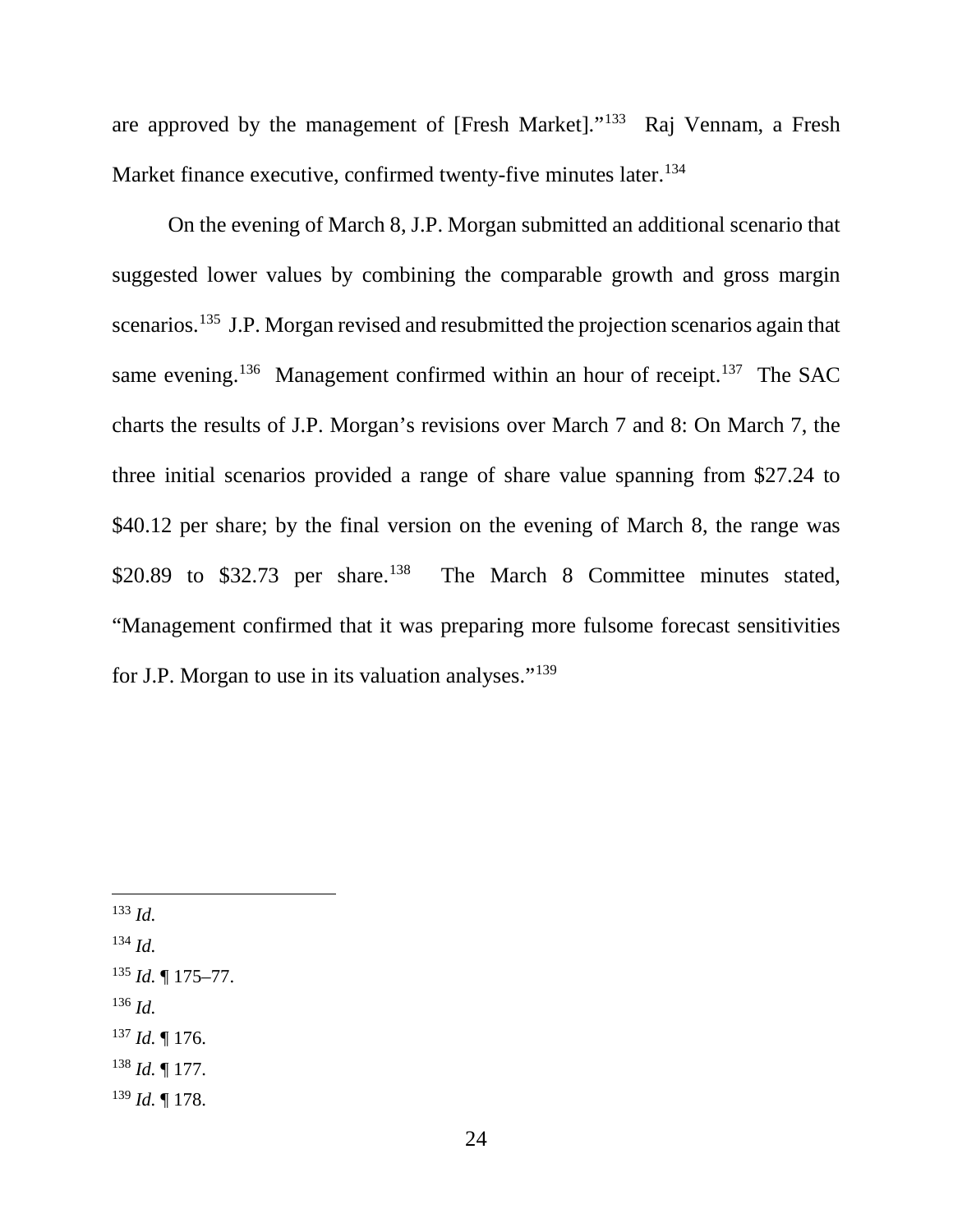are approved by the management of [Fresh Market]."133 Raj Vennam, a Fresh Market finance executive, confirmed twenty-five minutes later.<sup>134</sup>

On the evening of March 8, J.P. Morgan submitted an additional scenario that suggested lower values by combining the comparable growth and gross margin scenarios.<sup>135</sup> J.P. Morgan revised and resubmitted the projection scenarios again that same evening.<sup>136</sup> Management confirmed within an hour of receipt.<sup>137</sup> The SAC charts the results of J.P. Morgan's revisions over March 7 and 8: On March 7, the three initial scenarios provided a range of share value spanning from \$27.24 to \$40.12 per share; by the final version on the evening of March 8, the range was \$20.89 to \$32.73 per share.<sup>138</sup> The March 8 Committee minutes stated, "Management confirmed that it was preparing more fulsome forecast sensitivities for J.P. Morgan to use in its valuation analyses."139

133 *Id.*

<sup>134</sup> *Id.*

<sup>135</sup> *Id.* ¶ 175–77. <sup>136</sup> *Id.* <sup>137</sup> *Id.* ¶ 176.

<sup>138</sup> *Id.* ¶ 177.

<sup>139</sup> *Id.* ¶ 178.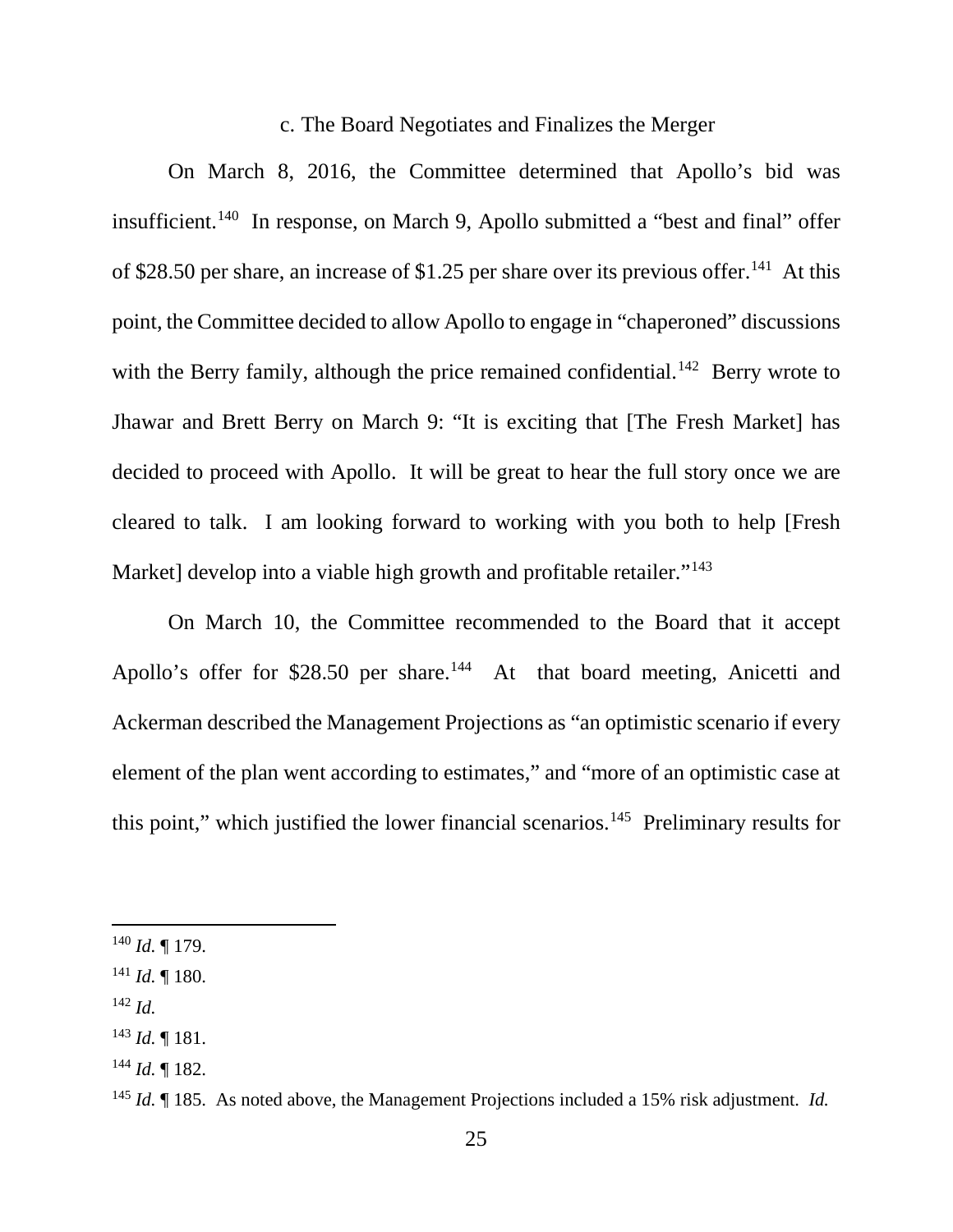#### c. The Board Negotiates and Finalizes the Merger

On March 8, 2016, the Committee determined that Apollo's bid was insufficient.140 In response, on March 9, Apollo submitted a "best and final" offer of \$28.50 per share, an increase of \$1.25 per share over its previous offer.<sup>141</sup> At this point, the Committee decided to allow Apollo to engage in "chaperoned" discussions with the Berry family, although the price remained confidential.<sup>142</sup> Berry wrote to Jhawar and Brett Berry on March 9: "It is exciting that [The Fresh Market] has decided to proceed with Apollo. It will be great to hear the full story once we are cleared to talk. I am looking forward to working with you both to help [Fresh Market] develop into a viable high growth and profitable retailer."<sup>143</sup>

On March 10, the Committee recommended to the Board that it accept Apollo's offer for \$28.50 per share.<sup>144</sup> At that board meeting, Anicetti and Ackerman described the Management Projections as "an optimistic scenario if every element of the plan went according to estimates," and "more of an optimistic case at this point," which justified the lower financial scenarios. 145 Preliminary results for

- <sup>142</sup> *Id.*
- <sup>143</sup> *Id.* ¶ 181.
- $^{144}$  *Id.* ¶ 182.

 <sup>140</sup> *Id.* ¶ 179.

<sup>141</sup> *Id.* ¶ 180.

<sup>145</sup> *Id.* ¶ 185. As noted above, the Management Projections included a 15% risk adjustment. *Id.*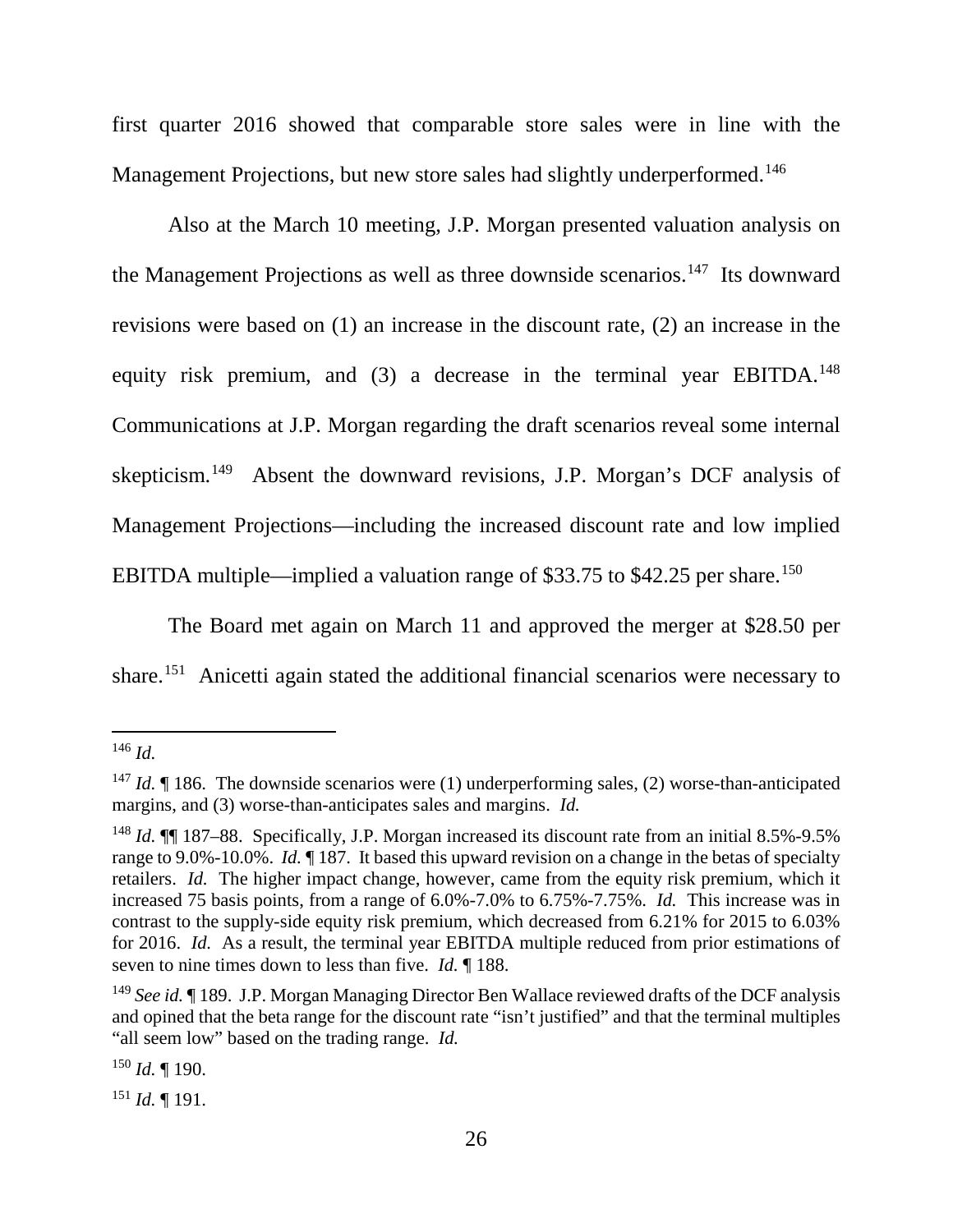first quarter 2016 showed that comparable store sales were in line with the Management Projections, but new store sales had slightly underperformed.<sup>146</sup>

Also at the March 10 meeting, J.P. Morgan presented valuation analysis on the Management Projections as well as three downside scenarios.<sup>147</sup> Its downward revisions were based on (1) an increase in the discount rate, (2) an increase in the equity risk premium, and (3) a decrease in the terminal year EBITDA.<sup>148</sup> Communications at J.P. Morgan regarding the draft scenarios reveal some internal skepticism.<sup>149</sup> Absent the downward revisions, J.P. Morgan's DCF analysis of Management Projections—including the increased discount rate and low implied EBITDA multiple—implied a valuation range of \$33.75 to \$42.25 per share.<sup>150</sup>

The Board met again on March 11 and approved the merger at \$28.50 per share.151 Anicetti again stated the additional financial scenarios were necessary to

 $151$  *Id.* 191.

 <sup>146</sup> *Id.*

<sup>&</sup>lt;sup>147</sup> *Id.* 186. The downside scenarios were (1) underperforming sales, (2) worse-than-anticipated margins, and (3) worse-than-anticipates sales and margins. *Id.*

<sup>&</sup>lt;sup>148</sup> *Id.*  $\P$  187–88. Specifically, J.P. Morgan increased its discount rate from an initial 8.5%-9.5% range to 9.0%-10.0%. *Id.* ¶ 187. It based this upward revision on a change in the betas of specialty retailers. *Id.* The higher impact change, however, came from the equity risk premium, which it increased 75 basis points, from a range of 6.0%-7.0% to 6.75%-7.75%. *Id.* This increase was in contrast to the supply-side equity risk premium, which decreased from 6.21% for 2015 to 6.03% for 2016. *Id.* As a result, the terminal year EBITDA multiple reduced from prior estimations of seven to nine times down to less than five. *Id.* ¶ 188.

<sup>&</sup>lt;sup>149</sup> *See id.* 189. J.P. Morgan Managing Director Ben Wallace reviewed drafts of the DCF analysis and opined that the beta range for the discount rate "isn't justified" and that the terminal multiples "all seem low" based on the trading range. *Id.*

<sup>150</sup> *Id.* ¶ 190.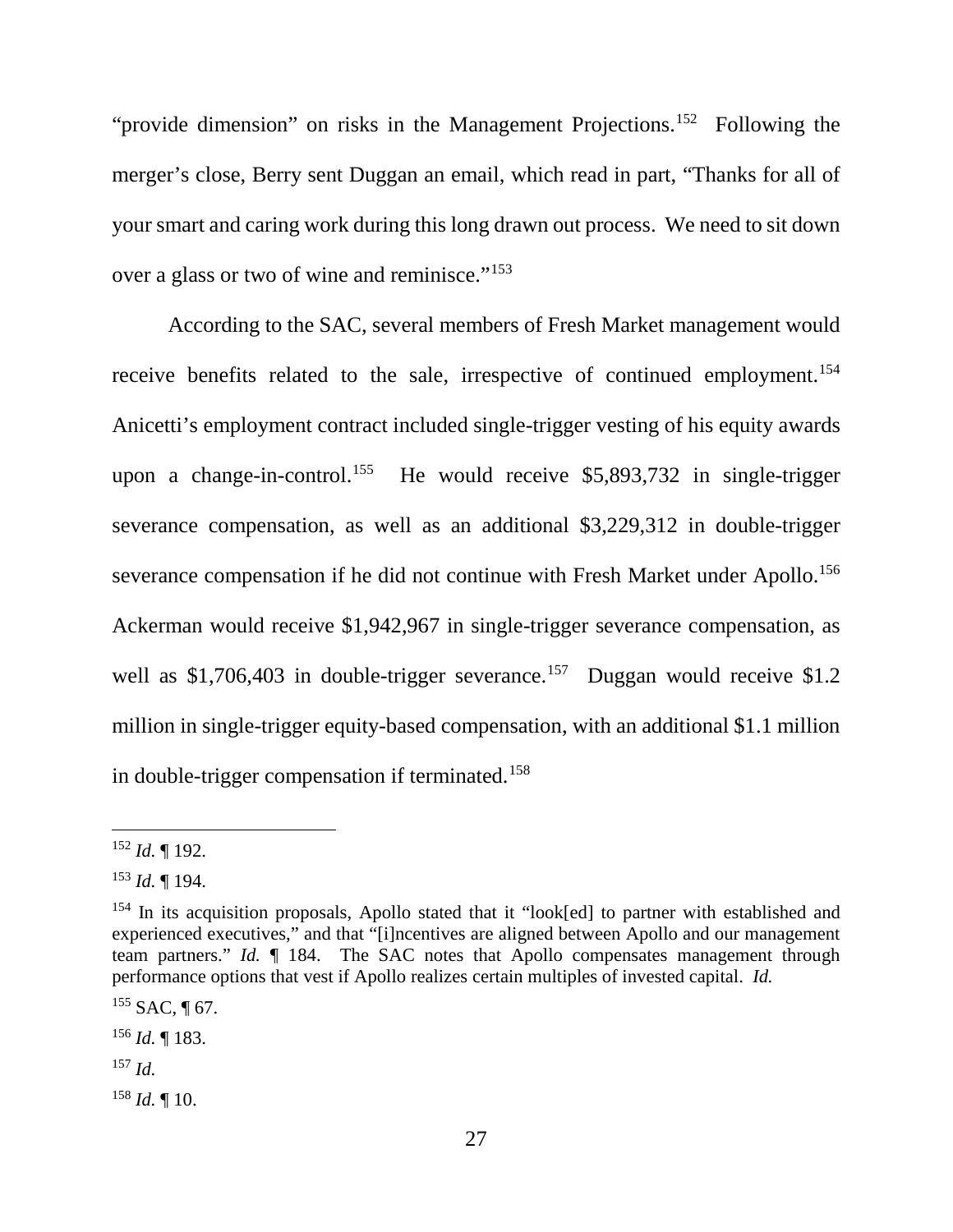"provide dimension" on risks in the Management Projections.<sup>152</sup> Following the merger's close, Berry sent Duggan an email, which read in part, "Thanks for all of your smart and caring work during this long drawn out process. We need to sit down over a glass or two of wine and reminisce."<sup>153</sup>

According to the SAC, several members of Fresh Market management would receive benefits related to the sale, irrespective of continued employment.<sup>154</sup> Anicetti's employment contract included single-trigger vesting of his equity awards upon a change-in-control.<sup>155</sup> He would receive \$5,893,732 in single-trigger severance compensation, as well as an additional \$3,229,312 in double-trigger severance compensation if he did not continue with Fresh Market under Apollo.<sup>156</sup> Ackerman would receive \$1,942,967 in single-trigger severance compensation, as well as \$1,706,403 in double-trigger severance.<sup>157</sup> Duggan would receive \$1.2 million in single-trigger equity-based compensation, with an additional \$1.1 million in double-trigger compensation if terminated.158

 $158$  *Id.* 10.

 <sup>152</sup> *Id.* ¶ 192.

<sup>153</sup> *Id.* ¶ 194.

<sup>&</sup>lt;sup>154</sup> In its acquisition proposals, Apollo stated that it "look[ed] to partner with established and experienced executives," and that "[i]ncentives are aligned between Apollo and our management team partners." *Id.* ¶ 184. The SAC notes that Apollo compensates management through performance options that vest if Apollo realizes certain multiples of invested capital. *Id.*

 $155$  SAC, ¶ 67.

<sup>156</sup> *Id.* ¶ 183.

<sup>157</sup> *Id.*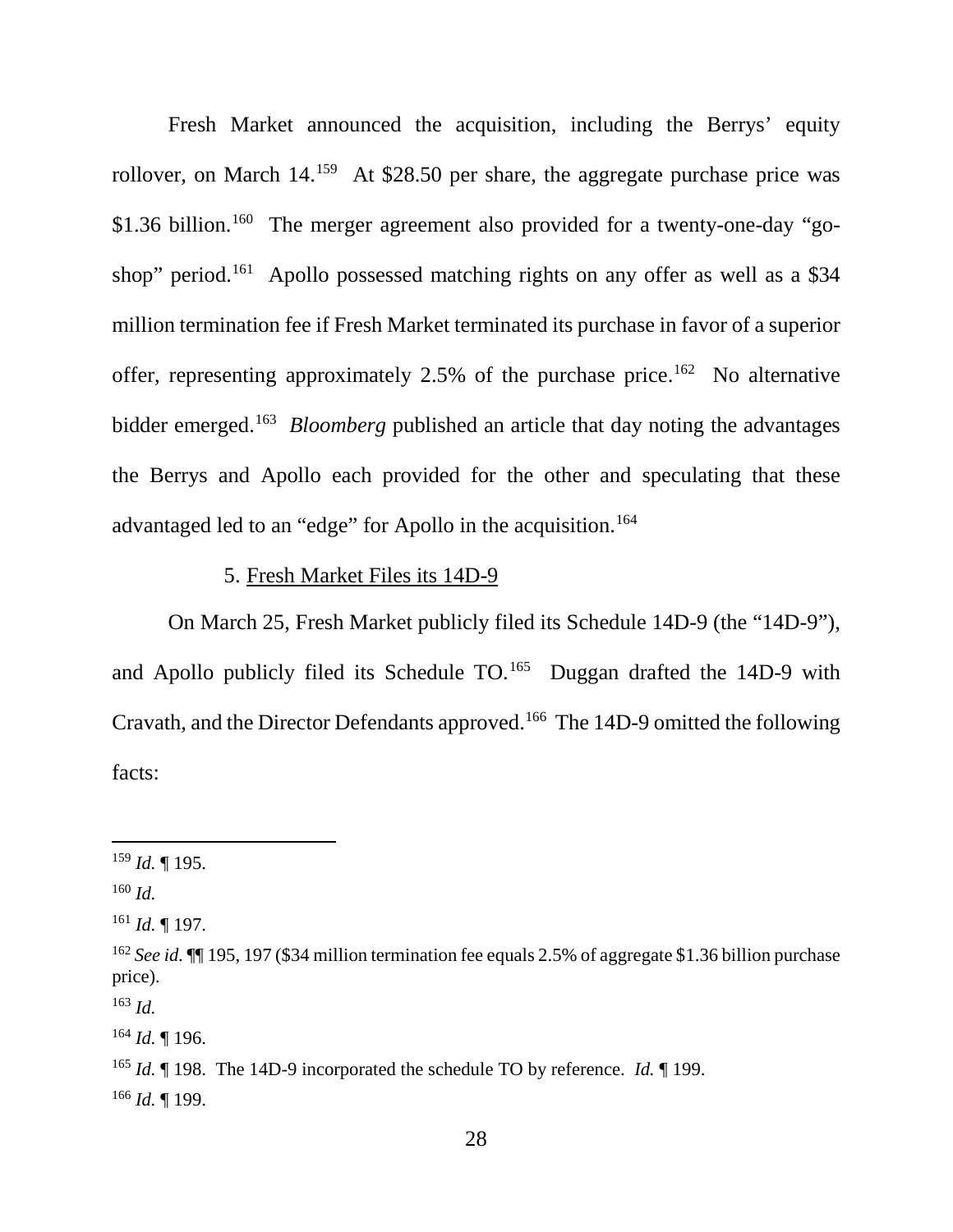Fresh Market announced the acquisition, including the Berrys' equity rollover, on March 14.159 At \$28.50 per share, the aggregate purchase price was \$1.36 billion.<sup>160</sup> The merger agreement also provided for a twenty-one-day "goshop" period.<sup>161</sup> Apollo possessed matching rights on any offer as well as a \$34 million termination fee if Fresh Market terminated its purchase in favor of a superior offer, representing approximately 2.5% of the purchase price.<sup>162</sup> No alternative bidder emerged.163 *Bloomberg* published an article that day noting the advantages the Berrys and Apollo each provided for the other and speculating that these advantaged led to an "edge" for Apollo in the acquisition.<sup>164</sup>

### 5. Fresh Market Files its 14D-9

On March 25, Fresh Market publicly filed its Schedule 14D-9 (the "14D-9"), and Apollo publicly filed its Schedule  $TO<sup>165</sup>$  Duggan drafted the 14D-9 with Cravath, and the Director Defendants approved.166 The 14D-9 omitted the following facts:

<sup>160</sup> *Id.*

<sup>163</sup> *Id.*

<sup>164</sup> *Id.* ¶ 196.

<sup>166</sup> *Id.* ¶ 199.

 <sup>159</sup> *Id.* ¶ 195.

<sup>161</sup> *Id.* ¶ 197.

<sup>162</sup> *See id.* ¶¶ 195, 197 (\$34 million termination fee equals 2.5% of aggregate \$1.36 billion purchase price).

<sup>&</sup>lt;sup>165</sup> *Id.* 198. The 14D-9 incorporated the schedule TO by reference. *Id.* 199.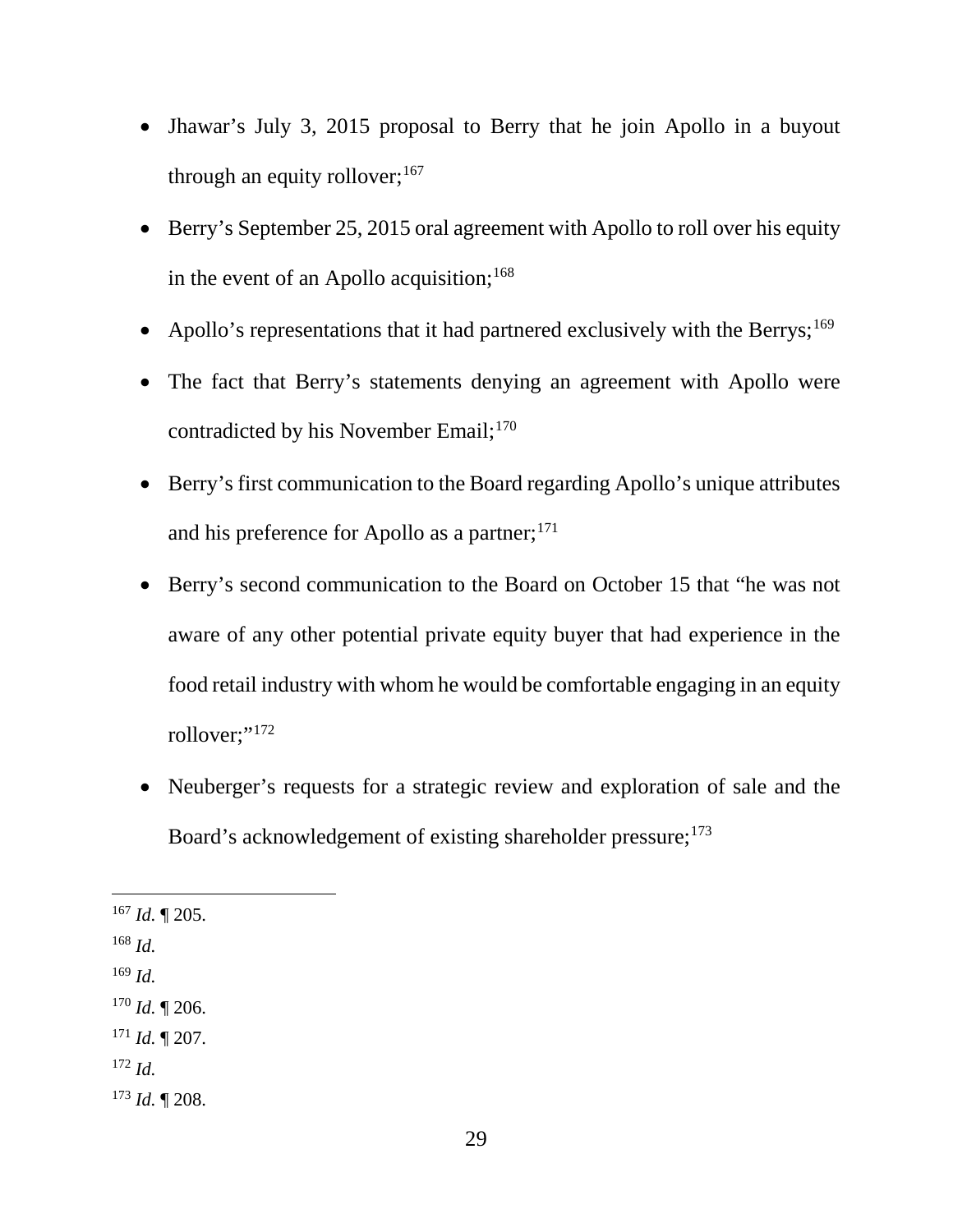- Jhawar's July 3, 2015 proposal to Berry that he join Apollo in a buyout through an equity rollover;  $167$
- Berry's September 25, 2015 oral agreement with Apollo to roll over his equity in the event of an Apollo acquisition; $168$
- Apollo's representations that it had partnered exclusively with the Berrys;<sup>169</sup>
- The fact that Berry's statements denying an agreement with Apollo were contradicted by his November Email;<sup>170</sup>
- Berry's first communication to the Board regarding Apollo's unique attributes and his preference for Apollo as a partner;<sup>171</sup>
- Berry's second communication to the Board on October 15 that "he was not aware of any other potential private equity buyer that had experience in the food retail industry with whom he would be comfortable engaging in an equity rollover;"<sup>172</sup>
- Neuberger's requests for a strategic review and exploration of sale and the Board's acknowledgement of existing shareholder pressure; 173

<sup>169</sup> *Id.*

<sup>172</sup> *Id.*

 $167$  *Id.* 1 205.

<sup>168</sup> *Id.*

<sup>170</sup> *Id.* ¶ 206.

 $171$  *Id.*  $\P$  207.

<sup>173</sup> *Id.* ¶ 208.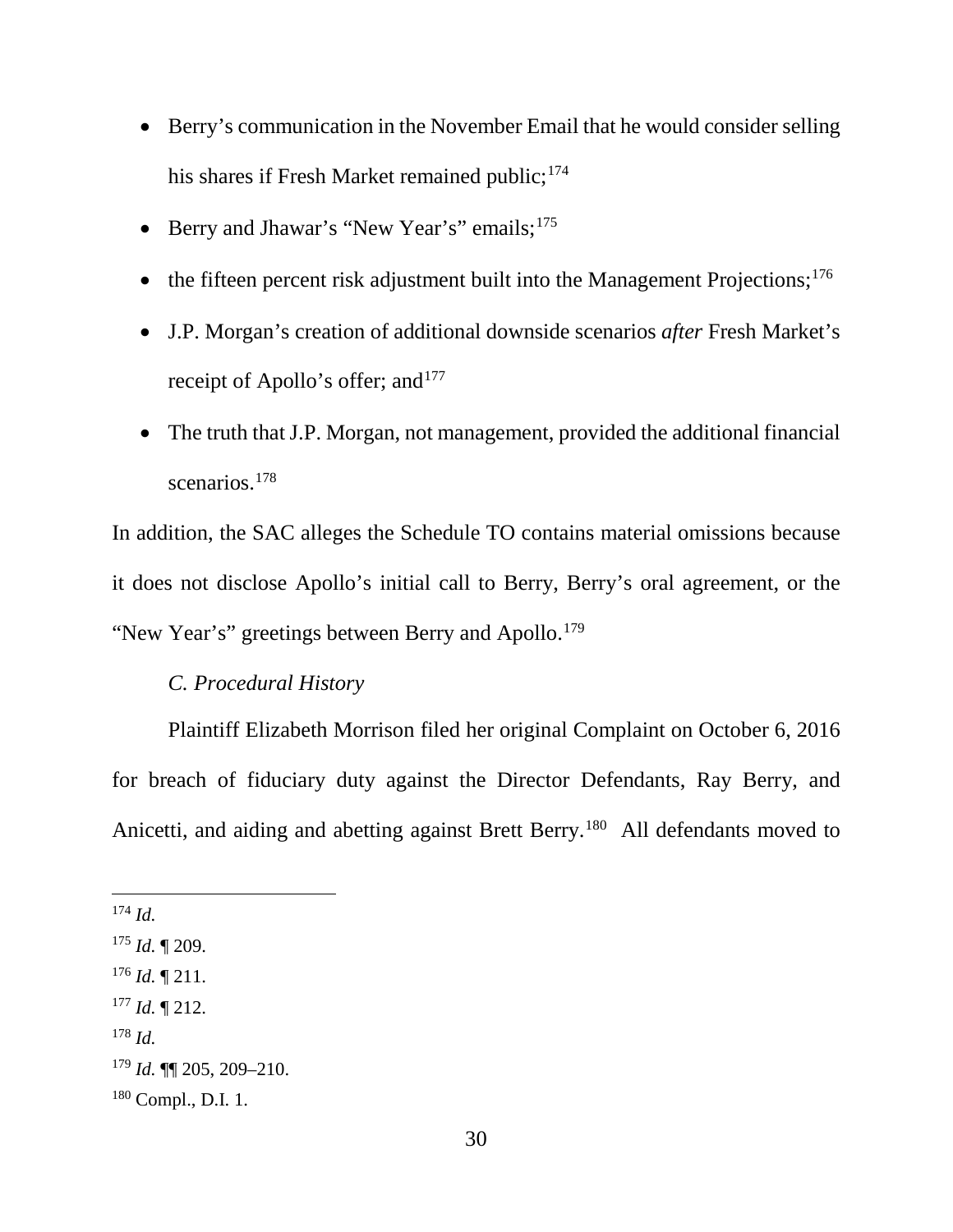- Berry's communication in the November Email that he would consider selling his shares if Fresh Market remained public;<sup>174</sup>
- Berry and Jhawar's "New Year's" emails; 175
- the fifteen percent risk adjustment built into the Management Projections;<sup>176</sup>
- J.P. Morgan's creation of additional downside scenarios *after* Fresh Market's receipt of Apollo's offer; and<sup>177</sup>
- The truth that J.P. Morgan, not management, provided the additional financial scenarios.<sup>178</sup>

In addition, the SAC alleges the Schedule TO contains material omissions because it does not disclose Apollo's initial call to Berry, Berry's oral agreement, or the "New Year's" greetings between Berry and Apollo.<sup>179</sup>

#### *C. Procedural History*

Plaintiff Elizabeth Morrison filed her original Complaint on October 6, 2016 for breach of fiduciary duty against the Director Defendants, Ray Berry, and Anicetti, and aiding and abetting against Brett Berry.<sup>180</sup> All defendants moved to

- <sup>176</sup> *Id.* ¶ 211.
- <sup>177</sup> *Id.* ¶ 212.
- <sup>178</sup> *Id.*

 <sup>174</sup> *Id.*

<sup>175</sup> *Id.* ¶ 209.

<sup>179</sup> *Id.* ¶¶ 205, 209–210.

<sup>180</sup> Compl., D.I. 1.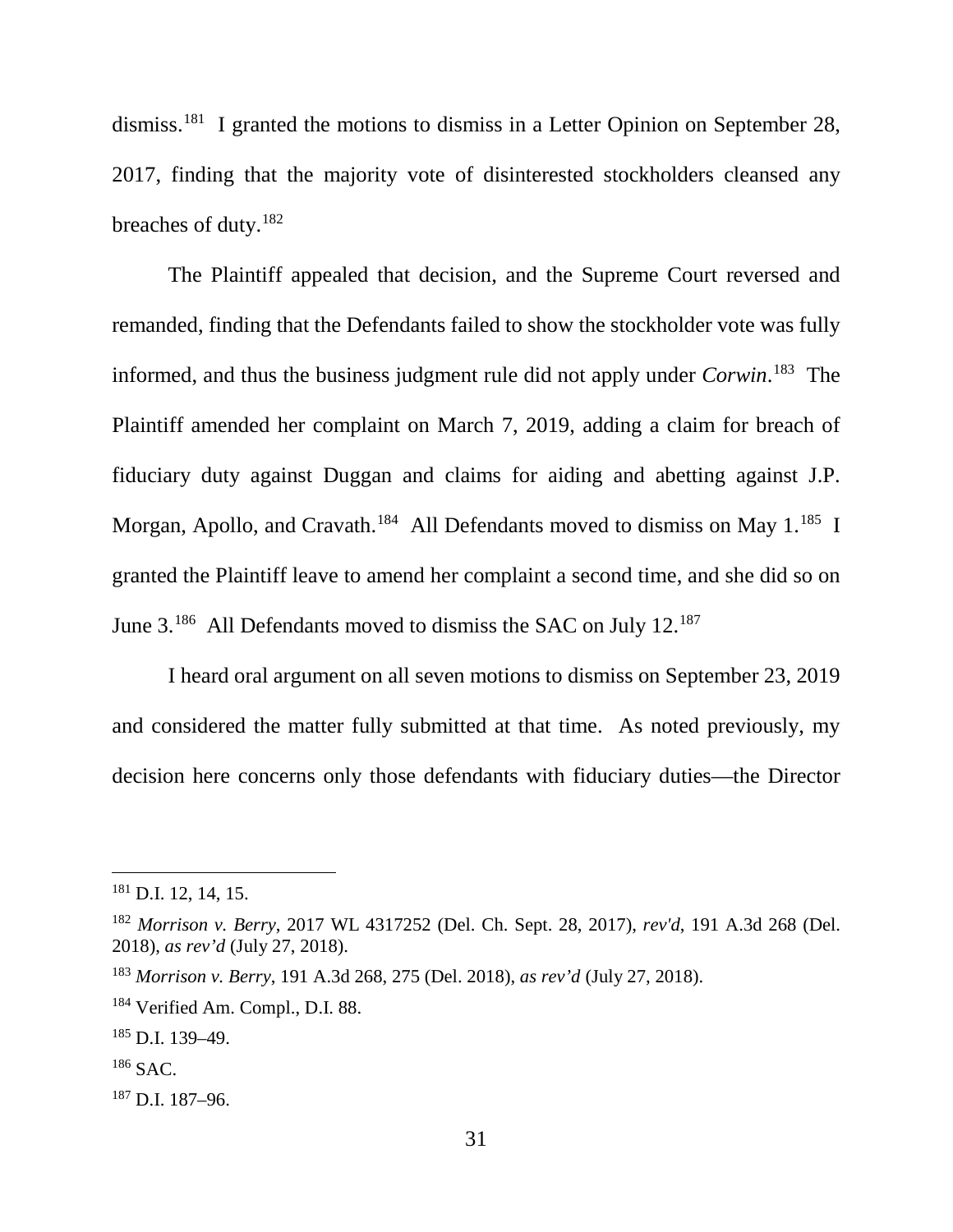dismiss.181 I granted the motions to dismiss in a Letter Opinion on September 28, 2017, finding that the majority vote of disinterested stockholders cleansed any breaches of duty.<sup>182</sup>

The Plaintiff appealed that decision, and the Supreme Court reversed and remanded, finding that the Defendants failed to show the stockholder vote was fully informed, and thus the business judgment rule did not apply under *Corwin*. 183 The Plaintiff amended her complaint on March 7, 2019, adding a claim for breach of fiduciary duty against Duggan and claims for aiding and abetting against J.P. Morgan, Apollo, and Cravath.<sup>184</sup> All Defendants moved to dismiss on May 1.<sup>185</sup> I granted the Plaintiff leave to amend her complaint a second time, and she did so on June 3.<sup>186</sup> All Defendants moved to dismiss the SAC on July 12.<sup>187</sup>

I heard oral argument on all seven motions to dismiss on September 23, 2019 and considered the matter fully submitted at that time. As noted previously, my decision here concerns only those defendants with fiduciary duties—the Director

<sup>187</sup> D.I. 187–96.

 <sup>181</sup> D.I. 12, 14, 15.

<sup>182</sup> *Morrison v. Berry*, 2017 WL 4317252 (Del. Ch. Sept. 28, 2017), *rev'd*, 191 A.3d 268 (Del. 2018), *as rev'd* (July 27, 2018).

<sup>183</sup> *Morrison v. Berry*, 191 A.3d 268, 275 (Del. 2018), *as rev'd* (July 27, 2018).

<sup>184</sup> Verified Am. Compl., D.I. 88.

 $185$  D.I. 139-49.

 $186$  SAC.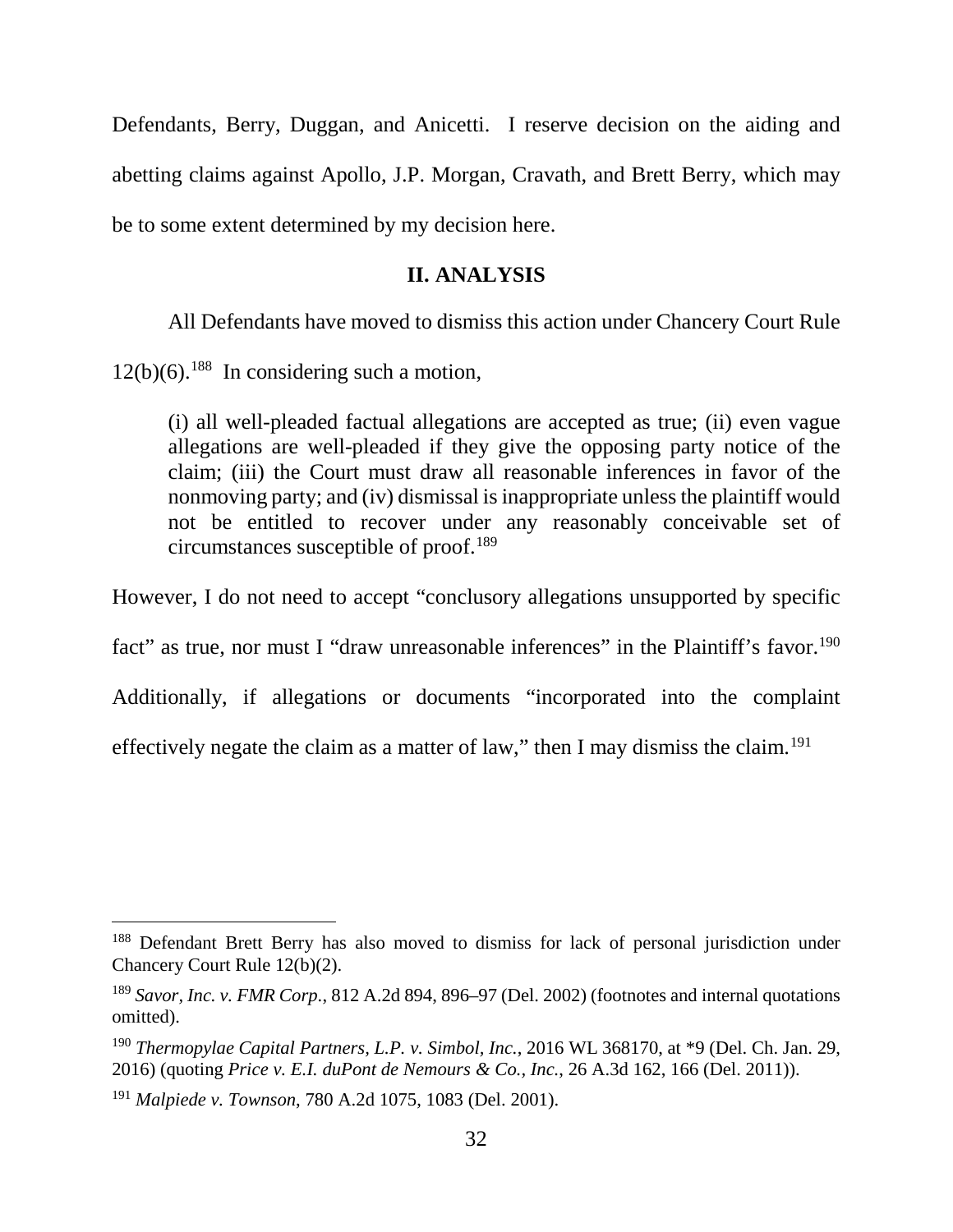Defendants, Berry, Duggan, and Anicetti. I reserve decision on the aiding and abetting claims against Apollo, J.P. Morgan, Cravath, and Brett Berry, which may be to some extent determined by my decision here.

### **II. ANALYSIS**

All Defendants have moved to dismiss this action under Chancery Court Rule

 $12(b)(6)$ .<sup>188</sup> In considering such a motion,

(i) all well-pleaded factual allegations are accepted as true; (ii) even vague allegations are well-pleaded if they give the opposing party notice of the claim; (iii) the Court must draw all reasonable inferences in favor of the nonmoving party; and (iv) dismissal is inappropriate unless the plaintiff would not be entitled to recover under any reasonably conceivable set of circumstances susceptible of proof.189

However, I do not need to accept "conclusory allegations unsupported by specific

fact" as true, nor must I "draw unreasonable inferences" in the Plaintiff's favor.<sup>190</sup>

Additionally, if allegations or documents "incorporated into the complaint

effectively negate the claim as a matter of law," then I may dismiss the claim.191

<sup>&</sup>lt;sup>188</sup> Defendant Brett Berry has also moved to dismiss for lack of personal jurisdiction under Chancery Court Rule 12(b)(2).

<sup>189</sup> *Savor, Inc. v. FMR Corp.*, 812 A.2d 894, 896–97 (Del. 2002) (footnotes and internal quotations omitted).

<sup>190</sup> *Thermopylae Capital Partners, L.P. v. Simbol, Inc.*, 2016 WL 368170, at \*9 (Del. Ch. Jan. 29, 2016) (quoting *Price v. E.I. duPont de Nemours & Co., Inc.*, 26 A.3d 162, 166 (Del. 2011)).

<sup>191</sup> *Malpiede v. Townson*, 780 A.2d 1075, 1083 (Del. 2001).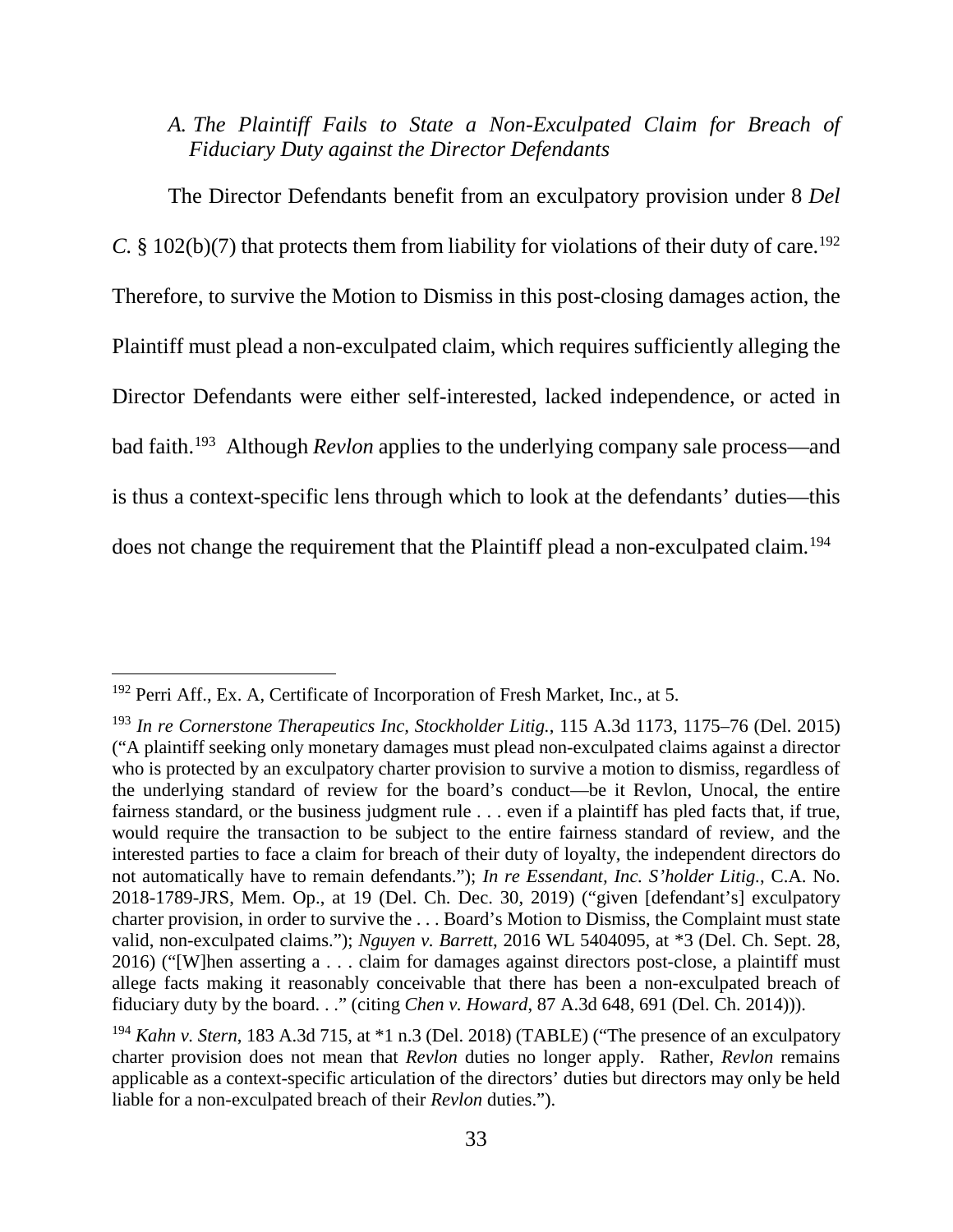*A. The Plaintiff Fails to State a Non-Exculpated Claim for Breach of Fiduciary Duty against the Director Defendants*

The Director Defendants benefit from an exculpatory provision under 8 *Del C.*  $\S$  102(b)(7) that protects them from liability for violations of their duty of care.<sup>192</sup> Therefore, to survive the Motion to Dismiss in this post-closing damages action, the Plaintiff must plead a non-exculpated claim, which requires sufficiently alleging the Director Defendants were either self-interested, lacked independence, or acted in bad faith.193 Although *Revlon* applies to the underlying company sale process—and is thus a context-specific lens through which to look at the defendants' duties—this does not change the requirement that the Plaintiff plead a non-exculpated claim.<sup>194</sup>

<sup>&</sup>lt;sup>192</sup> Perri Aff., Ex. A, Certificate of Incorporation of Fresh Market, Inc., at 5.

<sup>193</sup> *In re Cornerstone Therapeutics Inc, Stockholder Litig.*, 115 A.3d 1173, 1175–76 (Del. 2015) ("A plaintiff seeking only monetary damages must plead non-exculpated claims against a director who is protected by an exculpatory charter provision to survive a motion to dismiss, regardless of the underlying standard of review for the board's conduct—be it Revlon, Unocal, the entire fairness standard, or the business judgment rule . . . even if a plaintiff has pled facts that, if true, would require the transaction to be subject to the entire fairness standard of review, and the interested parties to face a claim for breach of their duty of loyalty, the independent directors do not automatically have to remain defendants."); *In re Essendant, Inc. S'holder Litig.*, C.A. No. 2018-1789-JRS, Mem. Op., at 19 (Del. Ch. Dec. 30, 2019) ("given [defendant's] exculpatory charter provision, in order to survive the . . . Board's Motion to Dismiss, the Complaint must state valid, non-exculpated claims."); *Nguyen v. Barrett*, 2016 WL 5404095, at \*3 (Del. Ch. Sept. 28, 2016) ("[W]hen asserting a . . . claim for damages against directors post-close, a plaintiff must allege facts making it reasonably conceivable that there has been a non-exculpated breach of fiduciary duty by the board. . ." (citing *Chen v. Howard*, 87 A.3d 648, 691 (Del. Ch. 2014))).

<sup>194</sup> *Kahn v. Stern*, 183 A.3d 715, at \*1 n.3 (Del. 2018) (TABLE) ("The presence of an exculpatory charter provision does not mean that *Revlon* duties no longer apply. Rather, *Revlon* remains applicable as a context-specific articulation of the directors' duties but directors may only be held liable for a non-exculpated breach of their *Revlon* duties.").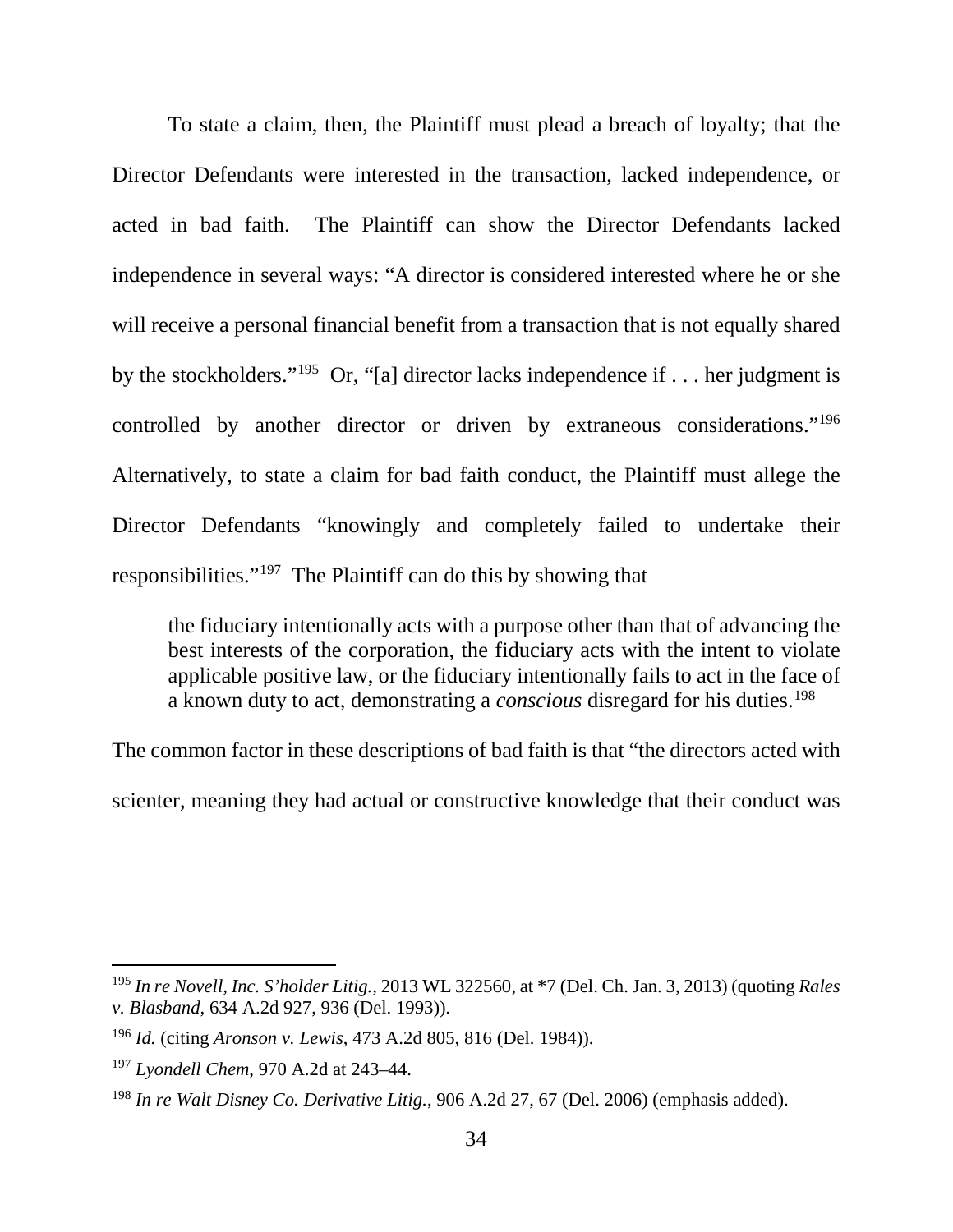To state a claim, then, the Plaintiff must plead a breach of loyalty; that the Director Defendants were interested in the transaction, lacked independence, or acted in bad faith. The Plaintiff can show the Director Defendants lacked independence in several ways: "A director is considered interested where he or she will receive a personal financial benefit from a transaction that is not equally shared by the stockholders."195 Or, "[a] director lacks independence if . . . her judgment is controlled by another director or driven by extraneous considerations."196 Alternatively, to state a claim for bad faith conduct, the Plaintiff must allege the Director Defendants "knowingly and completely failed to undertake their responsibilities."197 The Plaintiff can do this by showing that

the fiduciary intentionally acts with a purpose other than that of advancing the best interests of the corporation, the fiduciary acts with the intent to violate applicable positive law, or the fiduciary intentionally fails to act in the face of a known duty to act, demonstrating a *conscious* disregard for his duties.198

The common factor in these descriptions of bad faith is that "the directors acted with scienter, meaning they had actual or constructive knowledge that their conduct was

 <sup>195</sup> *In re Novell, Inc. S'holder Litig.*, 2013 WL 322560, at \*7 (Del. Ch. Jan. 3, 2013) (quoting *Rales v. Blasband*, 634 A.2d 927, 936 (Del. 1993)).

<sup>196</sup> *Id.* (citing *Aronson v. Lewis*, 473 A.2d 805, 816 (Del. 1984)).

<sup>197</sup> *Lyondell Chem*, 970 A.2d at 243–44.

<sup>198</sup> *In re Walt Disney Co. Derivative Litig.*, 906 A.2d 27, 67 (Del. 2006) (emphasis added).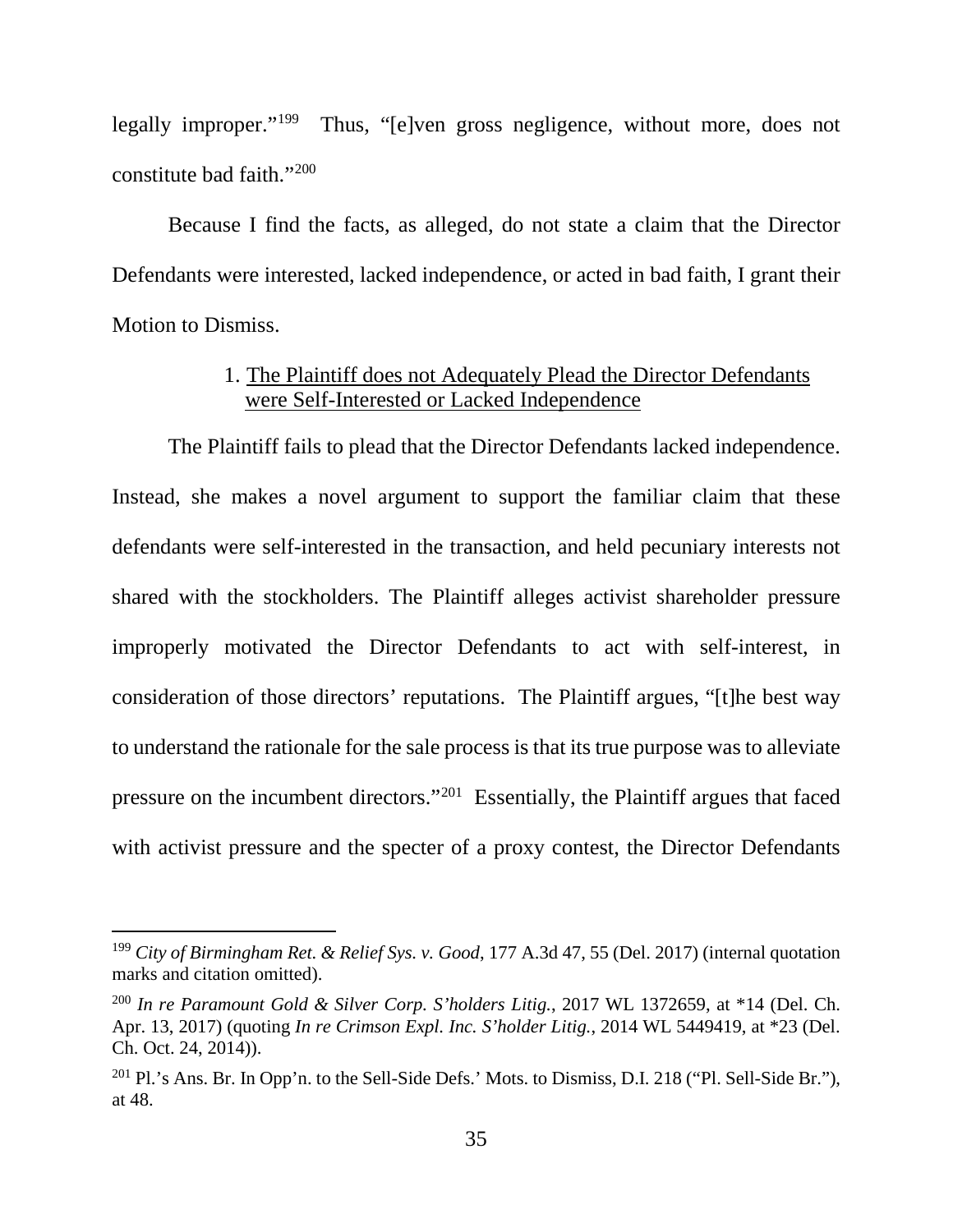legally improper."199 Thus, "[e]ven gross negligence, without more, does not constitute bad faith."200

Because I find the facts, as alleged, do not state a claim that the Director Defendants were interested, lacked independence, or acted in bad faith, I grant their Motion to Dismiss.

### 1. The Plaintiff does not Adequately Plead the Director Defendants were Self-Interested or Lacked Independence

The Plaintiff fails to plead that the Director Defendants lacked independence. Instead, she makes a novel argument to support the familiar claim that these defendants were self-interested in the transaction, and held pecuniary interests not shared with the stockholders. The Plaintiff alleges activist shareholder pressure improperly motivated the Director Defendants to act with self-interest, in consideration of those directors' reputations. The Plaintiff argues, "[t]he best way to understand the rationale for the sale process is that its true purpose was to alleviate pressure on the incumbent directors."201 Essentially, the Plaintiff argues that faced with activist pressure and the specter of a proxy contest, the Director Defendants

 <sup>199</sup> *City of Birmingham Ret. & Relief Sys. v. Good*, 177 A.3d 47, 55 (Del. 2017) (internal quotation marks and citation omitted).

<sup>200</sup> *In re Paramount Gold & Silver Corp. S'holders Litig.*, 2017 WL 1372659, at \*14 (Del. Ch. Apr. 13, 2017) (quoting *In re Crimson Expl. Inc. S'holder Litig.*, 2014 WL 5449419, at \*23 (Del. Ch. Oct. 24, 2014)).

 $^{201}$  Pl.'s Ans. Br. In Opp'n. to the Sell-Side Defs.' Mots. to Dismiss, D.I. 218 ("Pl. Sell-Side Br."), at 48.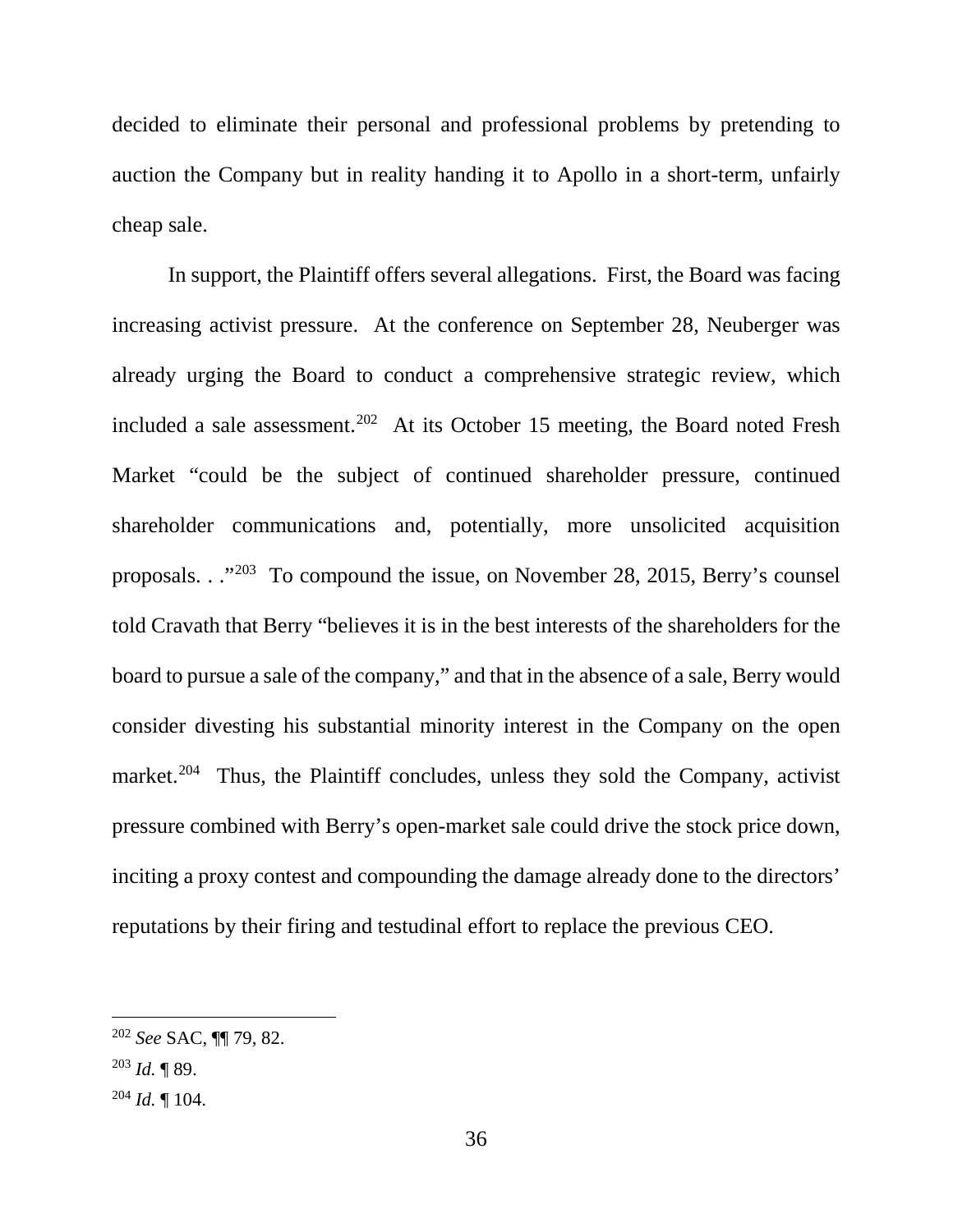decided to eliminate their personal and professional problems by pretending to auction the Company but in reality handing it to Apollo in a short-term, unfairly cheap sale.

In support, the Plaintiff offers several allegations. First, the Board was facing increasing activist pressure. At the conference on September 28, Neuberger was already urging the Board to conduct a comprehensive strategic review, which included a sale assessment.<sup>202</sup> At its October 15 meeting, the Board noted Fresh Market "could be the subject of continued shareholder pressure, continued shareholder communications and, potentially, more unsolicited acquisition proposals. . ."203 To compound the issue, on November 28, 2015, Berry's counsel told Cravath that Berry "believes it is in the best interests of the shareholders for the board to pursue a sale of the company," and that in the absence of a sale, Berry would consider divesting his substantial minority interest in the Company on the open market.<sup>204</sup> Thus, the Plaintiff concludes, unless they sold the Company, activist pressure combined with Berry's open-market sale could drive the stock price down, inciting a proxy contest and compounding the damage already done to the directors' reputations by their firing and testudinal effort to replace the previous CEO.

 <sup>202</sup> *See* SAC, ¶¶ 79, 82.

<sup>203</sup> *Id.* ¶ 89.

 $^{204}$  *Id.* ¶ 104.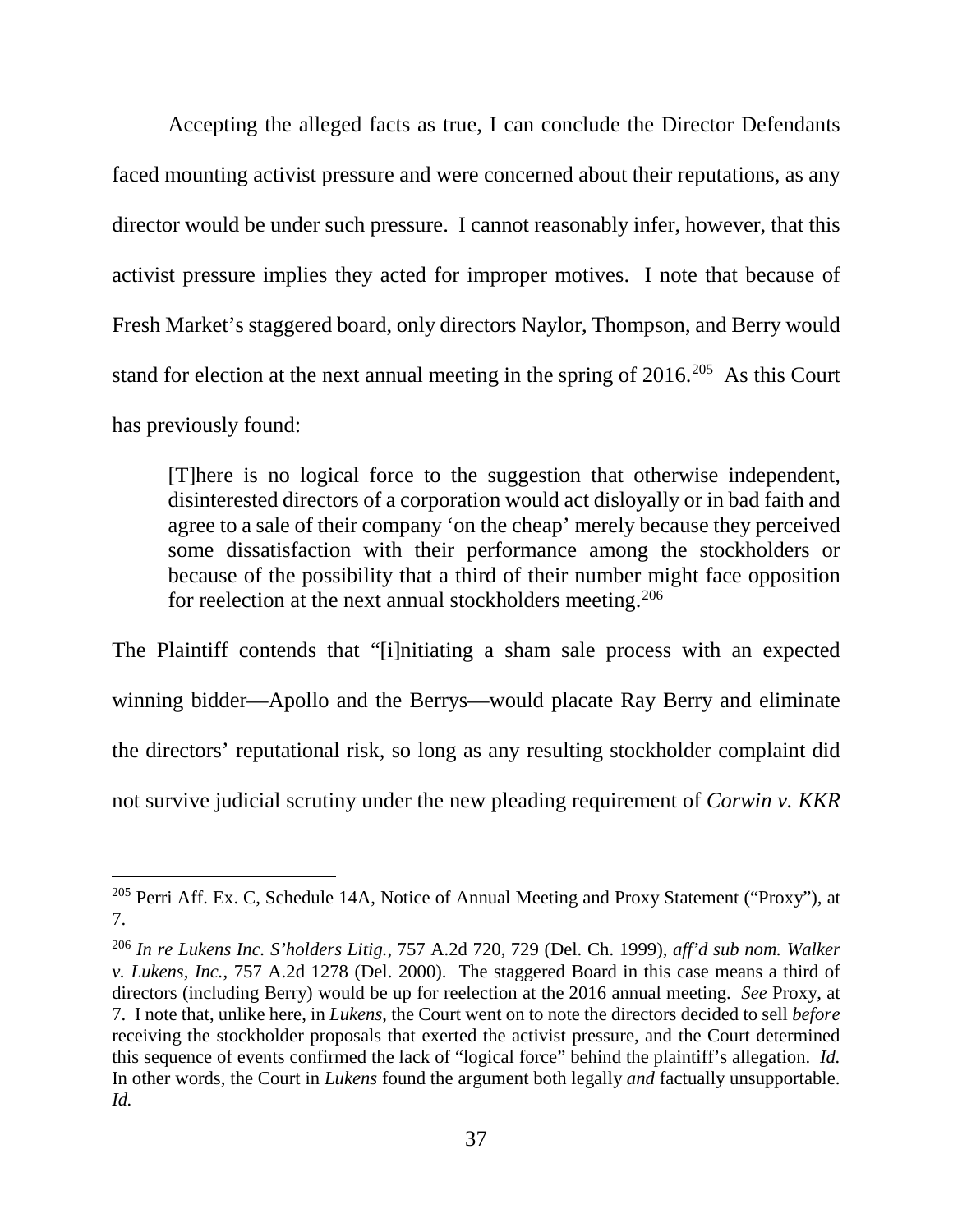Accepting the alleged facts as true, I can conclude the Director Defendants faced mounting activist pressure and were concerned about their reputations, as any director would be under such pressure. I cannot reasonably infer, however, that this activist pressure implies they acted for improper motives. I note that because of Fresh Market's staggered board, only directors Naylor, Thompson, and Berry would stand for election at the next annual meeting in the spring of 2016.<sup>205</sup> As this Court has previously found:

[T]here is no logical force to the suggestion that otherwise independent, disinterested directors of a corporation would act disloyally or in bad faith and agree to a sale of their company 'on the cheap' merely because they perceived some dissatisfaction with their performance among the stockholders or because of the possibility that a third of their number might face opposition for reelection at the next annual stockholders meeting.<sup>206</sup>

The Plaintiff contends that "[i]nitiating a sham sale process with an expected winning bidder—Apollo and the Berrys—would placate Ray Berry and eliminate the directors' reputational risk, so long as any resulting stockholder complaint did not survive judicial scrutiny under the new pleading requirement of *Corwin v. KKR* 

 <sup>205</sup> Perri Aff. Ex. C, Schedule 14A, Notice of Annual Meeting and Proxy Statement ("Proxy"), at 7.

<sup>206</sup> *In re Lukens Inc. S'holders Litig.*, 757 A.2d 720, 729 (Del. Ch. 1999), *aff'd sub nom. Walker v. Lukens, Inc.*, 757 A.2d 1278 (Del. 2000). The staggered Board in this case means a third of directors (including Berry) would be up for reelection at the 2016 annual meeting. *See* Proxy, at 7. I note that, unlike here, in *Lukens*, the Court went on to note the directors decided to sell *before* receiving the stockholder proposals that exerted the activist pressure, and the Court determined this sequence of events confirmed the lack of "logical force" behind the plaintiff's allegation. *Id.* In other words, the Court in *Lukens* found the argument both legally *and* factually unsupportable. *Id.*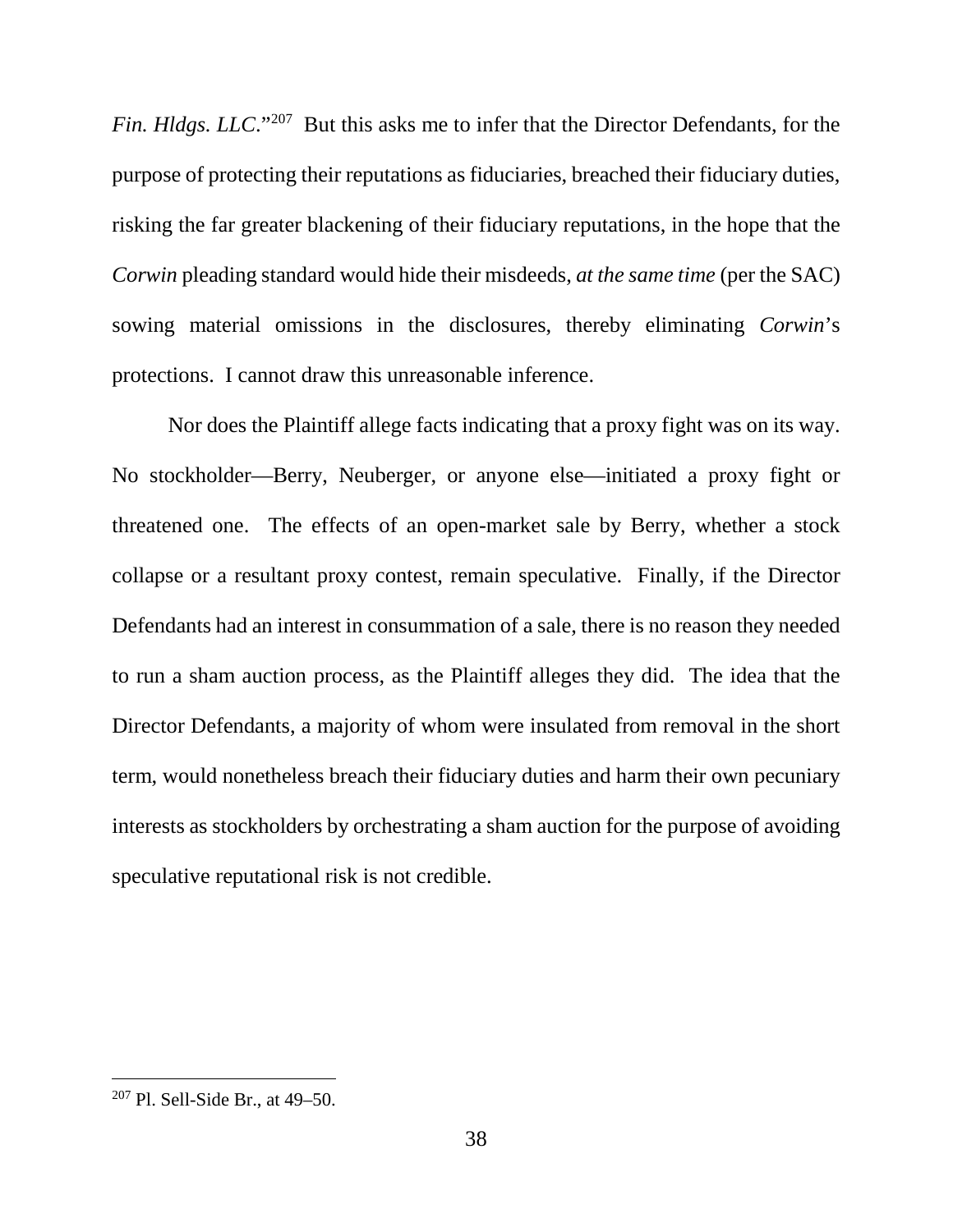*Fin. Hldgs. LLC*."<sup>207</sup> But this asks me to infer that the Director Defendants, for the purpose of protecting their reputations as fiduciaries, breached their fiduciary duties, risking the far greater blackening of their fiduciary reputations, in the hope that the *Corwin* pleading standard would hide their misdeeds, *at the same time* (per the SAC) sowing material omissions in the disclosures, thereby eliminating *Corwin*'s protections. I cannot draw this unreasonable inference.

Nor does the Plaintiff allege facts indicating that a proxy fight was on its way. No stockholder—Berry, Neuberger, or anyone else—initiated a proxy fight or threatened one. The effects of an open-market sale by Berry, whether a stock collapse or a resultant proxy contest, remain speculative. Finally, if the Director Defendants had an interest in consummation of a sale, there is no reason they needed to run a sham auction process, as the Plaintiff alleges they did. The idea that the Director Defendants, a majority of whom were insulated from removal in the short term, would nonetheless breach their fiduciary duties and harm their own pecuniary interests as stockholders by orchestrating a sham auction for the purpose of avoiding speculative reputational risk is not credible.

 <sup>207</sup> Pl. Sell-Side Br., at 49–50.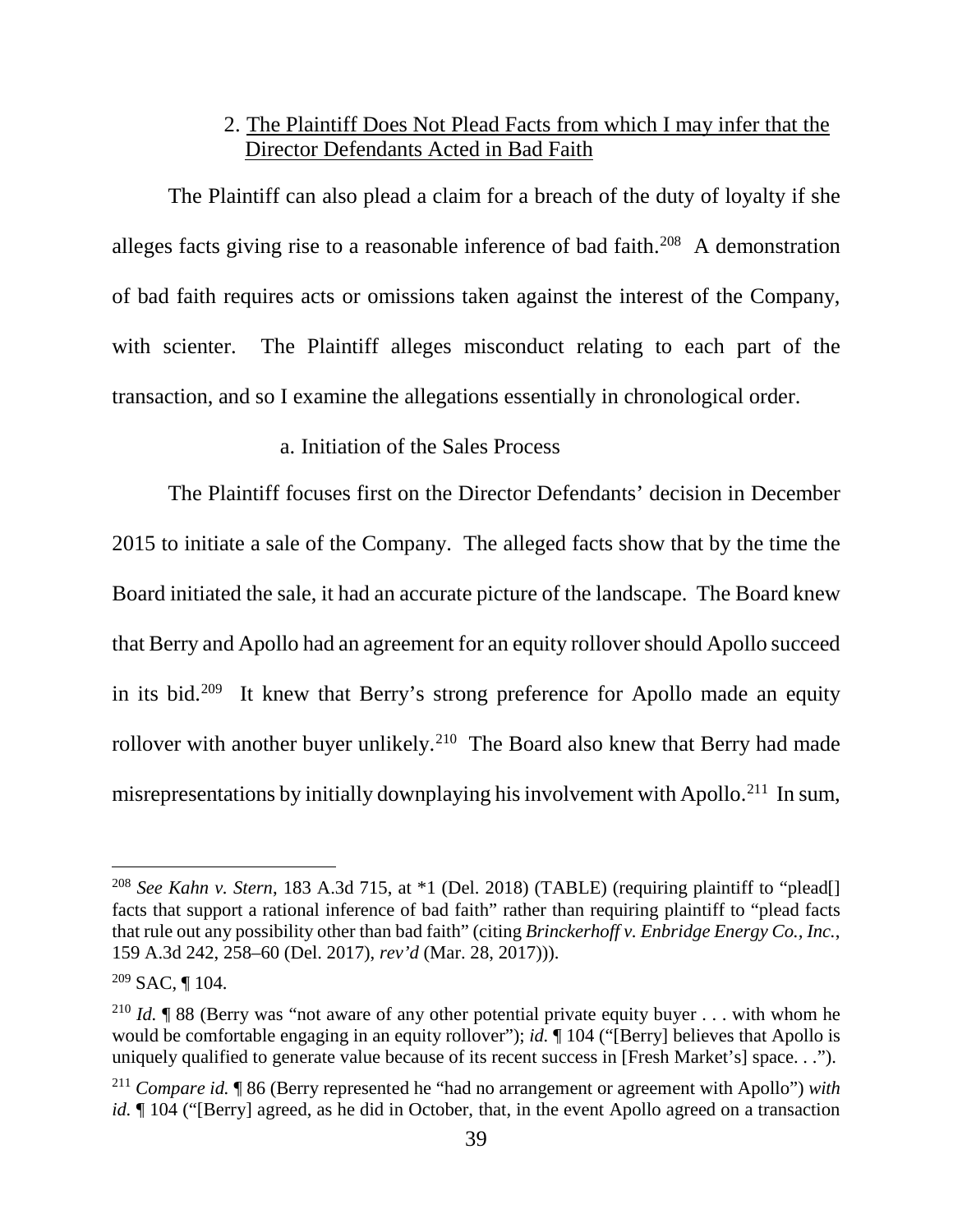### 2. The Plaintiff Does Not Plead Facts from which I may infer that the Director Defendants Acted in Bad Faith

The Plaintiff can also plead a claim for a breach of the duty of loyalty if she alleges facts giving rise to a reasonable inference of bad faith.<sup>208</sup> A demonstration of bad faith requires acts or omissions taken against the interest of the Company, with scienter. The Plaintiff alleges misconduct relating to each part of the transaction, and so I examine the allegations essentially in chronological order.

### a. Initiation of the Sales Process

The Plaintiff focuses first on the Director Defendants' decision in December 2015 to initiate a sale of the Company. The alleged facts show that by the time the Board initiated the sale, it had an accurate picture of the landscape. The Board knew that Berry and Apollo had an agreement for an equity rollover should Apollo succeed in its bid.209 It knew that Berry's strong preference for Apollo made an equity rollover with another buyer unlikely.<sup>210</sup> The Board also knew that Berry had made misrepresentations by initially downplaying his involvement with Apollo.211 In sum,

 <sup>208</sup> *See Kahn v. Stern*, 183 A.3d 715, at \*1 (Del. 2018) (TABLE) (requiring plaintiff to "plead[] facts that support a rational inference of bad faith" rather than requiring plaintiff to "plead facts that rule out any possibility other than bad faith" (citing *Brinckerhoff v. Enbridge Energy Co., Inc.*, 159 A.3d 242, 258–60 (Del. 2017), *rev'd* (Mar. 28, 2017))).

 $209$  SAC, ¶ 104.

<sup>&</sup>lt;sup>210</sup> *Id.* ¶ 88 (Berry was "not aware of any other potential private equity buyer . . . with whom he would be comfortable engaging in an equity rollover"); *id.*  $\P$  104 ("[Berry] believes that Apollo is uniquely qualified to generate value because of its recent success in [Fresh Market's] space. . .").

<sup>211</sup> *Compare id.* ¶ 86 (Berry represented he "had no arrangement or agreement with Apollo") *with id.*  $\parallel$  104 ("[Berry] agreed, as he did in October, that, in the event Apollo agreed on a transaction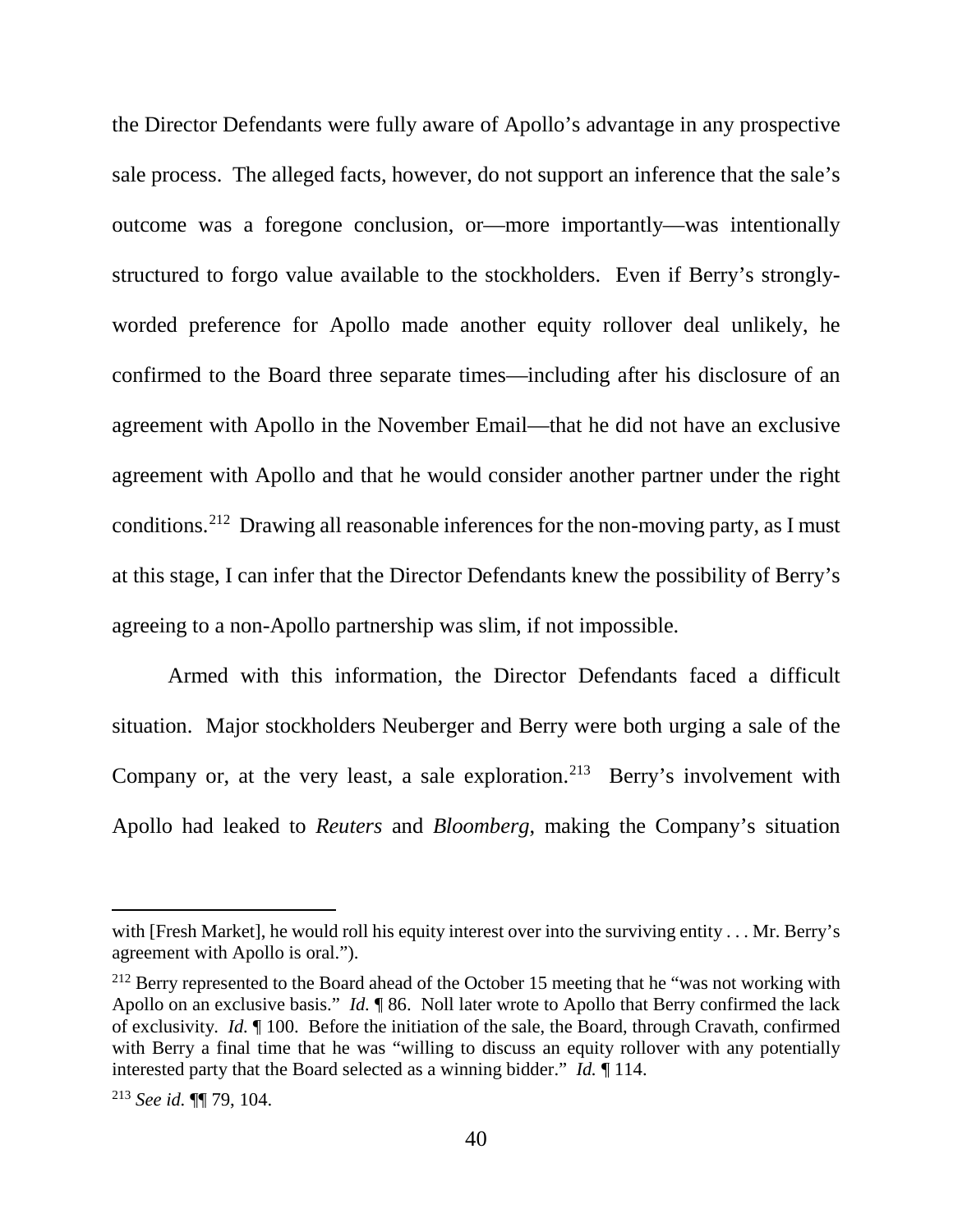the Director Defendants were fully aware of Apollo's advantage in any prospective sale process. The alleged facts, however, do not support an inference that the sale's outcome was a foregone conclusion, or—more importantly—was intentionally structured to forgo value available to the stockholders. Even if Berry's stronglyworded preference for Apollo made another equity rollover deal unlikely, he confirmed to the Board three separate times—including after his disclosure of an agreement with Apollo in the November Email—that he did not have an exclusive agreement with Apollo and that he would consider another partner under the right conditions. 212 Drawing all reasonable inferences for the non-moving party, as I must at this stage, I can infer that the Director Defendants knew the possibility of Berry's agreeing to a non-Apollo partnership was slim, if not impossible.

Armed with this information, the Director Defendants faced a difficult situation. Major stockholders Neuberger and Berry were both urging a sale of the Company or, at the very least, a sale exploration.<sup>213</sup> Berry's involvement with Apollo had leaked to *Reuters* and *Bloomberg*, making the Company's situation

 $\overline{a}$ 

with [Fresh Market], he would roll his equity interest over into the surviving entity . . . Mr. Berry's agreement with Apollo is oral.").

 $212$  Berry represented to the Board ahead of the October 15 meeting that he "was not working with Apollo on an exclusive basis." *Id.* ¶ 86. Noll later wrote to Apollo that Berry confirmed the lack of exclusivity. *Id.* ¶ 100. Before the initiation of the sale, the Board, through Cravath, confirmed with Berry a final time that he was "willing to discuss an equity rollover with any potentially interested party that the Board selected as a winning bidder." *Id.* ¶ 114.

<sup>213</sup> *See id.* ¶¶ 79, 104.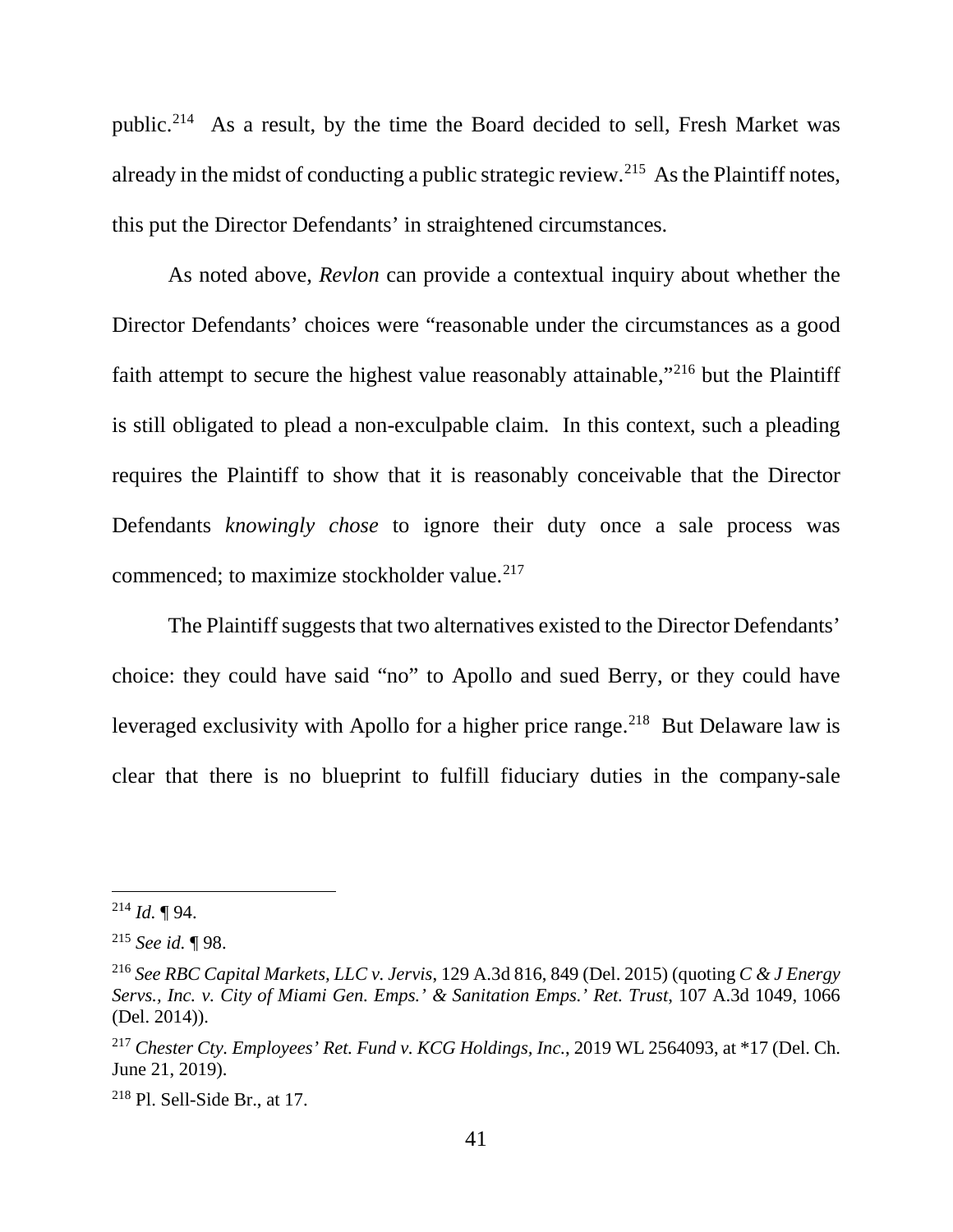public.214 As a result, by the time the Board decided to sell, Fresh Market was already in the midst of conducting a public strategic review.<sup>215</sup> As the Plaintiff notes, this put the Director Defendants' in straightened circumstances.

As noted above, *Revlon* can provide a contextual inquiry about whether the Director Defendants' choices were "reasonable under the circumstances as a good faith attempt to secure the highest value reasonably attainable,"216 but the Plaintiff is still obligated to plead a non-exculpable claim. In this context, such a pleading requires the Plaintiff to show that it is reasonably conceivable that the Director Defendants *knowingly chose* to ignore their duty once a sale process was commenced; to maximize stockholder value.<sup>217</sup>

The Plaintiff suggests that two alternatives existed to the Director Defendants' choice: they could have said "no" to Apollo and sued Berry, or they could have leveraged exclusivity with Apollo for a higher price range.<sup>218</sup> But Delaware law is clear that there is no blueprint to fulfill fiduciary duties in the company-sale

 $^{214}$  *Id.*  $\P$  94.

<sup>215</sup> *See id.* ¶ 98.

<sup>216</sup> *See RBC Capital Markets, LLC v. Jervis*, 129 A.3d 816, 849 (Del. 2015) (quoting *C & J Energy Servs., Inc. v. City of Miami Gen. Emps.' & Sanitation Emps.' Ret. Trust*, 107 A.3d 1049, 1066 (Del. 2014)).

<sup>217</sup> *Chester Cty. Employees' Ret. Fund v. KCG Holdings, Inc.*, 2019 WL 2564093, at \*17 (Del. Ch. June 21, 2019).

 $218$  Pl. Sell-Side Br., at 17.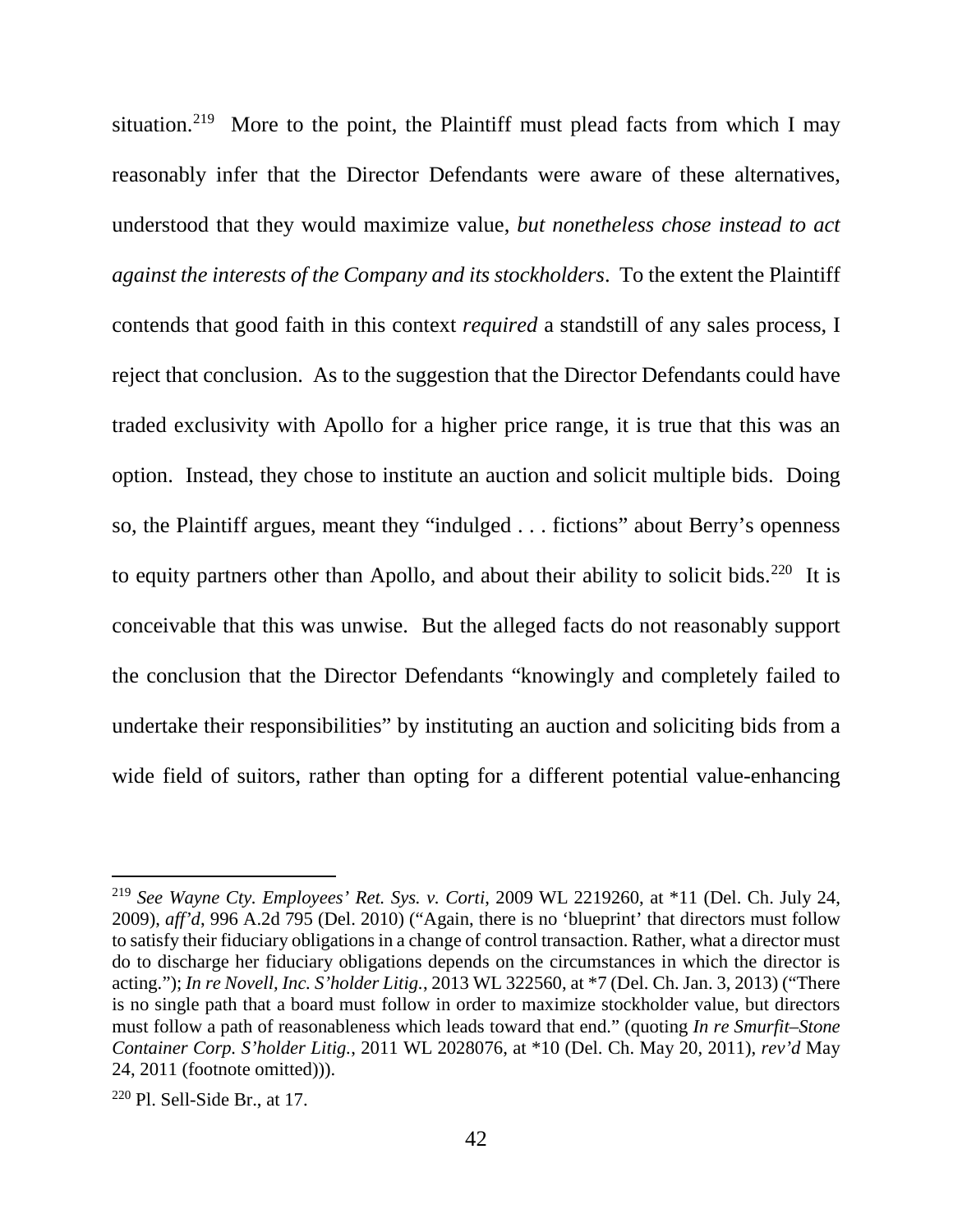situation.<sup>219</sup> More to the point, the Plaintiff must plead facts from which I may reasonably infer that the Director Defendants were aware of these alternatives, understood that they would maximize value, *but nonetheless chose instead to act against the interests of the Company and its stockholders*. To the extent the Plaintiff contends that good faith in this context *required* a standstill of any sales process, I reject that conclusion. As to the suggestion that the Director Defendants could have traded exclusivity with Apollo for a higher price range, it is true that this was an option. Instead, they chose to institute an auction and solicit multiple bids. Doing so, the Plaintiff argues, meant they "indulged . . . fictions" about Berry's openness to equity partners other than Apollo, and about their ability to solicit bids.<sup>220</sup> It is conceivable that this was unwise. But the alleged facts do not reasonably support the conclusion that the Director Defendants "knowingly and completely failed to undertake their responsibilities" by instituting an auction and soliciting bids from a wide field of suitors, rather than opting for a different potential value-enhancing

 <sup>219</sup> *See Wayne Cty. Employees' Ret. Sys. v. Corti*, 2009 WL 2219260, at \*11 (Del. Ch. July 24, 2009), *aff'd*, 996 A.2d 795 (Del. 2010) ("Again, there is no 'blueprint' that directors must follow to satisfy their fiduciary obligations in a change of control transaction. Rather, what a director must do to discharge her fiduciary obligations depends on the circumstances in which the director is acting."); *In re Novell, Inc. S'holder Litig.*, 2013 WL 322560, at \*7 (Del. Ch. Jan. 3, 2013) ("There is no single path that a board must follow in order to maximize stockholder value, but directors must follow a path of reasonableness which leads toward that end." (quoting *In re Smurfit–Stone Container Corp. S'holder Litig.*, 2011 WL 2028076, at \*10 (Del. Ch. May 20, 2011), *rev'd* May 24, 2011 (footnote omitted))).

 $220$  Pl. Sell-Side Br., at 17.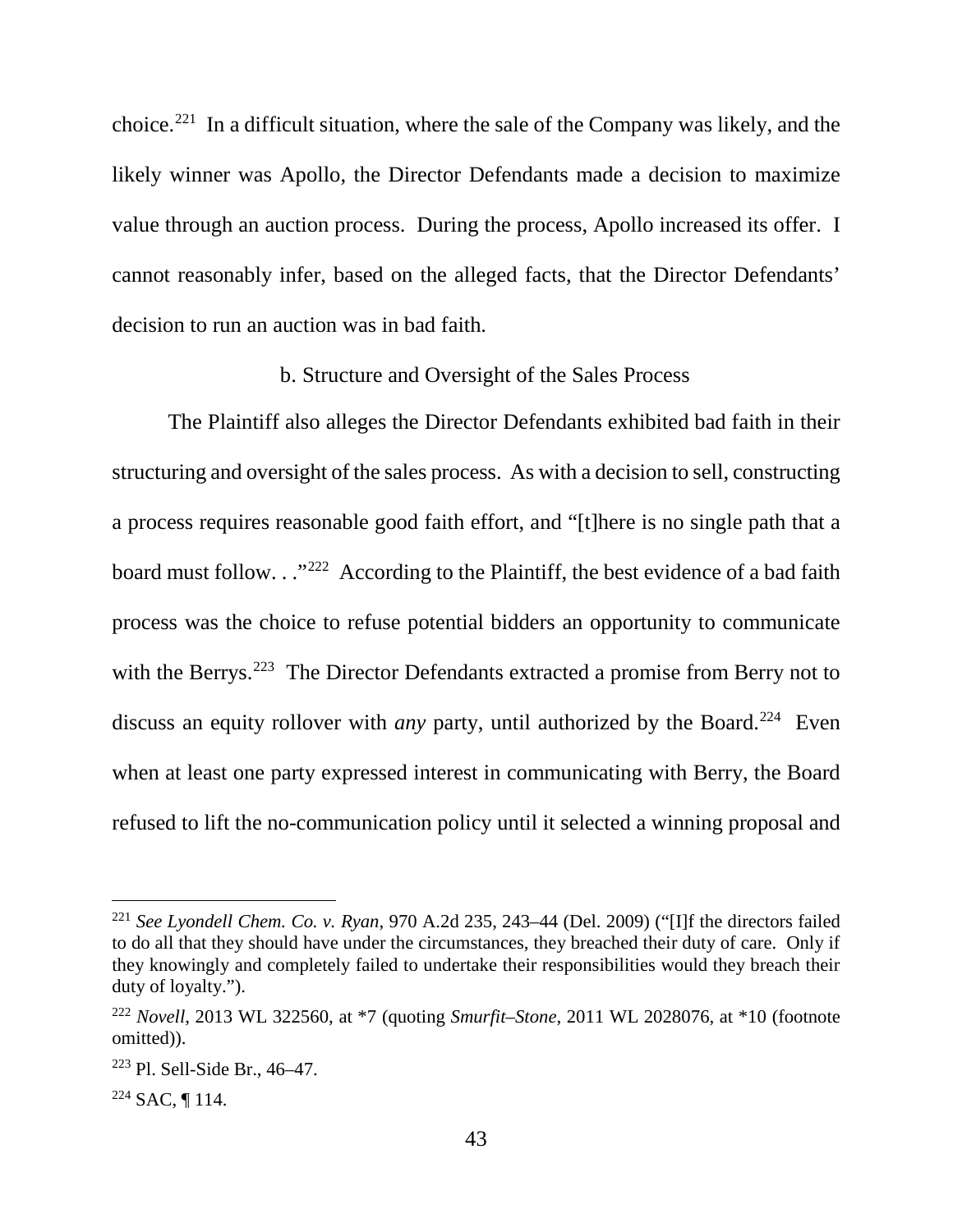choice. 221 In a difficult situation, where the sale of the Company was likely, and the likely winner was Apollo, the Director Defendants made a decision to maximize value through an auction process. During the process, Apollo increased its offer. I cannot reasonably infer, based on the alleged facts, that the Director Defendants' decision to run an auction was in bad faith.

#### b. Structure and Oversight of the Sales Process

The Plaintiff also alleges the Director Defendants exhibited bad faith in their structuring and oversight of the sales process. As with a decision to sell, constructing a process requires reasonable good faith effort, and "[t]here is no single path that a board must follow. . ."<sup>222</sup> According to the Plaintiff, the best evidence of a bad faith process was the choice to refuse potential bidders an opportunity to communicate with the Berrys.<sup>223</sup> The Director Defendants extracted a promise from Berry not to discuss an equity rollover with *any* party, until authorized by the Board.<sup>224</sup> Even when at least one party expressed interest in communicating with Berry, the Board refused to lift the no-communication policy until it selected a winning proposal and

 <sup>221</sup> *See Lyondell Chem. Co. v. Ryan*, 970 A.2d 235, 243–44 (Del. 2009) ("[I]f the directors failed to do all that they should have under the circumstances, they breached their duty of care. Only if they knowingly and completely failed to undertake their responsibilities would they breach their duty of loyalty.").

<sup>222</sup> *Novell*, 2013 WL 322560, at \*7 (quoting *Smurfit–Stone*, 2011 WL 2028076, at \*10 (footnote omitted)).

 $223$  Pl. Sell-Side Br., 46–47.

 $224$  SAC, 114.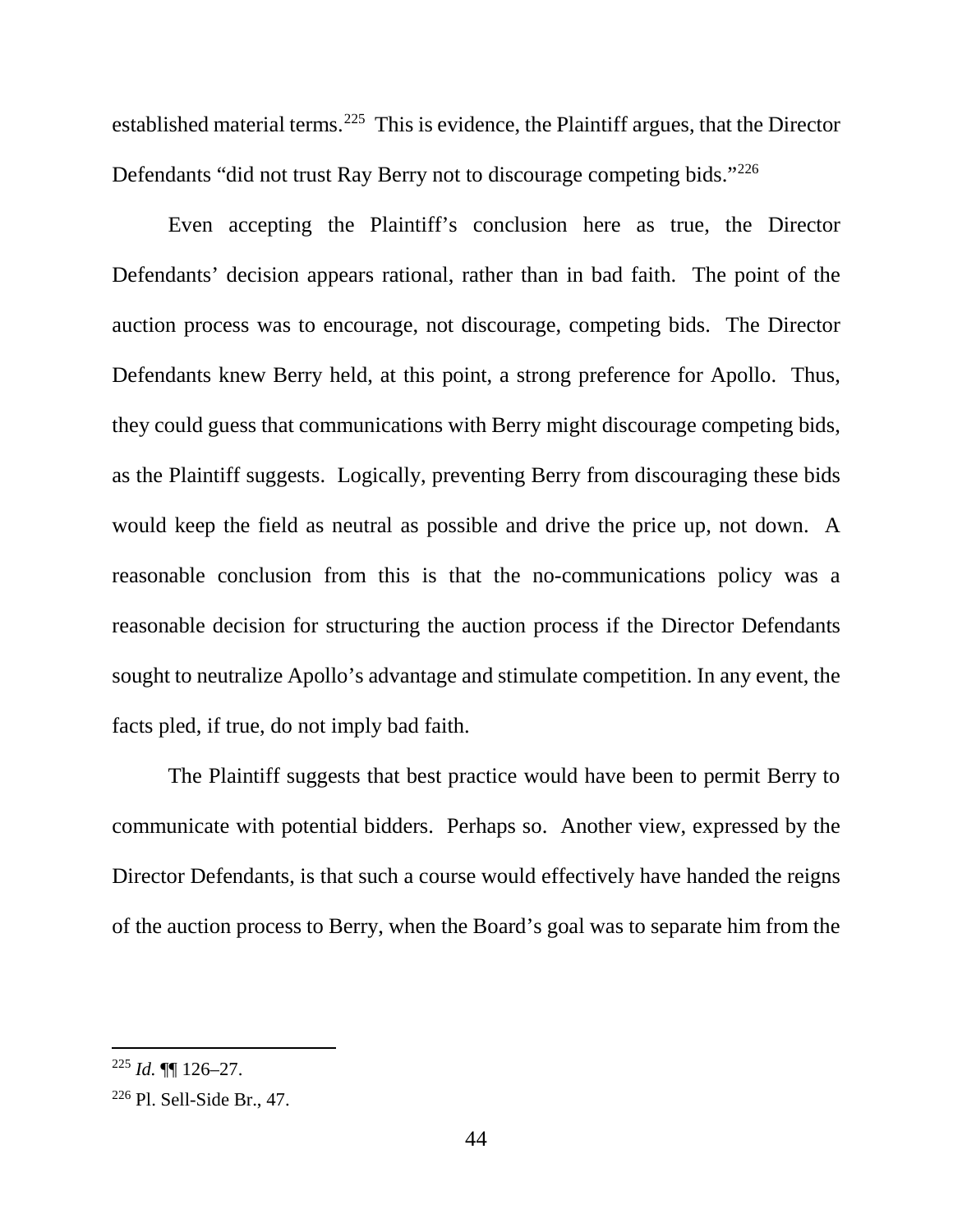established material terms.<sup>225</sup> This is evidence, the Plaintiff argues, that the Director Defendants "did not trust Ray Berry not to discourage competing bids."<sup>226</sup>

Even accepting the Plaintiff's conclusion here as true, the Director Defendants' decision appears rational, rather than in bad faith. The point of the auction process was to encourage, not discourage, competing bids. The Director Defendants knew Berry held, at this point, a strong preference for Apollo. Thus, they could guess that communications with Berry might discourage competing bids, as the Plaintiff suggests. Logically, preventing Berry from discouraging these bids would keep the field as neutral as possible and drive the price up, not down. A reasonable conclusion from this is that the no-communications policy was a reasonable decision for structuring the auction process if the Director Defendants sought to neutralize Apollo's advantage and stimulate competition. In any event, the facts pled, if true, do not imply bad faith.

The Plaintiff suggests that best practice would have been to permit Berry to communicate with potential bidders. Perhaps so. Another view, expressed by the Director Defendants, is that such a course would effectively have handed the reigns of the auction process to Berry, when the Board's goal was to separate him from the

 $^{225}$  *Id.*  $\P\P$  126–27.

<sup>226</sup> Pl. Sell-Side Br., 47.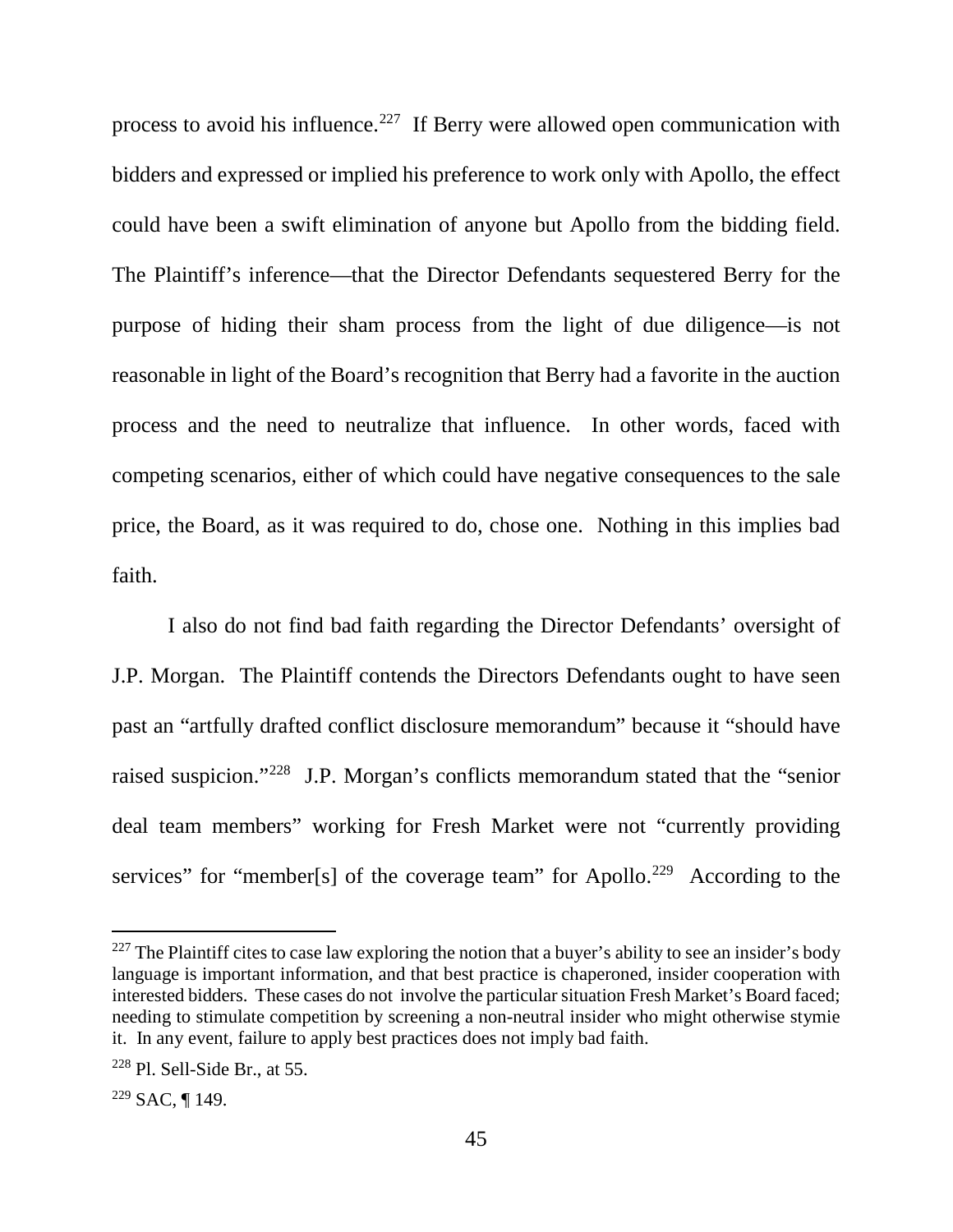process to avoid his influence.<sup>227</sup> If Berry were allowed open communication with bidders and expressed or implied his preference to work only with Apollo, the effect could have been a swift elimination of anyone but Apollo from the bidding field. The Plaintiff's inference—that the Director Defendants sequestered Berry for the purpose of hiding their sham process from the light of due diligence—is not reasonable in light of the Board's recognition that Berry had a favorite in the auction process and the need to neutralize that influence. In other words, faced with competing scenarios, either of which could have negative consequences to the sale price, the Board, as it was required to do, chose one. Nothing in this implies bad faith.

I also do not find bad faith regarding the Director Defendants' oversight of J.P. Morgan. The Plaintiff contends the Directors Defendants ought to have seen past an "artfully drafted conflict disclosure memorandum" because it "should have raised suspicion."228 J.P. Morgan's conflicts memorandum stated that the "senior deal team members" working for Fresh Market were not "currently providing services" for "member[s] of the coverage team" for Apollo.<sup>229</sup> According to the

 $227$  The Plaintiff cites to case law exploring the notion that a buyer's ability to see an insider's body language is important information, and that best practice is chaperoned, insider cooperation with interested bidders. These cases do not involve the particular situation Fresh Market's Board faced; needing to stimulate competition by screening a non-neutral insider who might otherwise stymie it. In any event, failure to apply best practices does not imply bad faith.

 $228$  Pl. Sell-Side Br., at 55.

 $229$  SAC, ¶ 149.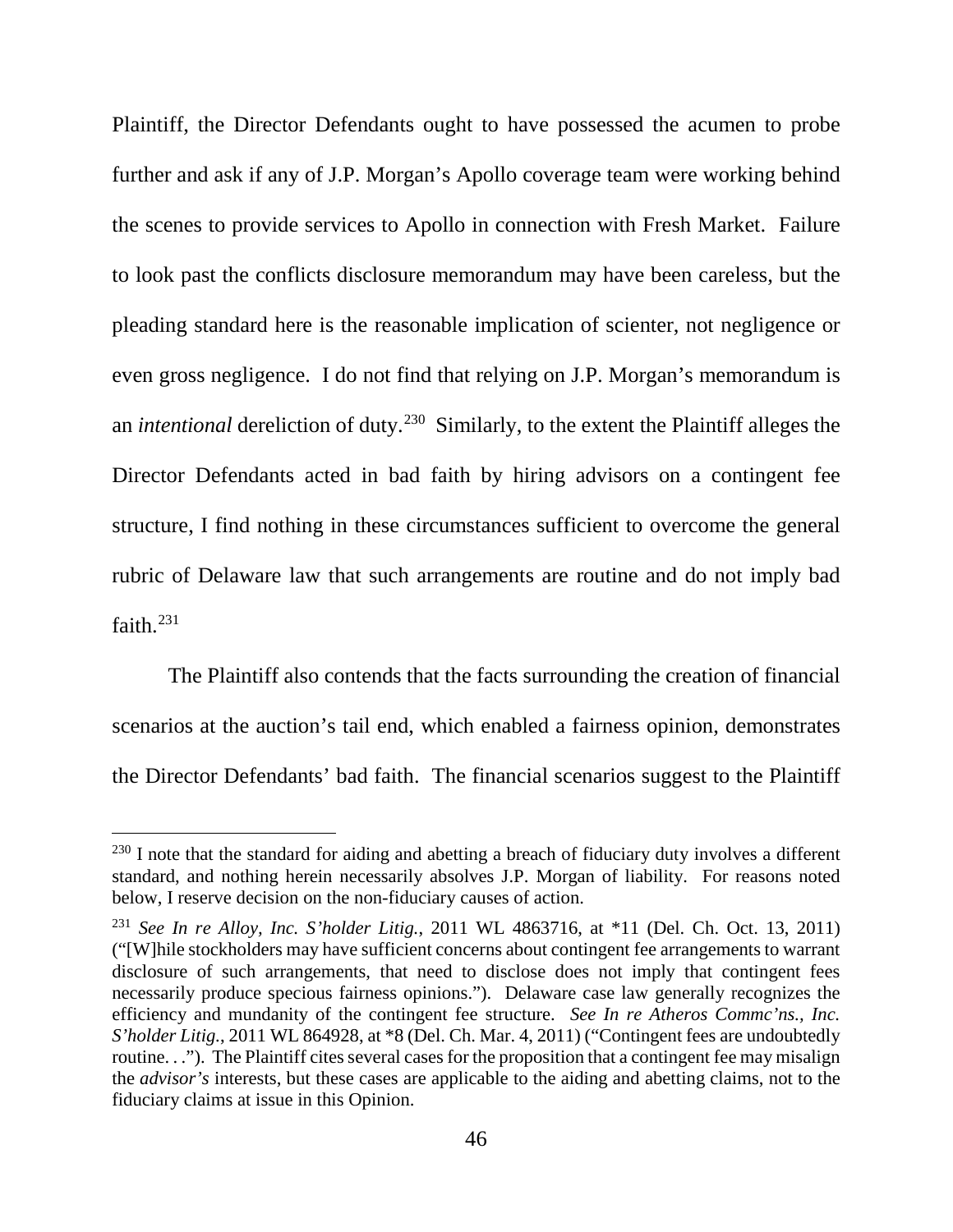Plaintiff, the Director Defendants ought to have possessed the acumen to probe further and ask if any of J.P. Morgan's Apollo coverage team were working behind the scenes to provide services to Apollo in connection with Fresh Market. Failure to look past the conflicts disclosure memorandum may have been careless, but the pleading standard here is the reasonable implication of scienter, not negligence or even gross negligence. I do not find that relying on J.P. Morgan's memorandum is an *intentional* dereliction of duty. 230 Similarly, to the extent the Plaintiff alleges the Director Defendants acted in bad faith by hiring advisors on a contingent fee structure, I find nothing in these circumstances sufficient to overcome the general rubric of Delaware law that such arrangements are routine and do not imply bad faith.<sup>231</sup>

The Plaintiff also contends that the facts surrounding the creation of financial scenarios at the auction's tail end, which enabled a fairness opinion, demonstrates the Director Defendants' bad faith. The financial scenarios suggest to the Plaintiff

<sup>&</sup>lt;sup>230</sup> I note that the standard for aiding and abetting a breach of fiduciary duty involves a different standard, and nothing herein necessarily absolves J.P. Morgan of liability. For reasons noted below, I reserve decision on the non-fiduciary causes of action.

<sup>231</sup> *See In re Alloy, Inc. S'holder Litig.*, 2011 WL 4863716, at \*11 (Del. Ch. Oct. 13, 2011) ("[W]hile stockholders may have sufficient concerns about contingent fee arrangements to warrant disclosure of such arrangements, that need to disclose does not imply that contingent fees necessarily produce specious fairness opinions."). Delaware case law generally recognizes the efficiency and mundanity of the contingent fee structure. *See In re Atheros Commc'ns., Inc. S'holder Litig.*, 2011 WL 864928, at \*8 (Del. Ch. Mar. 4, 2011) ("Contingent fees are undoubtedly routine. . ."). The Plaintiff cites several cases for the proposition that a contingent fee may misalign the *advisor's* interests, but these cases are applicable to the aiding and abetting claims, not to the fiduciary claims at issue in this Opinion.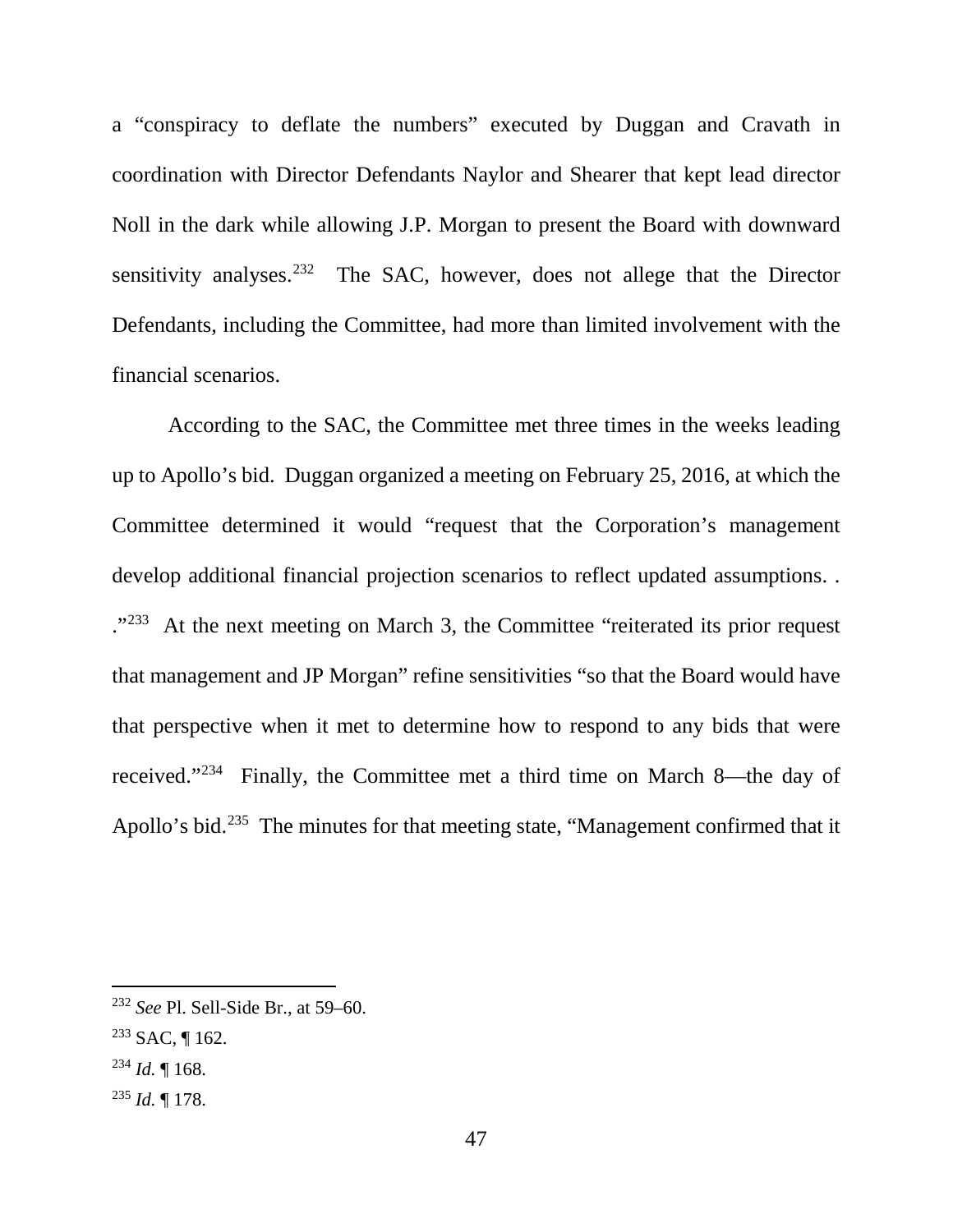a "conspiracy to deflate the numbers" executed by Duggan and Cravath in coordination with Director Defendants Naylor and Shearer that kept lead director Noll in the dark while allowing J.P. Morgan to present the Board with downward sensitivity analyses.<sup>232</sup> The SAC, however, does not allege that the Director Defendants, including the Committee, had more than limited involvement with the financial scenarios.

According to the SAC, the Committee met three times in the weeks leading up to Apollo's bid. Duggan organized a meeting on February 25, 2016, at which the Committee determined it would "request that the Corporation's management develop additional financial projection scenarios to reflect updated assumptions. . ."233 At the next meeting on March 3, the Committee "reiterated its prior request that management and JP Morgan" refine sensitivities "so that the Board would have that perspective when it met to determine how to respond to any bids that were received."234 Finally, the Committee met a third time on March 8—the day of Apollo's bid.<sup>235</sup> The minutes for that meeting state, "Management confirmed that it

<sup>235</sup> *Id.* ¶ 178.

 <sup>232</sup> *See* Pl. Sell-Side Br., at 59–60.

<sup>233</sup> SAC, ¶ 162.

 $^{234}$  *Id.*  $\llbracket$  168.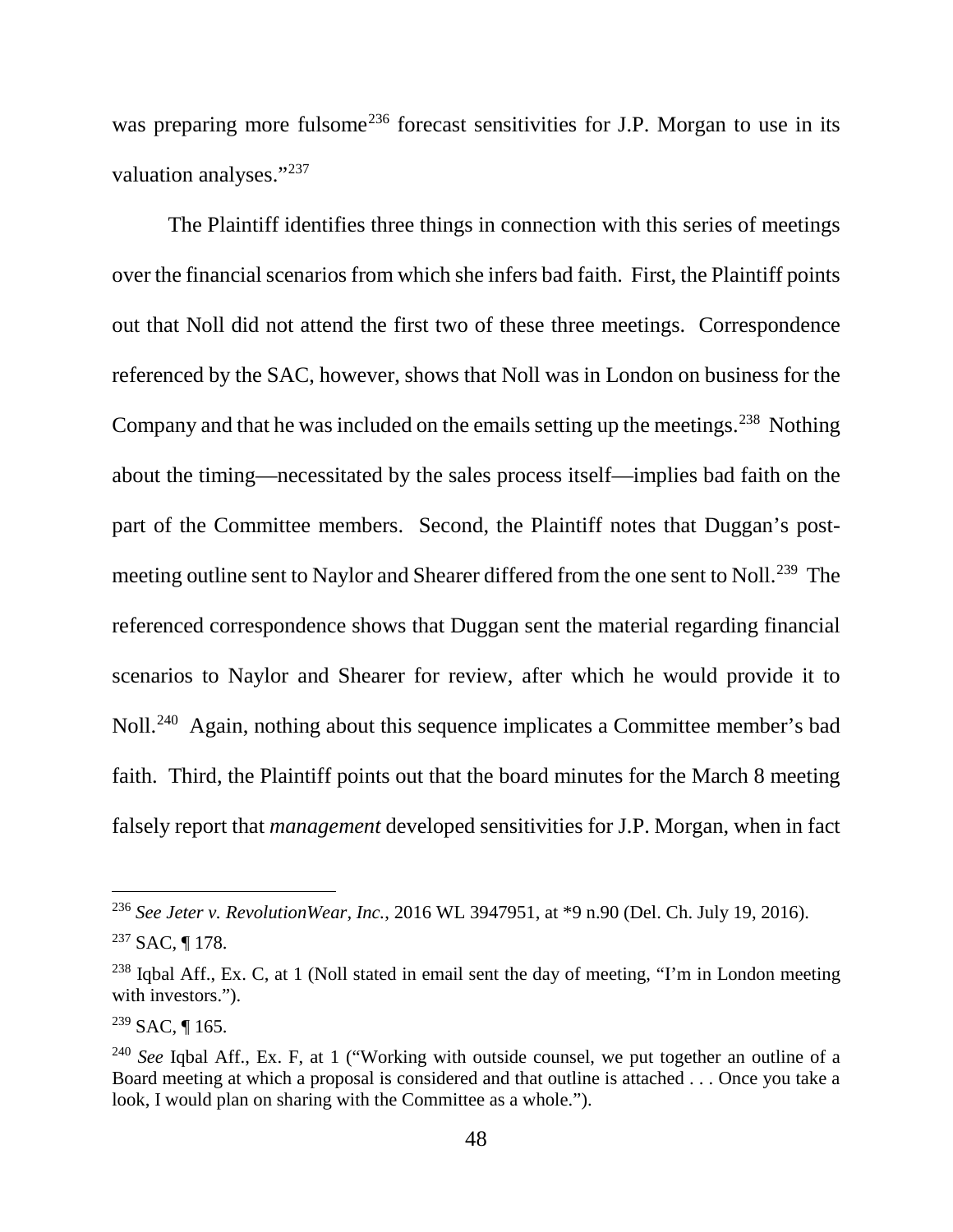was preparing more fulsome<sup>236</sup> forecast sensitivities for J.P. Morgan to use in its valuation analyses."<sup>237</sup>

The Plaintiff identifies three things in connection with this series of meetings over the financial scenarios from which she infers bad faith. First, the Plaintiff points out that Noll did not attend the first two of these three meetings. Correspondence referenced by the SAC, however, shows that Noll was in London on business for the Company and that he was included on the emails setting up the meetings.<sup>238</sup> Nothing about the timing—necessitated by the sales process itself—implies bad faith on the part of the Committee members. Second, the Plaintiff notes that Duggan's postmeeting outline sent to Naylor and Shearer differed from the one sent to Noll.<sup>239</sup> The referenced correspondence shows that Duggan sent the material regarding financial scenarios to Naylor and Shearer for review, after which he would provide it to Noll.240 Again, nothing about this sequence implicates a Committee member's bad faith. Third, the Plaintiff points out that the board minutes for the March 8 meeting falsely report that *management* developed sensitivities for J.P. Morgan, when in fact

 <sup>236</sup> *See Jeter v. RevolutionWear, Inc.*, 2016 WL 3947951, at \*9 n.90 (Del. Ch. July 19, 2016).

 $237$  SAC, 178.

 $238$  Iqbal Aff., Ex. C, at 1 (Noll stated in email sent the day of meeting, "I'm in London meeting with investors.").

 $239$  SAC, ¶ 165.

<sup>240</sup> *See* Iqbal Aff., Ex. F, at 1 ("Working with outside counsel, we put together an outline of a Board meeting at which a proposal is considered and that outline is attached . . . Once you take a look, I would plan on sharing with the Committee as a whole.").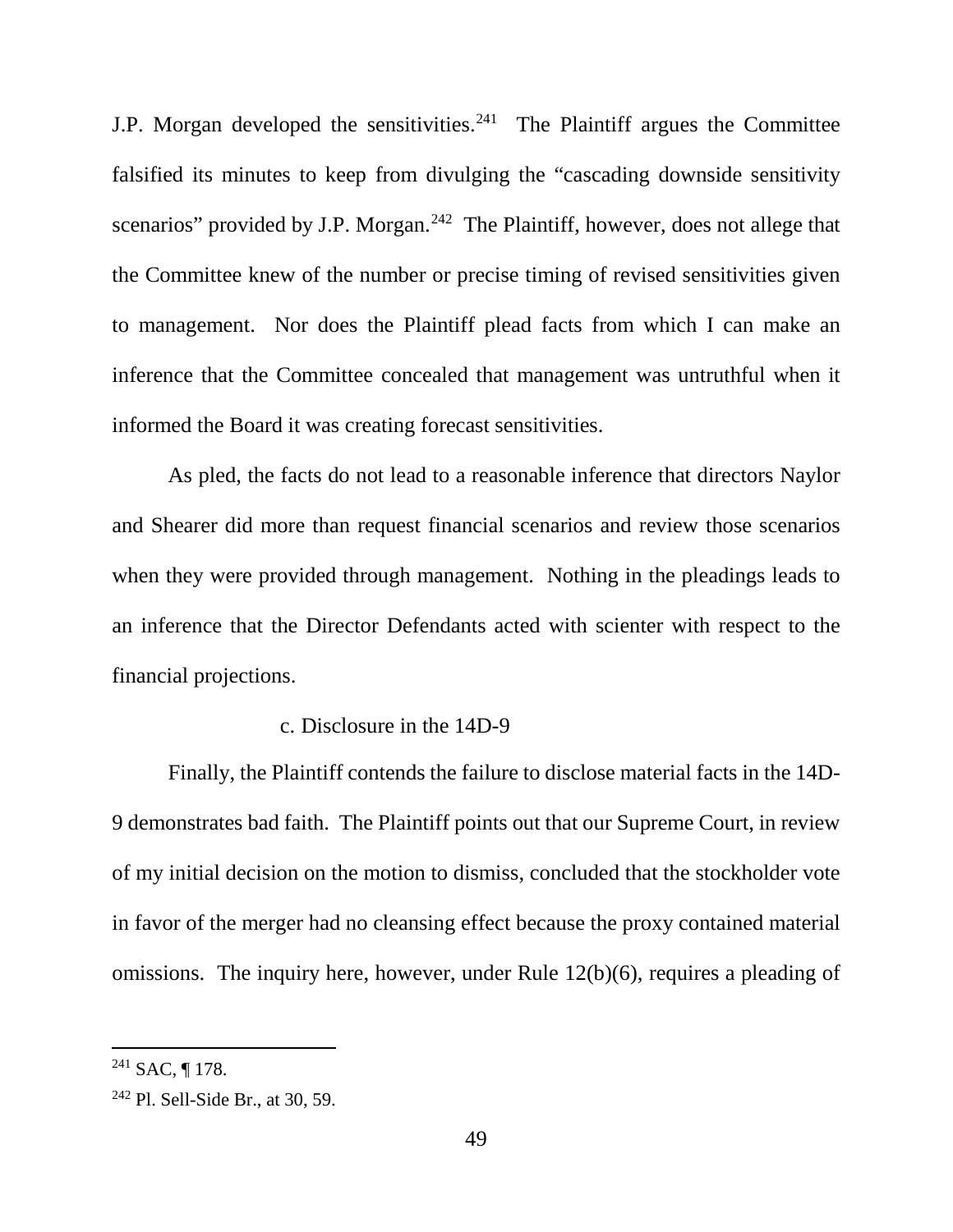J.P. Morgan developed the sensitivities.<sup>241</sup> The Plaintiff argues the Committee falsified its minutes to keep from divulging the "cascading downside sensitivity scenarios" provided by J.P. Morgan.<sup>242</sup> The Plaintiff, however, does not allege that the Committee knew of the number or precise timing of revised sensitivities given to management. Nor does the Plaintiff plead facts from which I can make an inference that the Committee concealed that management was untruthful when it informed the Board it was creating forecast sensitivities.

As pled, the facts do not lead to a reasonable inference that directors Naylor and Shearer did more than request financial scenarios and review those scenarios when they were provided through management. Nothing in the pleadings leads to an inference that the Director Defendants acted with scienter with respect to the financial projections.

### c. Disclosure in the 14D-9

Finally, the Plaintiff contends the failure to disclose material facts in the 14D-9 demonstrates bad faith. The Plaintiff points out that our Supreme Court, in review of my initial decision on the motion to dismiss, concluded that the stockholder vote in favor of the merger had no cleansing effect because the proxy contained material omissions. The inquiry here, however, under Rule 12(b)(6), requires a pleading of

 $241$  SAC, ¶ 178.

 $242$  Pl. Sell-Side Br., at 30, 59.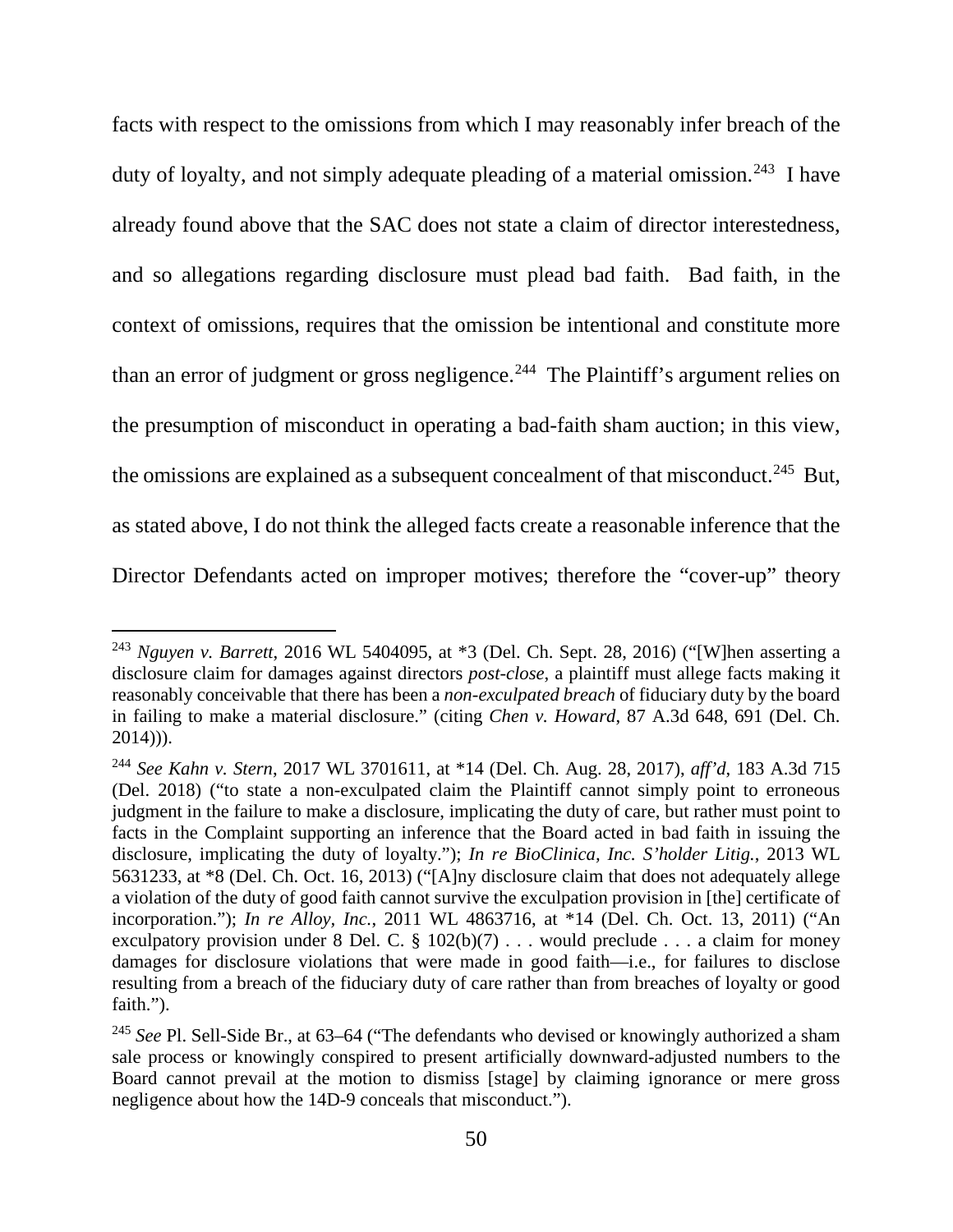facts with respect to the omissions from which I may reasonably infer breach of the duty of loyalty, and not simply adequate pleading of a material omission.<sup>243</sup> I have already found above that the SAC does not state a claim of director interestedness, and so allegations regarding disclosure must plead bad faith. Bad faith, in the context of omissions, requires that the omission be intentional and constitute more than an error of judgment or gross negligence.<sup>244</sup> The Plaintiff's argument relies on the presumption of misconduct in operating a bad-faith sham auction; in this view, the omissions are explained as a subsequent concealment of that misconduct.<sup>245</sup> But, as stated above, I do not think the alleged facts create a reasonable inference that the Director Defendants acted on improper motives; therefore the "cover-up" theory

 <sup>243</sup> *Nguyen v. Barrett*, 2016 WL 5404095, at \*3 (Del. Ch. Sept. 28, 2016) ("[W]hen asserting a disclosure claim for damages against directors *post-close*, a plaintiff must allege facts making it reasonably conceivable that there has been a *non-exculpated breach* of fiduciary duty by the board in failing to make a material disclosure." (citing *Chen v. Howard*, 87 A.3d 648, 691 (Del. Ch. 2014))).

<sup>244</sup> *See Kahn v. Stern*, 2017 WL 3701611, at \*14 (Del. Ch. Aug. 28, 2017), *aff'd*, 183 A.3d 715 (Del. 2018) ("to state a non-exculpated claim the Plaintiff cannot simply point to erroneous judgment in the failure to make a disclosure, implicating the duty of care, but rather must point to facts in the Complaint supporting an inference that the Board acted in bad faith in issuing the disclosure, implicating the duty of loyalty."); *In re BioClinica, Inc. S'holder Litig.*, 2013 WL 5631233, at \*8 (Del. Ch. Oct. 16, 2013) ("[A]ny disclosure claim that does not adequately allege a violation of the duty of good faith cannot survive the exculpation provision in [the] certificate of incorporation."); *In re Alloy, Inc.*, 2011 WL 4863716, at \*14 (Del. Ch. Oct. 13, 2011) ("An exculpatory provision under 8 Del. C.  $\S$  102(b)(7) . . . would preclude . . . a claim for money damages for disclosure violations that were made in good faith—i.e., for failures to disclose resulting from a breach of the fiduciary duty of care rather than from breaches of loyalty or good faith.").

<sup>&</sup>lt;sup>245</sup> See Pl. Sell-Side Br., at 63–64 ("The defendants who devised or knowingly authorized a sham sale process or knowingly conspired to present artificially downward-adjusted numbers to the Board cannot prevail at the motion to dismiss [stage] by claiming ignorance or mere gross negligence about how the 14D-9 conceals that misconduct.").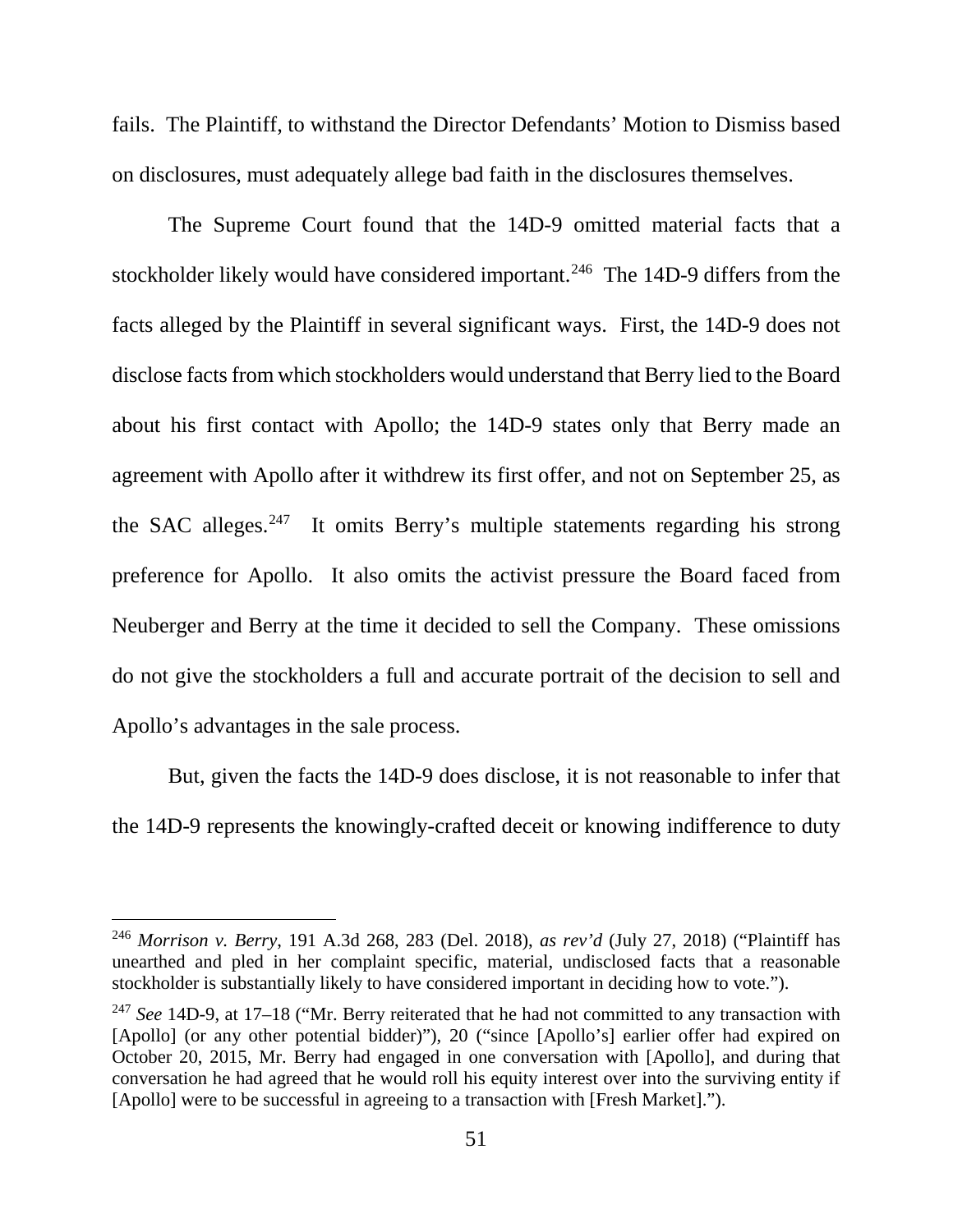fails. The Plaintiff, to withstand the Director Defendants' Motion to Dismiss based on disclosures, must adequately allege bad faith in the disclosures themselves.

The Supreme Court found that the 14D-9 omitted material facts that a stockholder likely would have considered important.<sup>246</sup> The 14D-9 differs from the facts alleged by the Plaintiff in several significant ways. First, the 14D-9 does not disclose facts from which stockholders would understand that Berry lied to the Board about his first contact with Apollo; the 14D-9 states only that Berry made an agreement with Apollo after it withdrew its first offer, and not on September 25, as the SAC alleges.<sup>247</sup> It omits Berry's multiple statements regarding his strong preference for Apollo. It also omits the activist pressure the Board faced from Neuberger and Berry at the time it decided to sell the Company. These omissions do not give the stockholders a full and accurate portrait of the decision to sell and Apollo's advantages in the sale process.

But, given the facts the 14D-9 does disclose, it is not reasonable to infer that the 14D-9 represents the knowingly-crafted deceit or knowing indifference to duty

 <sup>246</sup> *Morrison v. Berry*, 191 A.3d 268, 283 (Del. 2018), *as rev'd* (July 27, 2018) ("Plaintiff has unearthed and pled in her complaint specific, material, undisclosed facts that a reasonable stockholder is substantially likely to have considered important in deciding how to vote.").

<sup>247</sup> *See* 14D-9, at 17–18 ("Mr. Berry reiterated that he had not committed to any transaction with [Apollo] (or any other potential bidder)"), 20 ("since [Apollo's] earlier offer had expired on October 20, 2015, Mr. Berry had engaged in one conversation with [Apollo], and during that conversation he had agreed that he would roll his equity interest over into the surviving entity if [Apollo] were to be successful in agreeing to a transaction with [Fresh Market].").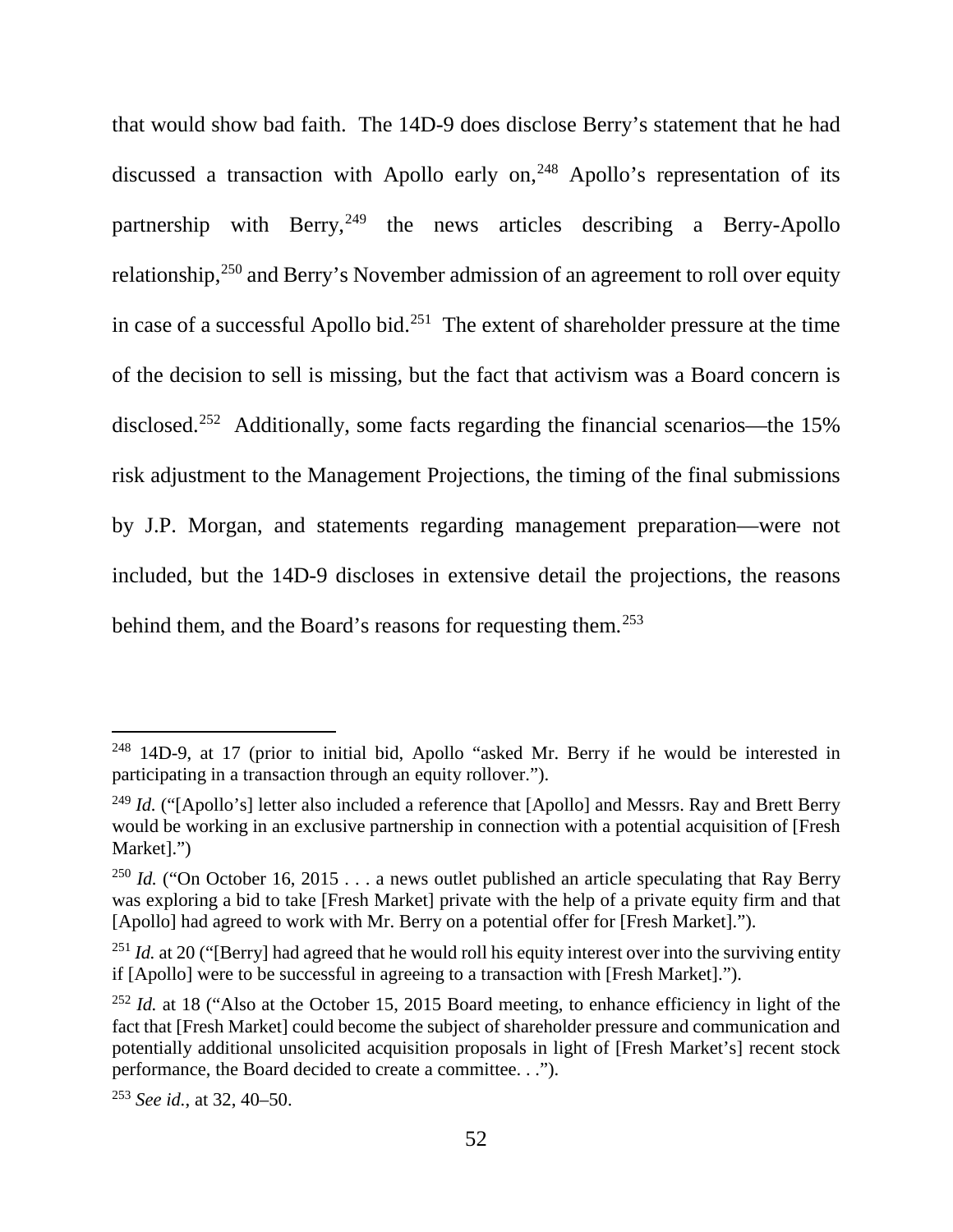that would show bad faith. The 14D-9 does disclose Berry's statement that he had discussed a transaction with Apollo early on, <sup>248</sup> Apollo's representation of its partnership with Berry,  $249$  the news articles describing a Berry-Apollo relationship,250 and Berry's November admission of an agreement to roll over equity in case of a successful Apollo bid.<sup>251</sup> The extent of shareholder pressure at the time of the decision to sell is missing, but the fact that activism was a Board concern is disclosed. 252 Additionally, some facts regarding the financial scenarios—the 15% risk adjustment to the Management Projections, the timing of the final submissions by J.P. Morgan, and statements regarding management preparation—were not included, but the 14D-9 discloses in extensive detail the projections, the reasons behind them, and the Board's reasons for requesting them.<sup>253</sup>

<sup>&</sup>lt;sup>248</sup> 14D-9, at 17 (prior to initial bid, Apollo "asked Mr. Berry if he would be interested in participating in a transaction through an equity rollover.").

<sup>&</sup>lt;sup>249</sup> *Id.* ("[Apollo's] letter also included a reference that [Apollo] and Messrs. Ray and Brett Berry would be working in an exclusive partnership in connection with a potential acquisition of [Fresh Market].")

<sup>&</sup>lt;sup>250</sup> *Id.* ("On October 16, 2015 . . . a news outlet published an article speculating that Ray Berry was exploring a bid to take [Fresh Market] private with the help of a private equity firm and that [Apollo] had agreed to work with Mr. Berry on a potential offer for [Fresh Market].").

<sup>&</sup>lt;sup>251</sup> *Id.* at 20 ("[Berry] had agreed that he would roll his equity interest over into the surviving entity if [Apollo] were to be successful in agreeing to a transaction with [Fresh Market].").

<sup>&</sup>lt;sup>252</sup> *Id.* at 18 ("Also at the October 15, 2015 Board meeting, to enhance efficiency in light of the fact that [Fresh Market] could become the subject of shareholder pressure and communication and potentially additional unsolicited acquisition proposals in light of [Fresh Market's] recent stock performance, the Board decided to create a committee. . .").

<sup>253</sup> *See id.*, at 32, 40–50.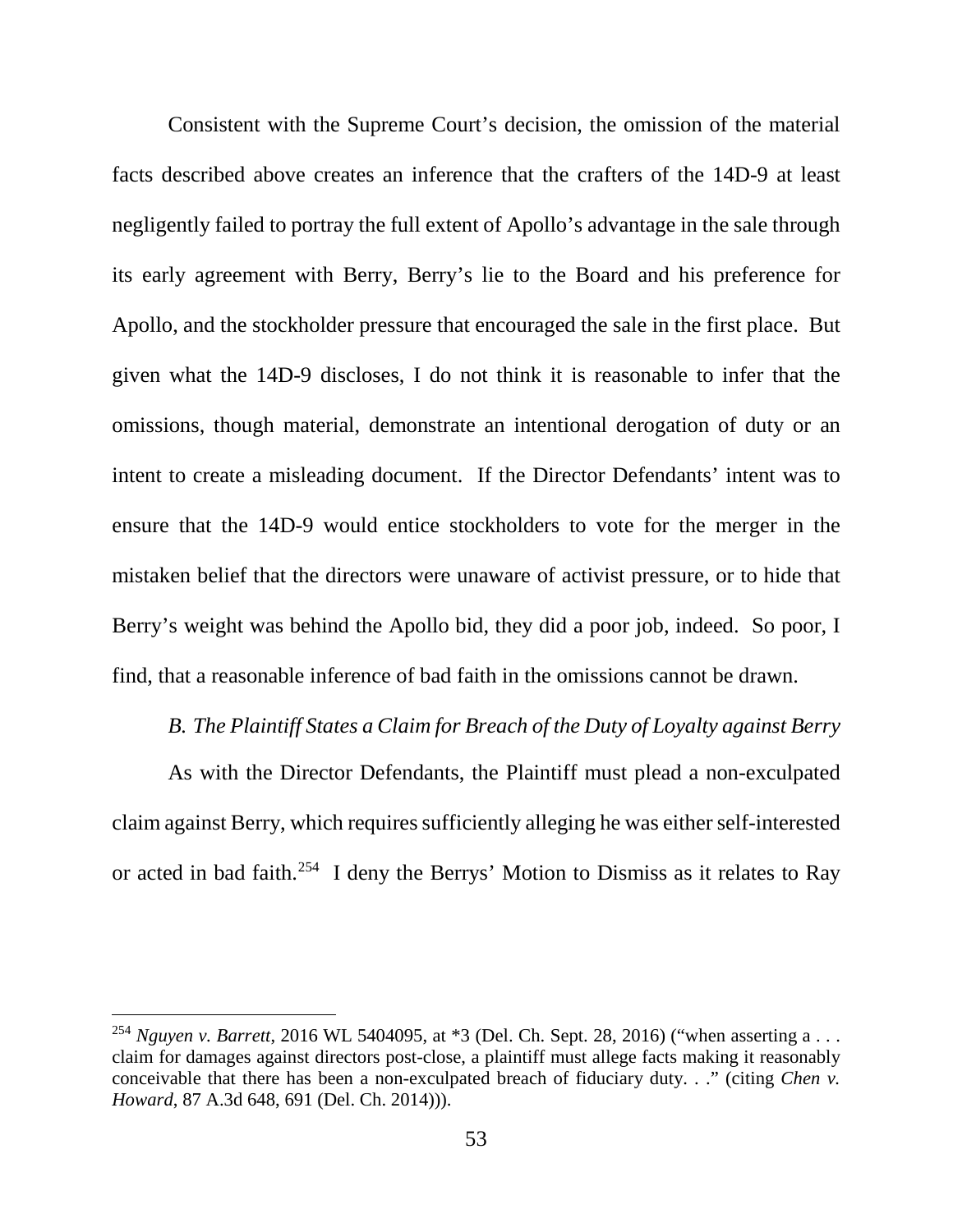Consistent with the Supreme Court's decision, the omission of the material facts described above creates an inference that the crafters of the 14D-9 at least negligently failed to portray the full extent of Apollo's advantage in the sale through its early agreement with Berry, Berry's lie to the Board and his preference for Apollo, and the stockholder pressure that encouraged the sale in the first place. But given what the 14D-9 discloses, I do not think it is reasonable to infer that the omissions, though material, demonstrate an intentional derogation of duty or an intent to create a misleading document. If the Director Defendants' intent was to ensure that the 14D-9 would entice stockholders to vote for the merger in the mistaken belief that the directors were unaware of activist pressure, or to hide that Berry's weight was behind the Apollo bid, they did a poor job, indeed. So poor, I find, that a reasonable inference of bad faith in the omissions cannot be drawn.

### *B. The Plaintiff States a Claim for Breach of the Duty of Loyalty against Berry*

As with the Director Defendants, the Plaintiff must plead a non-exculpated claim against Berry, which requires sufficiently alleging he was either self-interested or acted in bad faith.254 I deny the Berrys' Motion to Dismiss as it relates to Ray

<sup>&</sup>lt;sup>254</sup> *Nguyen v. Barrett*, 2016 WL 5404095, at \*3 (Del. Ch. Sept. 28, 2016) ("when asserting a ... claim for damages against directors post-close, a plaintiff must allege facts making it reasonably conceivable that there has been a non-exculpated breach of fiduciary duty. . ." (citing *Chen v. Howard*, 87 A.3d 648, 691 (Del. Ch. 2014))).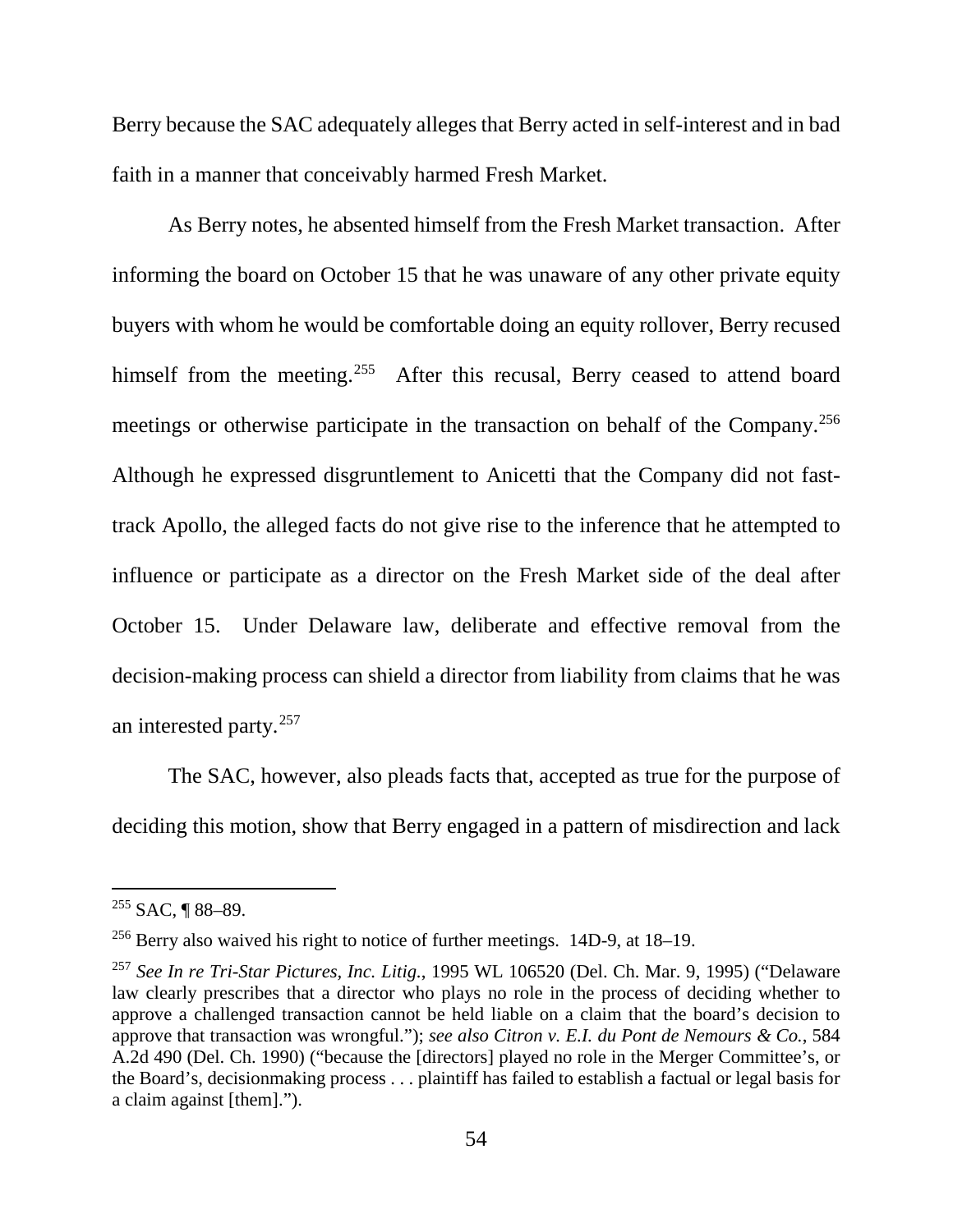Berry because the SAC adequately alleges that Berry acted in self-interest and in bad faith in a manner that conceivably harmed Fresh Market.

As Berry notes, he absented himself from the Fresh Market transaction. After informing the board on October 15 that he was unaware of any other private equity buyers with whom he would be comfortable doing an equity rollover, Berry recused himself from the meeting.<sup>255</sup> After this recusal, Berry ceased to attend board meetings or otherwise participate in the transaction on behalf of the Company.<sup>256</sup> Although he expressed disgruntlement to Anicetti that the Company did not fasttrack Apollo, the alleged facts do not give rise to the inference that he attempted to influence or participate as a director on the Fresh Market side of the deal after October 15. Under Delaware law, deliberate and effective removal from the decision-making process can shield a director from liability from claims that he was an interested party.257

The SAC, however, also pleads facts that, accepted as true for the purpose of deciding this motion, show that Berry engaged in a pattern of misdirection and lack

 $255$  SAC, ¶ 88–89.

<sup>256</sup> Berry also waived his right to notice of further meetings. 14D-9, at 18–19.

<sup>257</sup> *See In re Tri-Star Pictures, Inc. Litig.*, 1995 WL 106520 (Del. Ch. Mar. 9, 1995) ("Delaware law clearly prescribes that a director who plays no role in the process of deciding whether to approve a challenged transaction cannot be held liable on a claim that the board's decision to approve that transaction was wrongful."); *see also Citron v. E.I. du Pont de Nemours & Co.*, 584 A.2d 490 (Del. Ch. 1990) ("because the [directors] played no role in the Merger Committee's, or the Board's, decisionmaking process . . . plaintiff has failed to establish a factual or legal basis for a claim against [them].").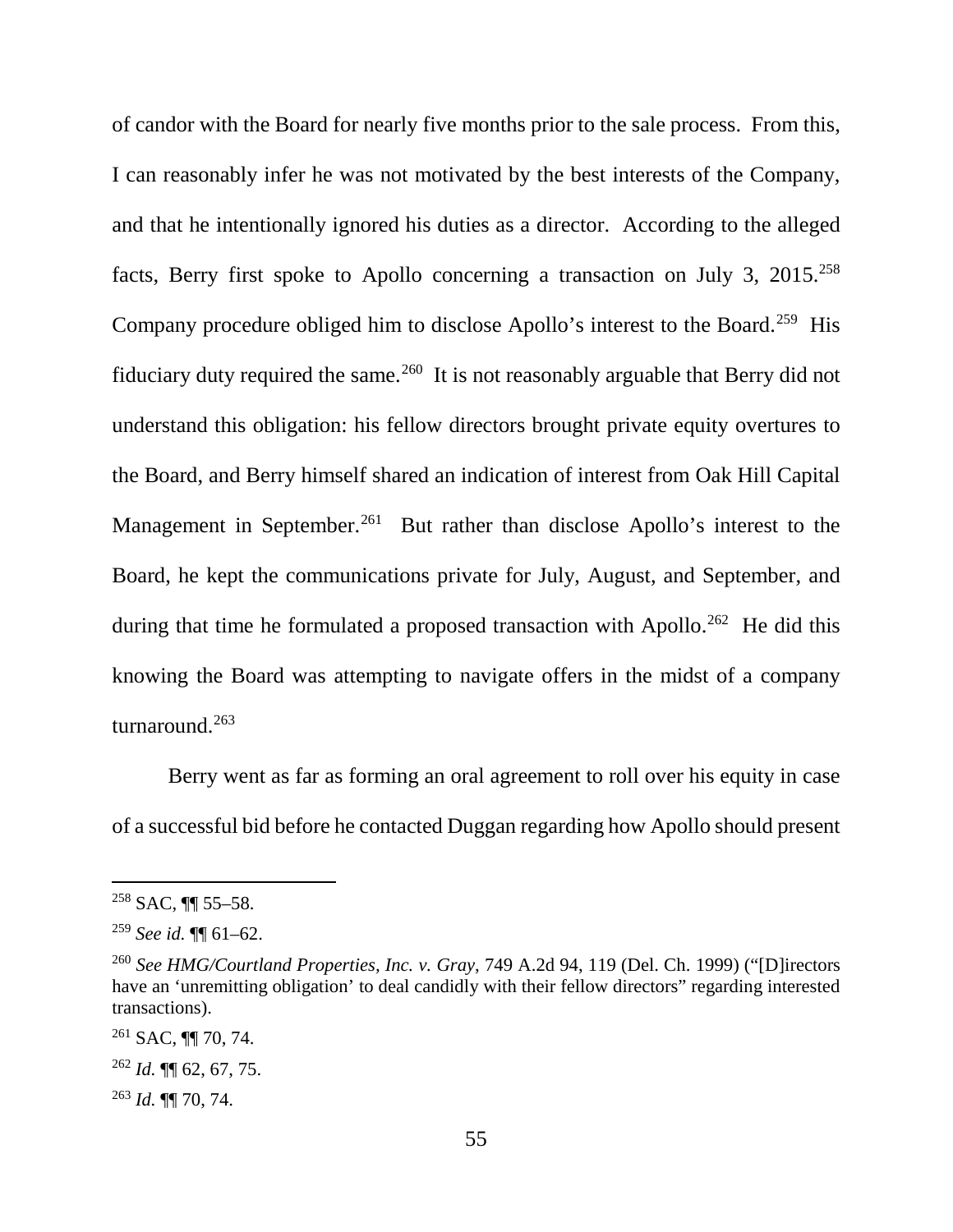of candor with the Board for nearly five months prior to the sale process. From this, I can reasonably infer he was not motivated by the best interests of the Company, and that he intentionally ignored his duties as a director. According to the alleged facts, Berry first spoke to Apollo concerning a transaction on July 3,  $2015$ <sup>258</sup> Company procedure obliged him to disclose Apollo's interest to the Board.259 His fiduciary duty required the same.<sup>260</sup> It is not reasonably arguable that Berry did not understand this obligation: his fellow directors brought private equity overtures to the Board, and Berry himself shared an indication of interest from Oak Hill Capital Management in September.<sup>261</sup> But rather than disclose Apollo's interest to the Board, he kept the communications private for July, August, and September, and during that time he formulated a proposed transaction with Apollo.<sup>262</sup> He did this knowing the Board was attempting to navigate offers in the midst of a company turnaround. 263

Berry went as far as forming an oral agreement to roll over his equity in case of a successful bid before he contacted Duggan regarding how Apollo should present

 $258$  SAC, **[1]** 55–58.

<sup>259</sup> *See id.* ¶¶ 61–62.

<sup>260</sup> *See HMG/Courtland Properties, Inc. v. Gray*, 749 A.2d 94, 119 (Del. Ch. 1999) ("[D]irectors have an 'unremitting obligation' to deal candidly with their fellow directors" regarding interested transactions).

 $261$  SAC, **II** 70, 74.

<sup>262</sup> *Id.* ¶¶ 62, 67, 75.

<sup>263</sup> *Id.* ¶¶ 70, 74.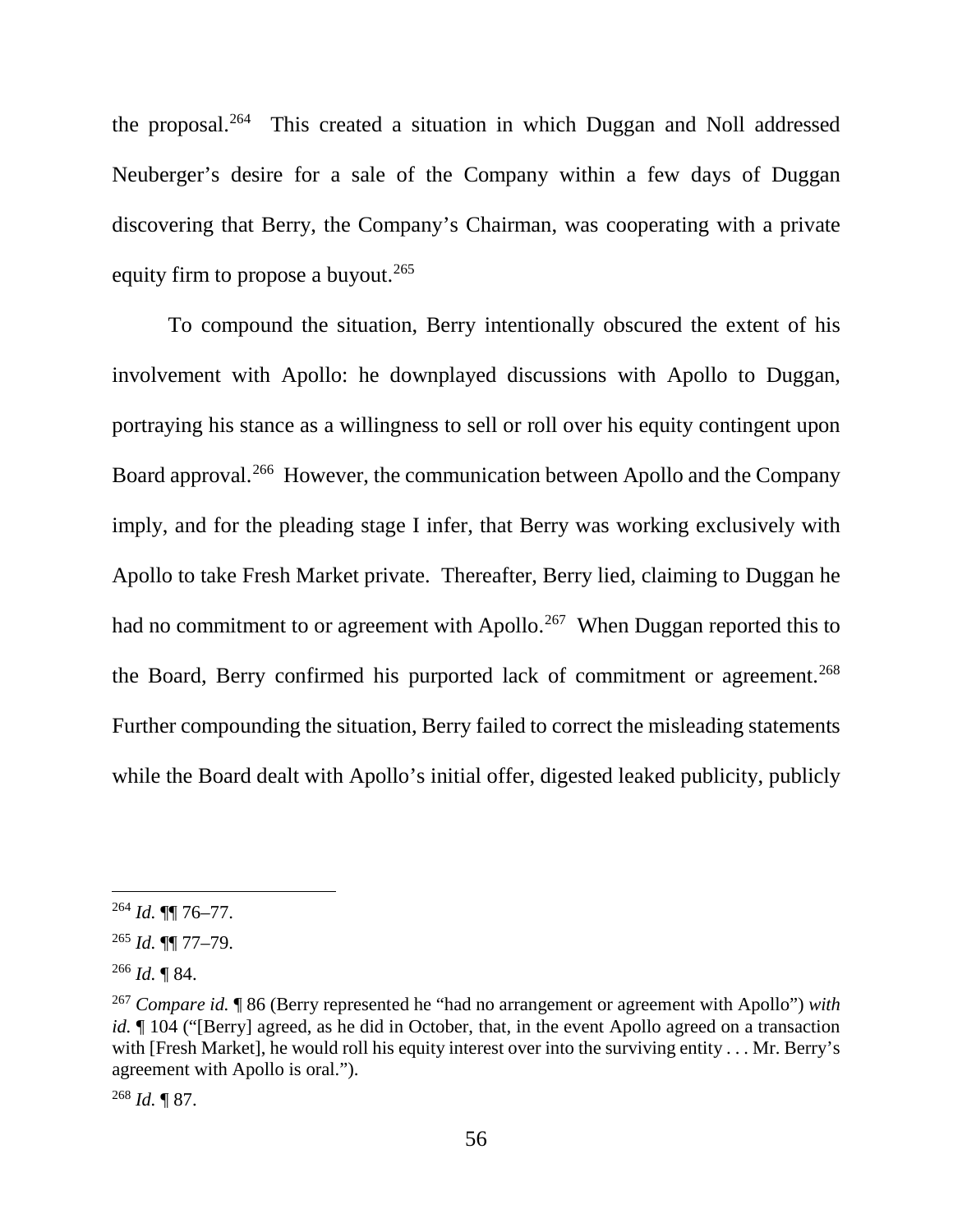the proposal.264 This created a situation in which Duggan and Noll addressed Neuberger's desire for a sale of the Company within a few days of Duggan discovering that Berry, the Company's Chairman, was cooperating with a private equity firm to propose a buyout.<sup>265</sup>

To compound the situation, Berry intentionally obscured the extent of his involvement with Apollo: he downplayed discussions with Apollo to Duggan, portraying his stance as a willingness to sell or roll over his equity contingent upon Board approval.<sup>266</sup> However, the communication between Apollo and the Company imply, and for the pleading stage I infer, that Berry was working exclusively with Apollo to take Fresh Market private. Thereafter, Berry lied, claiming to Duggan he had no commitment to or agreement with Apollo.<sup>267</sup> When Duggan reported this to the Board, Berry confirmed his purported lack of commitment or agreement.<sup>268</sup> Further compounding the situation, Berry failed to correct the misleading statements while the Board dealt with Apollo's initial offer, digested leaked publicity, publicly

 <sup>264</sup> *Id.* ¶¶ 76–77.

<sup>265</sup> *Id.* ¶¶ 77–79.

<sup>266</sup> *Id.* ¶ 84.

<sup>267</sup> *Compare id.* ¶ 86 (Berry represented he "had no arrangement or agreement with Apollo") *with id.*  $\parallel$  104 ("[Berry] agreed, as he did in October, that, in the event Apollo agreed on a transaction with [Fresh Market], he would roll his equity interest over into the surviving entity . . . Mr. Berry's agreement with Apollo is oral.").

<sup>268</sup> *Id.* ¶ 87.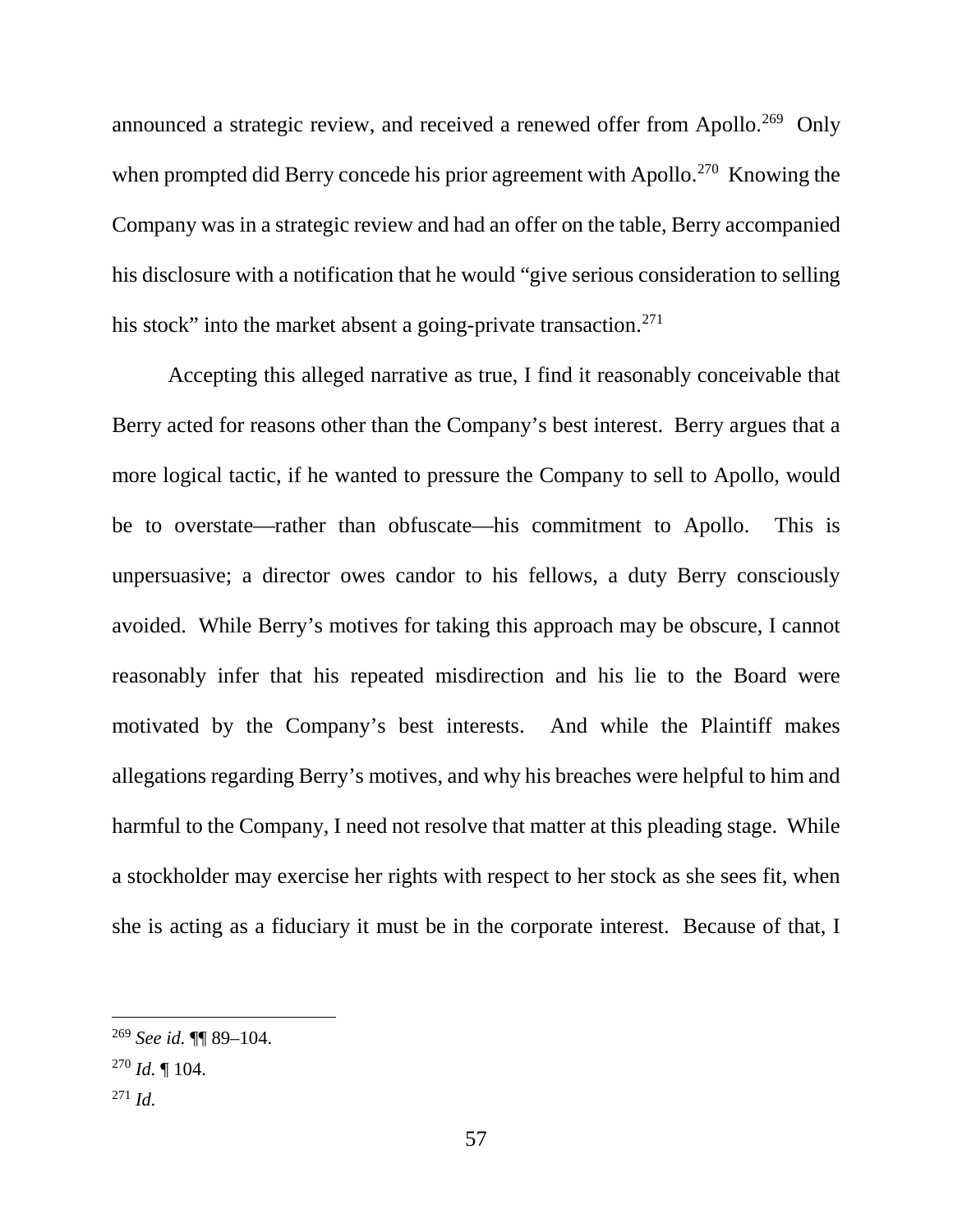announced a strategic review, and received a renewed offer from Apollo.<sup>269</sup> Only when prompted did Berry concede his prior agreement with Apollo.<sup>270</sup> Knowing the Company was in a strategic review and had an offer on the table, Berry accompanied his disclosure with a notification that he would "give serious consideration to selling his stock" into the market absent a going-private transaction.<sup>271</sup>

Accepting this alleged narrative as true, I find it reasonably conceivable that Berry acted for reasons other than the Company's best interest. Berry argues that a more logical tactic, if he wanted to pressure the Company to sell to Apollo, would be to overstate—rather than obfuscate—his commitment to Apollo. This is unpersuasive; a director owes candor to his fellows, a duty Berry consciously avoided. While Berry's motives for taking this approach may be obscure, I cannot reasonably infer that his repeated misdirection and his lie to the Board were motivated by the Company's best interests. And while the Plaintiff makes allegations regarding Berry's motives, and why his breaches were helpful to him and harmful to the Company, I need not resolve that matter at this pleading stage. While a stockholder may exercise her rights with respect to her stock as she sees fit, when she is acting as a fiduciary it must be in the corporate interest. Because of that, I

 <sup>269</sup> *See id.* ¶¶ 89–104.

 $^{270}$  *Id.*  $\blacksquare$  104.

<sup>271</sup> *Id.*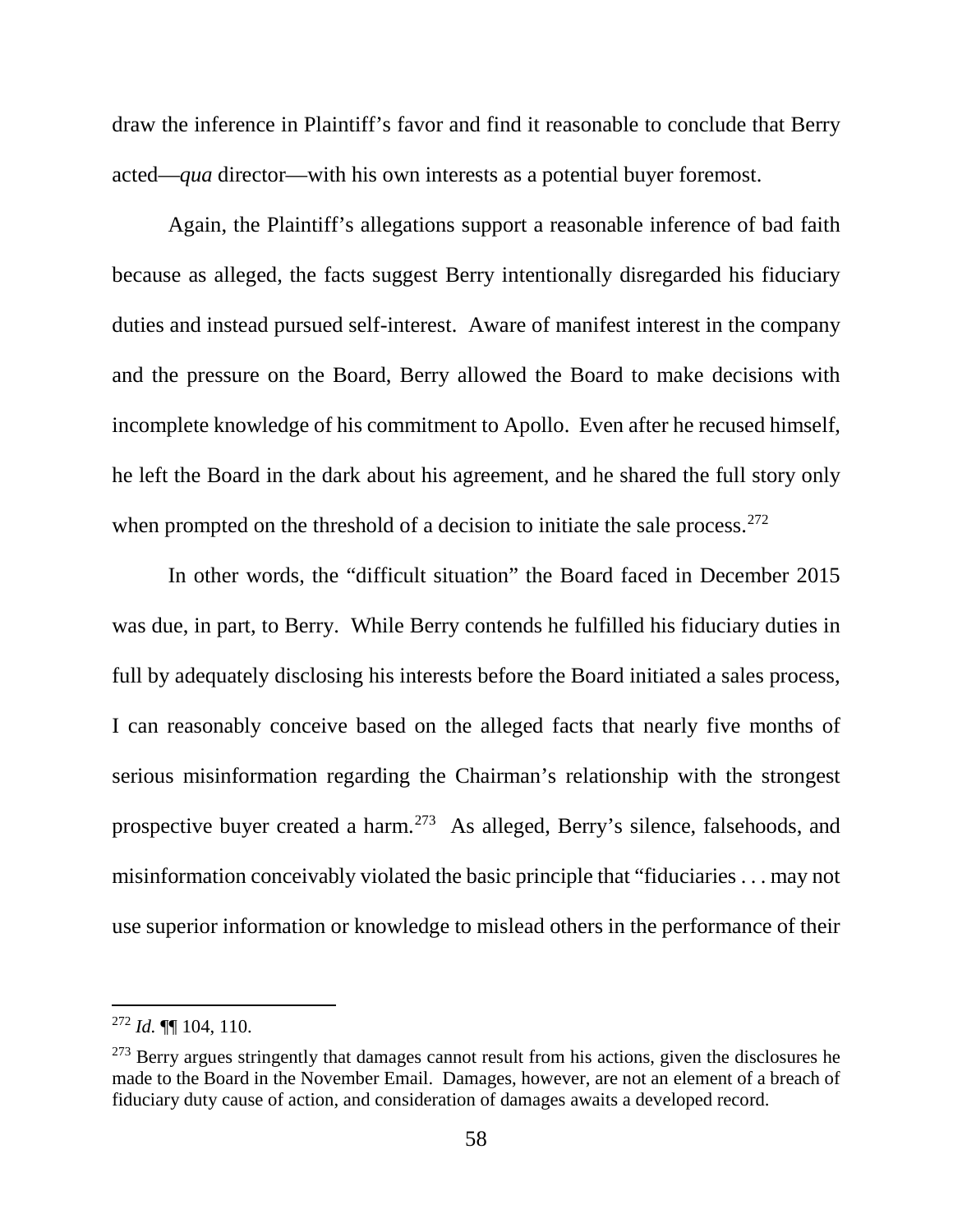draw the inference in Plaintiff's favor and find it reasonable to conclude that Berry acted—*qua* director—with his own interests as a potential buyer foremost.

Again, the Plaintiff's allegations support a reasonable inference of bad faith because as alleged, the facts suggest Berry intentionally disregarded his fiduciary duties and instead pursued self-interest. Aware of manifest interest in the company and the pressure on the Board, Berry allowed the Board to make decisions with incomplete knowledge of his commitment to Apollo. Even after he recused himself, he left the Board in the dark about his agreement, and he shared the full story only when prompted on the threshold of a decision to initiate the sale process.<sup>272</sup>

In other words, the "difficult situation" the Board faced in December 2015 was due, in part, to Berry. While Berry contends he fulfilled his fiduciary duties in full by adequately disclosing his interests before the Board initiated a sales process, I can reasonably conceive based on the alleged facts that nearly five months of serious misinformation regarding the Chairman's relationship with the strongest prospective buyer created a harm.273 As alleged, Berry's silence, falsehoods, and misinformation conceivably violated the basic principle that "fiduciaries . . . may not use superior information or knowledge to mislead others in the performance of their

 <sup>272</sup> *Id.* ¶¶ 104, 110.

 $273$  Berry argues stringently that damages cannot result from his actions, given the disclosures he made to the Board in the November Email. Damages, however, are not an element of a breach of fiduciary duty cause of action, and consideration of damages awaits a developed record.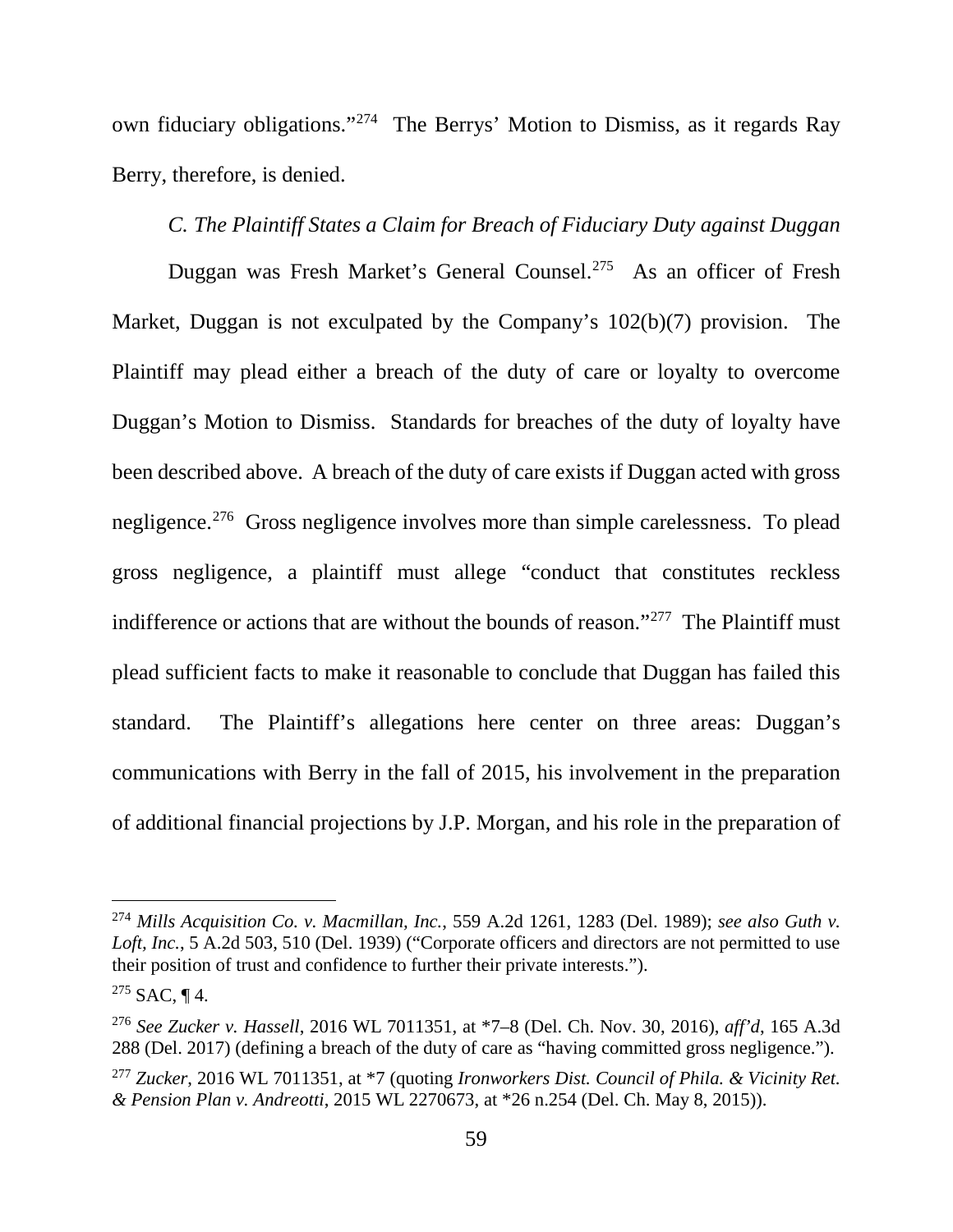own fiduciary obligations."274 The Berrys' Motion to Dismiss, as it regards Ray Berry, therefore, is denied.

# *C. The Plaintiff States a Claim for Breach of Fiduciary Duty against Duggan*

Duggan was Fresh Market's General Counsel.275 As an officer of Fresh Market, Duggan is not exculpated by the Company's 102(b)(7) provision. The Plaintiff may plead either a breach of the duty of care or loyalty to overcome Duggan's Motion to Dismiss. Standards for breaches of the duty of loyalty have been described above. A breach of the duty of care exists if Duggan acted with gross negligence.276 Gross negligence involves more than simple carelessness. To plead gross negligence, a plaintiff must allege "conduct that constitutes reckless indifference or actions that are without the bounds of reason."<sup>277</sup> The Plaintiff must plead sufficient facts to make it reasonable to conclude that Duggan has failed this standard. The Plaintiff's allegations here center on three areas: Duggan's communications with Berry in the fall of 2015, his involvement in the preparation of additional financial projections by J.P. Morgan, and his role in the preparation of

 <sup>274</sup> *Mills Acquisition Co. v. Macmillan, Inc.*, 559 A.2d 1261, 1283 (Del. 1989); *see also Guth v. Loft, Inc.*, 5 A.2d 503, 510 (Del. 1939) ("Corporate officers and directors are not permitted to use their position of trust and confidence to further their private interests.").

 $275$  SAC, ¶ 4.

<sup>276</sup> *See Zucker v. Hassell*, 2016 WL 7011351, at \*7–8 (Del. Ch. Nov. 30, 2016), *aff'd*, 165 A.3d 288 (Del. 2017) (defining a breach of the duty of care as "having committed gross negligence.").

<sup>277</sup> *Zucker*, 2016 WL 7011351, at \*7 (quoting *Ironworkers Dist. Council of Phila. & Vicinity Ret. & Pension Plan v. Andreotti*, 2015 WL 2270673, at \*26 n.254 (Del. Ch. May 8, 2015)).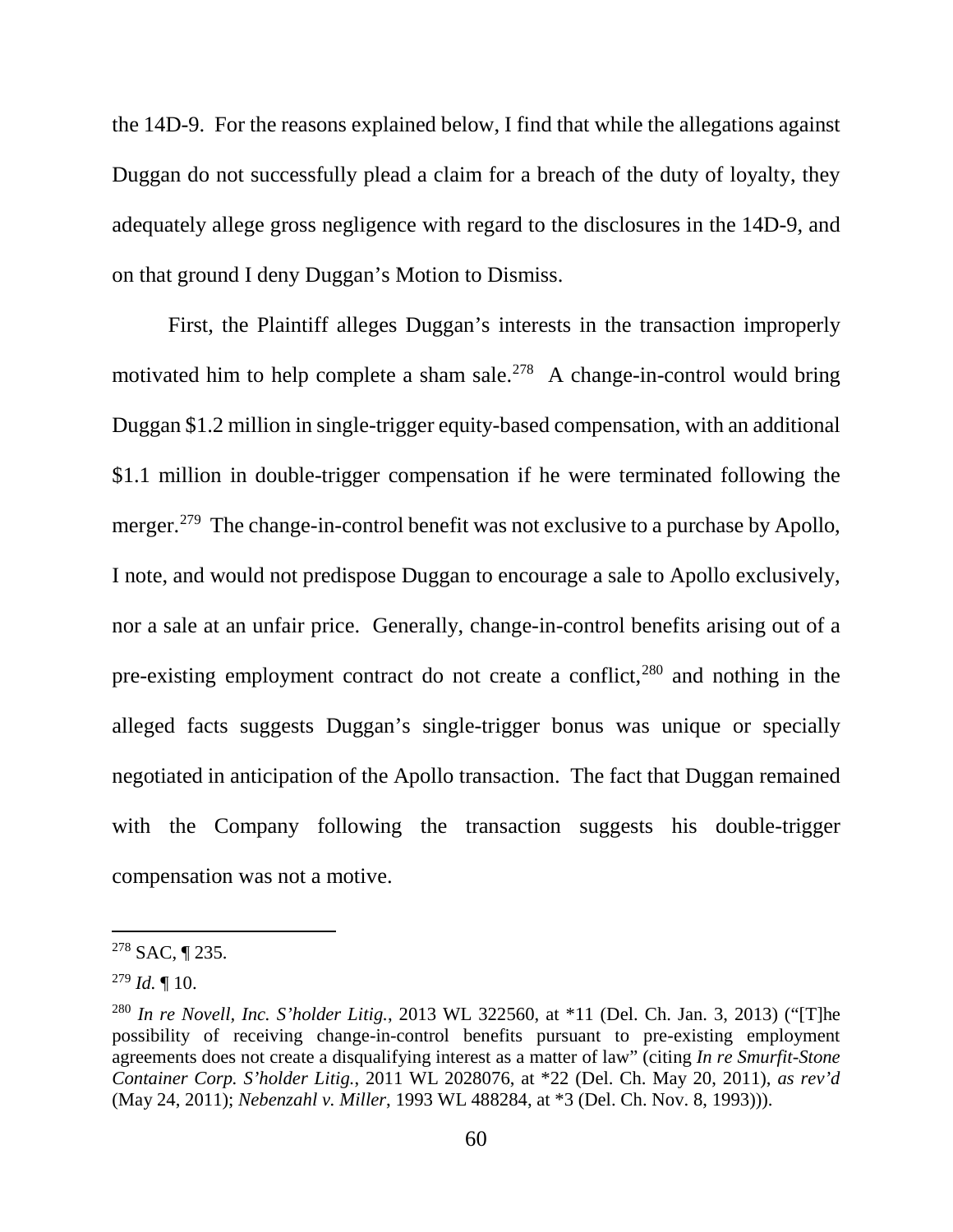the 14D-9. For the reasons explained below, I find that while the allegations against Duggan do not successfully plead a claim for a breach of the duty of loyalty, they adequately allege gross negligence with regard to the disclosures in the 14D-9, and on that ground I deny Duggan's Motion to Dismiss.

First, the Plaintiff alleges Duggan's interests in the transaction improperly motivated him to help complete a sham sale.<sup>278</sup> A change-in-control would bring Duggan \$1.2 million in single-trigger equity-based compensation, with an additional \$1.1 million in double-trigger compensation if he were terminated following the merger.<sup>279</sup> The change-in-control benefit was not exclusive to a purchase by Apollo, I note, and would not predispose Duggan to encourage a sale to Apollo exclusively, nor a sale at an unfair price. Generally, change-in-control benefits arising out of a pre-existing employment contract do not create a conflict,<sup>280</sup> and nothing in the alleged facts suggests Duggan's single-trigger bonus was unique or specially negotiated in anticipation of the Apollo transaction. The fact that Duggan remained with the Company following the transaction suggests his double-trigger compensation was not a motive.

 <sup>278</sup> SAC, ¶ 235.

<sup>279</sup> *Id.* ¶ 10.

<sup>280</sup> *In re Novell, Inc. S'holder Litig.*, 2013 WL 322560, at \*11 (Del. Ch. Jan. 3, 2013) ("[T]he possibility of receiving change-in-control benefits pursuant to pre-existing employment agreements does not create a disqualifying interest as a matter of law" (citing *In re Smurfit-Stone Container Corp. S'holder Litig.*, 2011 WL 2028076, at \*22 (Del. Ch. May 20, 2011), *as rev'd* (May 24, 2011); *Nebenzahl v. Miller*, 1993 WL 488284, at \*3 (Del. Ch. Nov. 8, 1993))).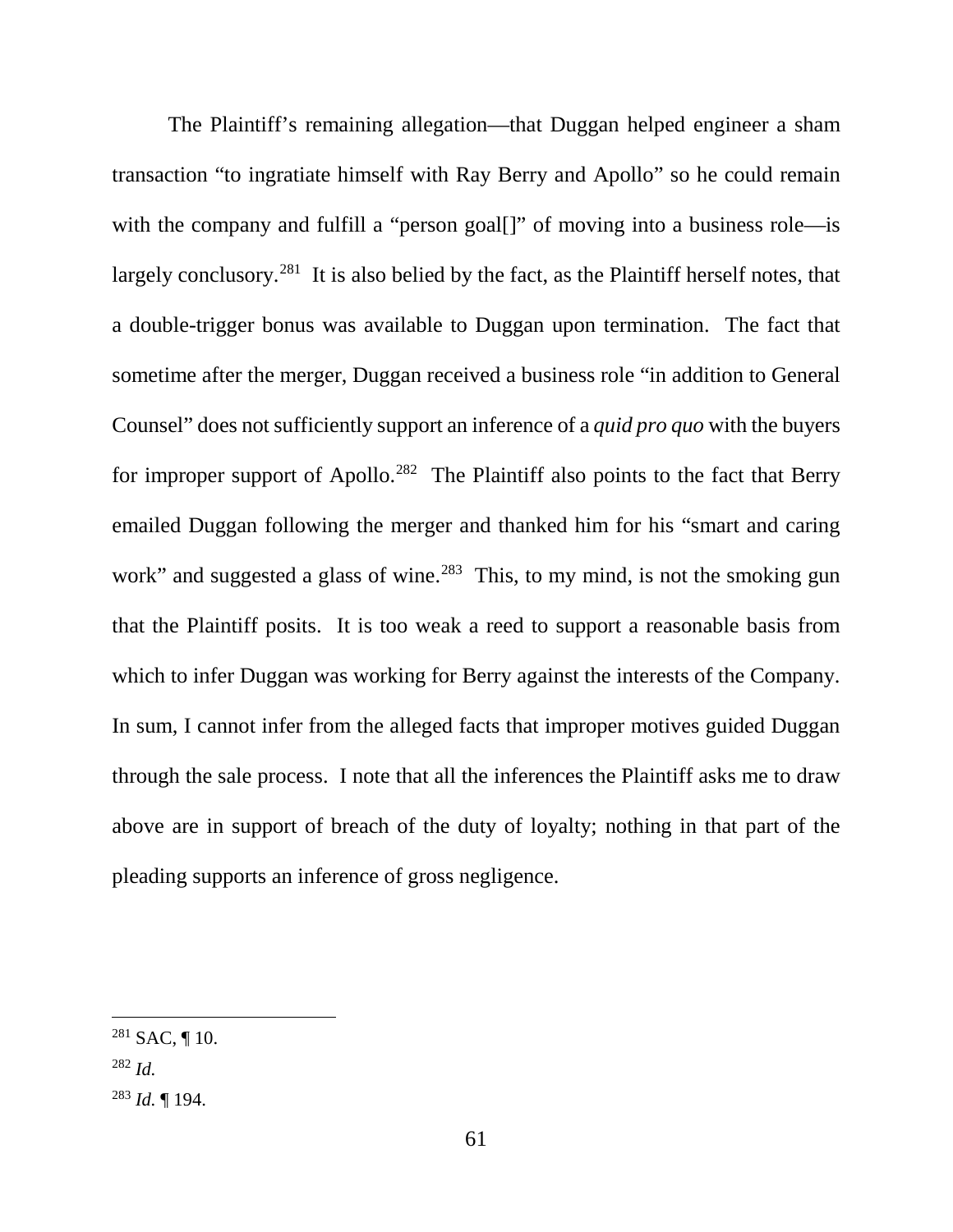The Plaintiff's remaining allegation—that Duggan helped engineer a sham transaction "to ingratiate himself with Ray Berry and Apollo" so he could remain with the company and fulfill a "person goal<sup>[]"</sup> of moving into a business role—is largely conclusory.<sup>281</sup> It is also belied by the fact, as the Plaintiff herself notes, that a double-trigger bonus was available to Duggan upon termination. The fact that sometime after the merger, Duggan received a business role "in addition to General Counsel" does not sufficiently support an inference of a *quid pro quo* with the buyers for improper support of Apollo.<sup>282</sup> The Plaintiff also points to the fact that Berry emailed Duggan following the merger and thanked him for his "smart and caring work" and suggested a glass of wine.<sup>283</sup> This, to my mind, is not the smoking gun that the Plaintiff posits. It is too weak a reed to support a reasonable basis from which to infer Duggan was working for Berry against the interests of the Company. In sum, I cannot infer from the alleged facts that improper motives guided Duggan through the sale process. I note that all the inferences the Plaintiff asks me to draw above are in support of breach of the duty of loyalty; nothing in that part of the pleading supports an inference of gross negligence.

 $281$  SAC, 110.

<sup>282</sup> *Id.*

<sup>283</sup> *Id.* ¶ 194.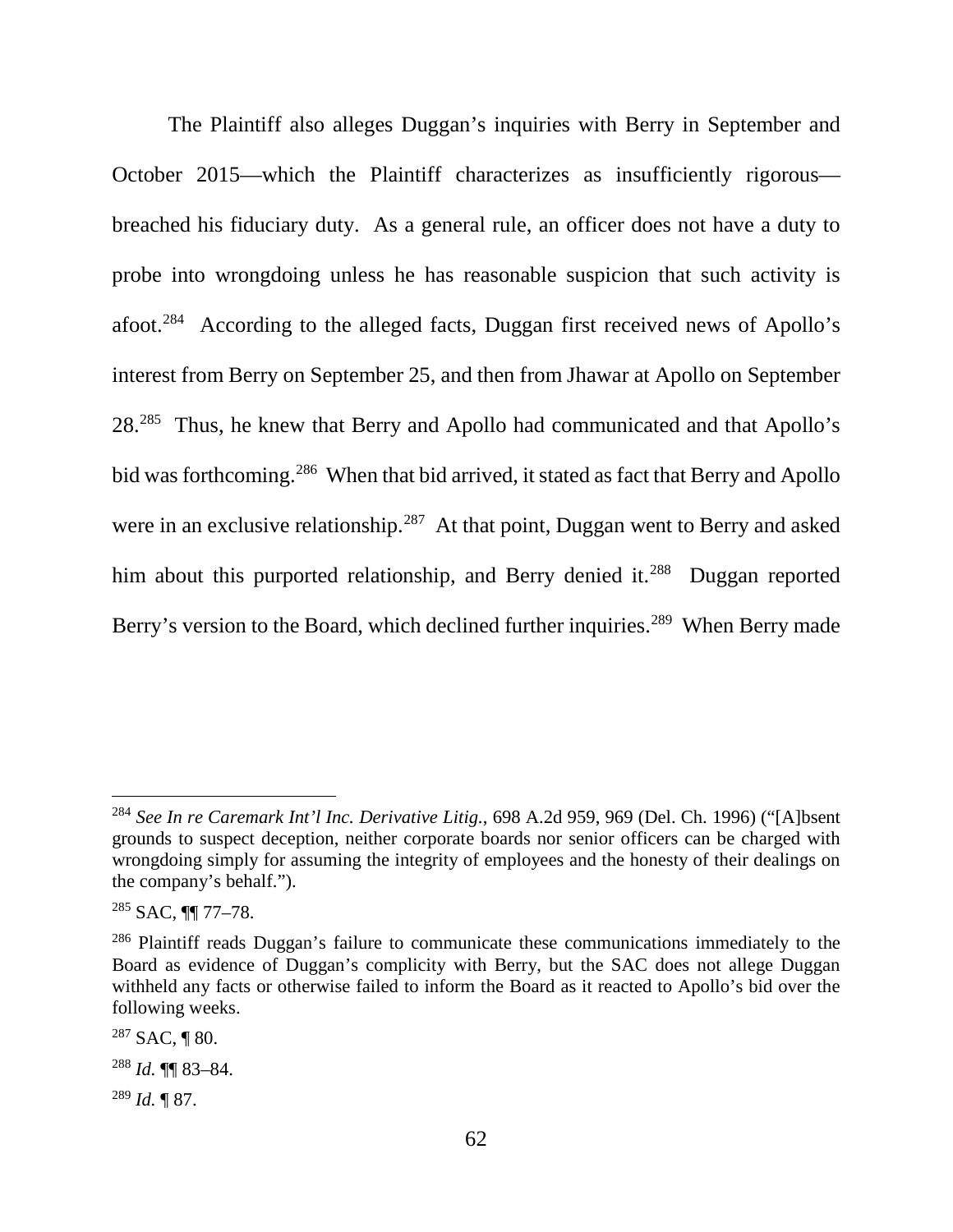The Plaintiff also alleges Duggan's inquiries with Berry in September and October 2015—which the Plaintiff characterizes as insufficiently rigorous breached his fiduciary duty. As a general rule, an officer does not have a duty to probe into wrongdoing unless he has reasonable suspicion that such activity is afoot.284 According to the alleged facts, Duggan first received news of Apollo's interest from Berry on September 25, and then from Jhawar at Apollo on September 28.285 Thus, he knew that Berry and Apollo had communicated and that Apollo's bid was forthcoming.<sup>286</sup> When that bid arrived, it stated as fact that Berry and Apollo were in an exclusive relationship.<sup>287</sup> At that point, Duggan went to Berry and asked him about this purported relationship, and Berry denied it.<sup>288</sup> Duggan reported Berry's version to the Board, which declined further inquiries.<sup>289</sup> When Berry made

 <sup>284</sup> *See In re Caremark Int'l Inc. Derivative Litig.*, 698 A.2d 959, 969 (Del. Ch. 1996) ("[A]bsent grounds to suspect deception, neither corporate boards nor senior officers can be charged with wrongdoing simply for assuming the integrity of employees and the honesty of their dealings on the company's behalf.").

<sup>285</sup> SAC, ¶¶ 77–78.

 $286$  Plaintiff reads Duggan's failure to communicate these communications immediately to the Board as evidence of Duggan's complicity with Berry, but the SAC does not allege Duggan withheld any facts or otherwise failed to inform the Board as it reacted to Apollo's bid over the following weeks.

 $287$  SAC, ¶ 80.

<sup>288</sup> *Id.* ¶¶ 83–84.

<sup>289</sup> *Id.* ¶ 87.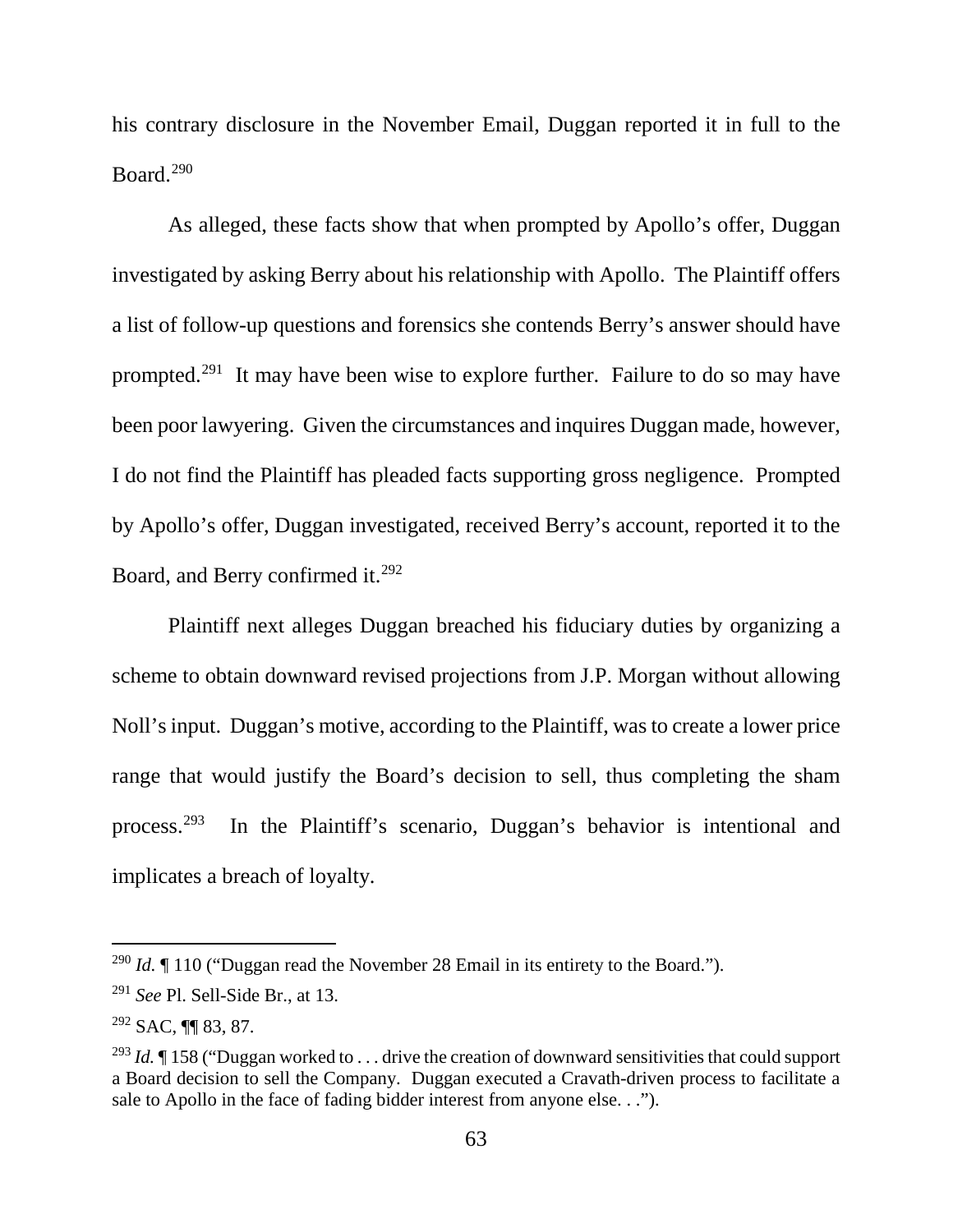his contrary disclosure in the November Email, Duggan reported it in full to the Board.290

As alleged, these facts show that when prompted by Apollo's offer, Duggan investigated by asking Berry about his relationship with Apollo. The Plaintiff offers a list of follow-up questions and forensics she contends Berry's answer should have prompted.291 It may have been wise to explore further. Failure to do so may have been poor lawyering. Given the circumstances and inquires Duggan made, however, I do not find the Plaintiff has pleaded facts supporting gross negligence. Prompted by Apollo's offer, Duggan investigated, received Berry's account, reported it to the Board, and Berry confirmed it.<sup>292</sup>

Plaintiff next alleges Duggan breached his fiduciary duties by organizing a scheme to obtain downward revised projections from J.P. Morgan without allowing Noll's input. Duggan's motive, according to the Plaintiff, was to create a lower price range that would justify the Board's decision to sell, thus completing the sham process.293 In the Plaintiff's scenario, Duggan's behavior is intentional and implicates a breach of loyalty.

<sup>&</sup>lt;sup>290</sup> *Id.* If 110 ("Duggan read the November 28 Email in its entirety to the Board.").

<sup>291</sup> *See* Pl. Sell-Side Br., at 13.

<sup>292</sup> SAC, ¶¶ 83, 87.

<sup>&</sup>lt;sup>293</sup> *Id.* If 158 ("Duggan worked to ... drive the creation of downward sensitivities that could support a Board decision to sell the Company. Duggan executed a Cravath-driven process to facilitate a sale to Apollo in the face of fading bidder interest from anyone else. . .").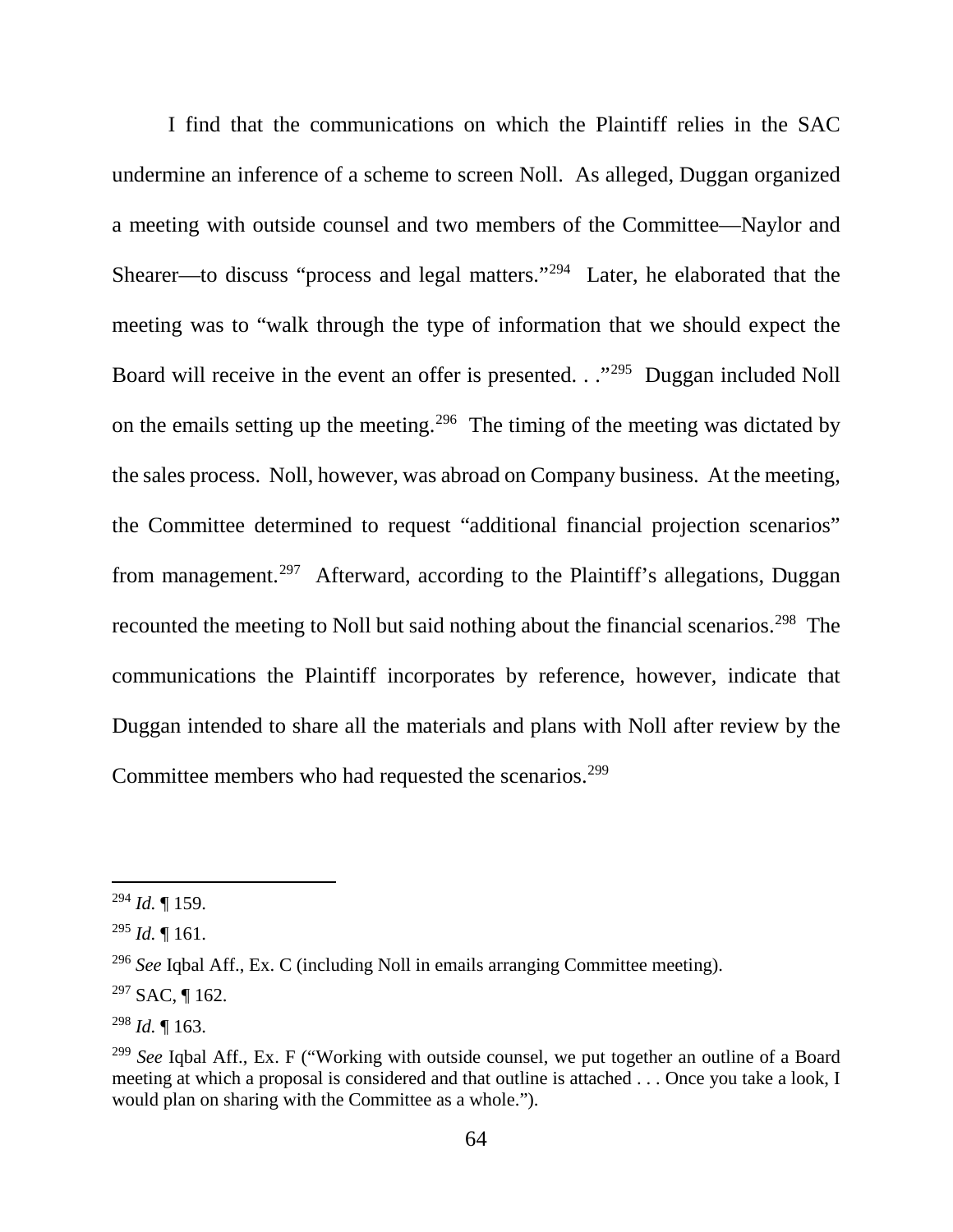I find that the communications on which the Plaintiff relies in the SAC undermine an inference of a scheme to screen Noll. As alleged, Duggan organized a meeting with outside counsel and two members of the Committee—Naylor and Shearer—to discuss "process and legal matters."294 Later, he elaborated that the meeting was to "walk through the type of information that we should expect the Board will receive in the event an offer is presented. . ."295 Duggan included Noll on the emails setting up the meeting.296 The timing of the meeting was dictated by the sales process. Noll, however, was abroad on Company business. At the meeting, the Committee determined to request "additional financial projection scenarios" from management.<sup>297</sup> Afterward, according to the Plaintiff's allegations, Duggan recounted the meeting to Noll but said nothing about the financial scenarios.<sup>298</sup> The communications the Plaintiff incorporates by reference, however, indicate that Duggan intended to share all the materials and plans with Noll after review by the Committee members who had requested the scenarios.<sup>299</sup>

 <sup>294</sup> *Id.* ¶ 159.

 $^{295}$  *Id.* ¶ 161.

<sup>296</sup> *See* Iqbal Aff., Ex. C (including Noll in emails arranging Committee meeting).

 $297$  SAC, ¶ 162.

<sup>298</sup> *Id.* ¶ 163.

<sup>299</sup> *See* Iqbal Aff., Ex. F ("Working with outside counsel, we put together an outline of a Board meeting at which a proposal is considered and that outline is attached . . . Once you take a look, I would plan on sharing with the Committee as a whole.").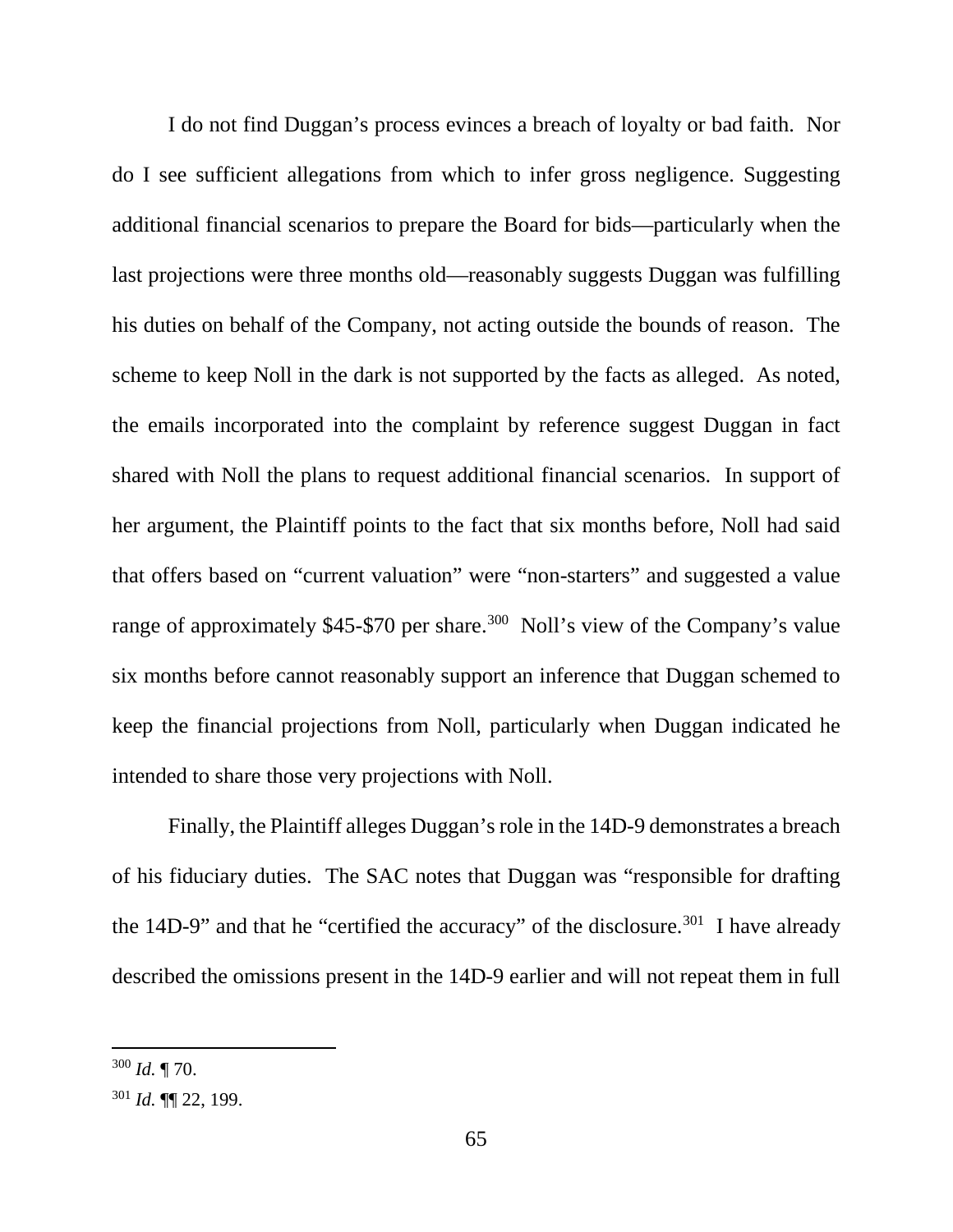I do not find Duggan's process evinces a breach of loyalty or bad faith. Nor do I see sufficient allegations from which to infer gross negligence. Suggesting additional financial scenarios to prepare the Board for bids—particularly when the last projections were three months old—reasonably suggests Duggan was fulfilling his duties on behalf of the Company, not acting outside the bounds of reason. The scheme to keep Noll in the dark is not supported by the facts as alleged. As noted, the emails incorporated into the complaint by reference suggest Duggan in fact shared with Noll the plans to request additional financial scenarios. In support of her argument, the Plaintiff points to the fact that six months before, Noll had said that offers based on "current valuation" were "non-starters" and suggested a value range of approximately \$45-\$70 per share.<sup>300</sup> Noll's view of the Company's value six months before cannot reasonably support an inference that Duggan schemed to keep the financial projections from Noll, particularly when Duggan indicated he intended to share those very projections with Noll.

Finally, the Plaintiff alleges Duggan's role in the 14D-9 demonstrates a breach of his fiduciary duties. The SAC notes that Duggan was "responsible for drafting the 14D-9" and that he "certified the accuracy" of the disclosure.<sup>301</sup> I have already described the omissions present in the 14D-9 earlier and will not repeat them in full

 <sup>300</sup> *Id.* ¶ 70.

<sup>301</sup> *Id.* ¶¶ 22, 199.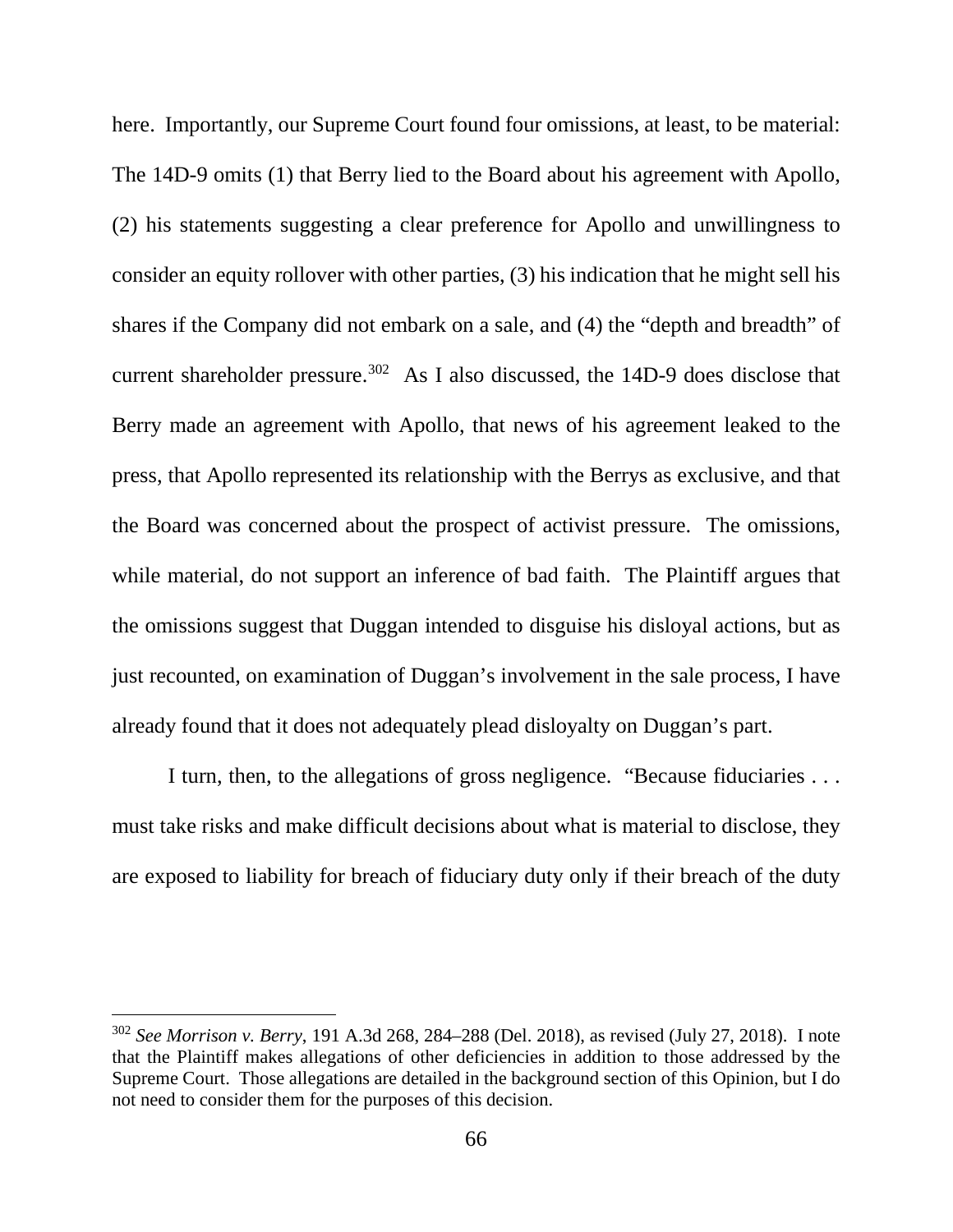here. Importantly, our Supreme Court found four omissions, at least, to be material: The 14D-9 omits (1) that Berry lied to the Board about his agreement with Apollo, (2) his statements suggesting a clear preference for Apollo and unwillingness to consider an equity rollover with other parties, (3) his indication that he might sell his shares if the Company did not embark on a sale, and (4) the "depth and breadth" of current shareholder pressure.<sup>302</sup> As I also discussed, the 14D-9 does disclose that Berry made an agreement with Apollo, that news of his agreement leaked to the press, that Apollo represented its relationship with the Berrys as exclusive, and that the Board was concerned about the prospect of activist pressure. The omissions, while material, do not support an inference of bad faith. The Plaintiff argues that the omissions suggest that Duggan intended to disguise his disloyal actions, but as just recounted, on examination of Duggan's involvement in the sale process, I have already found that it does not adequately plead disloyalty on Duggan's part.

I turn, then, to the allegations of gross negligence. "Because fiduciaries . . . must take risks and make difficult decisions about what is material to disclose, they are exposed to liability for breach of fiduciary duty only if their breach of the duty

 <sup>302</sup> *See Morrison v. Berry*, 191 A.3d 268, 284–288 (Del. 2018), as revised (July 27, 2018). I note that the Plaintiff makes allegations of other deficiencies in addition to those addressed by the Supreme Court. Those allegations are detailed in the background section of this Opinion, but I do not need to consider them for the purposes of this decision.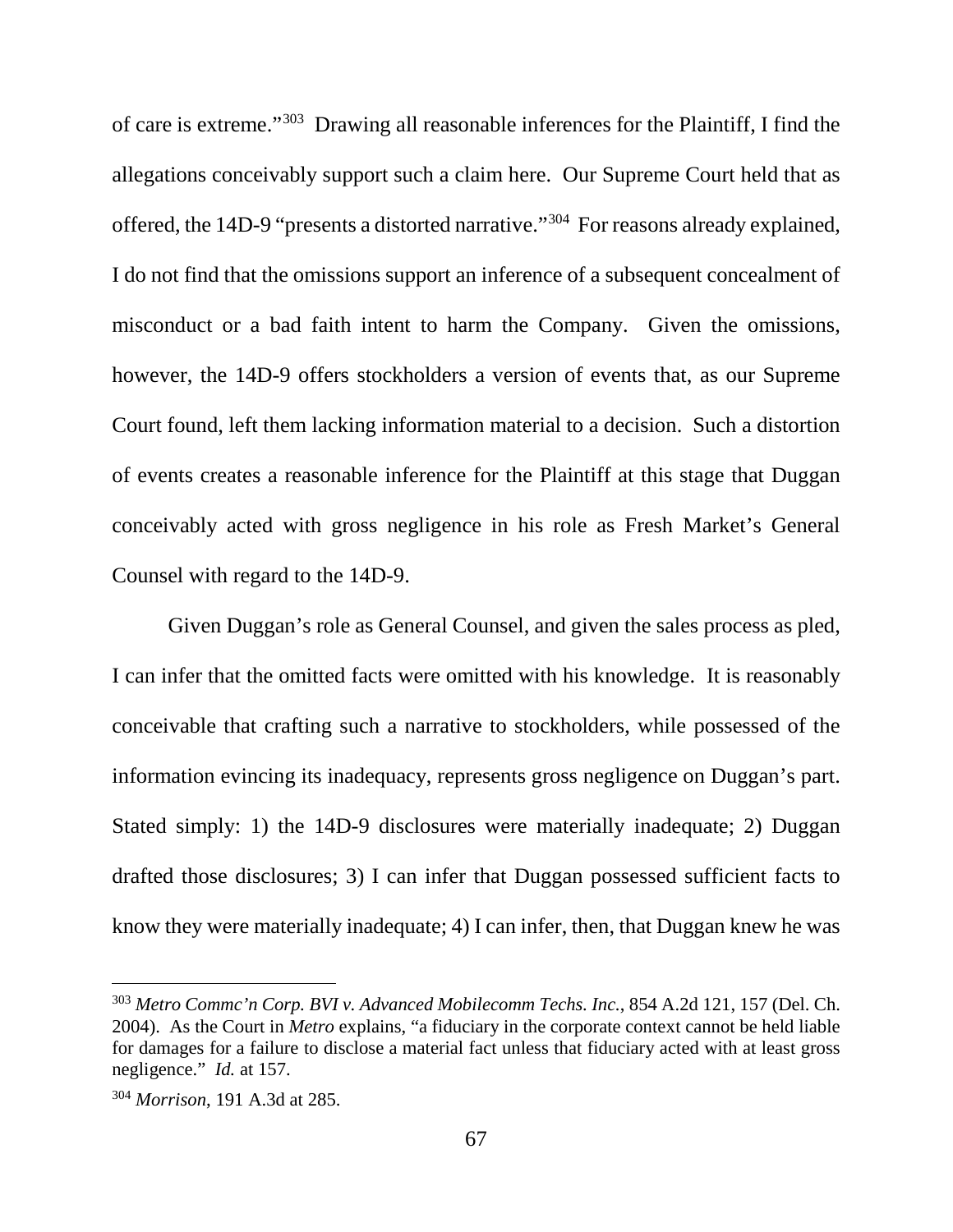of care is extreme."303 Drawing all reasonable inferences for the Plaintiff, I find the allegations conceivably support such a claim here. Our Supreme Court held that as offered, the 14D-9 "presents a distorted narrative."304 For reasons already explained, I do not find that the omissions support an inference of a subsequent concealment of misconduct or a bad faith intent to harm the Company. Given the omissions, however, the 14D-9 offers stockholders a version of events that, as our Supreme Court found, left them lacking information material to a decision. Such a distortion of events creates a reasonable inference for the Plaintiff at this stage that Duggan conceivably acted with gross negligence in his role as Fresh Market's General Counsel with regard to the 14D-9.

Given Duggan's role as General Counsel, and given the sales process as pled, I can infer that the omitted facts were omitted with his knowledge. It is reasonably conceivable that crafting such a narrative to stockholders, while possessed of the information evincing its inadequacy, represents gross negligence on Duggan's part. Stated simply: 1) the 14D-9 disclosures were materially inadequate; 2) Duggan drafted those disclosures; 3) I can infer that Duggan possessed sufficient facts to know they were materially inadequate; 4) I can infer, then, that Duggan knew he was

 <sup>303</sup> *Metro Commc'n Corp. BVI v. Advanced Mobilecomm Techs. Inc.*, 854 A.2d 121, 157 (Del. Ch. 2004). As the Court in *Metro* explains, "a fiduciary in the corporate context cannot be held liable for damages for a failure to disclose a material fact unless that fiduciary acted with at least gross negligence." *Id.* at 157.

<sup>304</sup> *Morrison*, 191 A.3d at 285.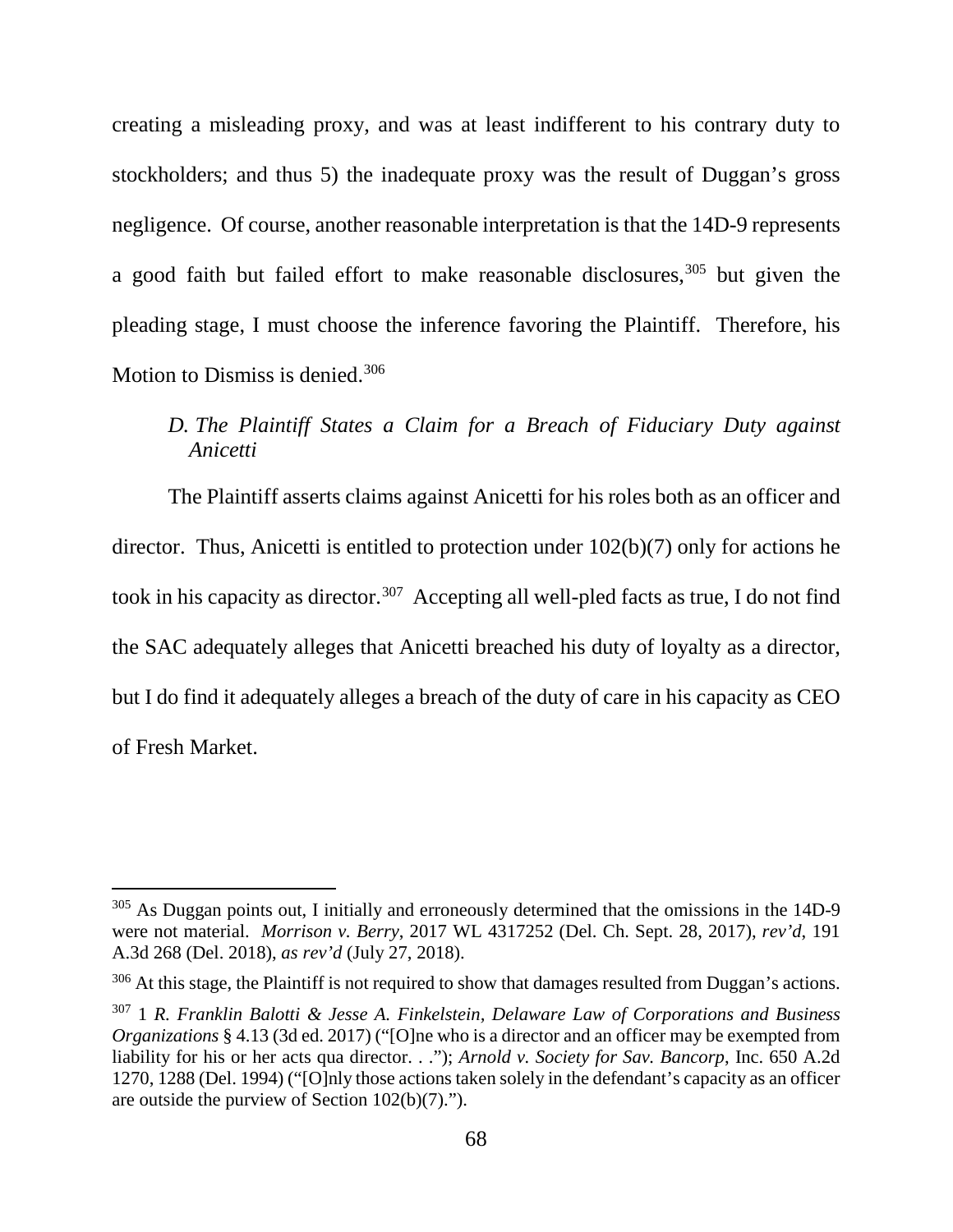creating a misleading proxy, and was at least indifferent to his contrary duty to stockholders; and thus 5) the inadequate proxy was the result of Duggan's gross negligence. Of course, another reasonable interpretation is that the 14D-9 represents a good faith but failed effort to make reasonable disclosures,  $305$  but given the pleading stage, I must choose the inference favoring the Plaintiff. Therefore, his Motion to Dismiss is denied.<sup>306</sup>

# *D. The Plaintiff States a Claim for a Breach of Fiduciary Duty against Anicetti*

The Plaintiff asserts claims against Anicetti for his roles both as an officer and director. Thus, Anicetti is entitled to protection under 102(b)(7) only for actions he took in his capacity as director.<sup>307</sup> Accepting all well-pled facts as true, I do not find the SAC adequately alleges that Anicetti breached his duty of loyalty as a director, but I do find it adequately alleges a breach of the duty of care in his capacity as CEO of Fresh Market.

<sup>&</sup>lt;sup>305</sup> As Duggan points out, I initially and erroneously determined that the omissions in the 14D-9 were not material. *Morrison v. Berry*, 2017 WL 4317252 (Del. Ch. Sept. 28, 2017), *rev'd*, 191 A.3d 268 (Del. 2018), *as rev'd* (July 27, 2018).

<sup>&</sup>lt;sup>306</sup> At this stage, the Plaintiff is not required to show that damages resulted from Duggan's actions.

<sup>307</sup> 1 *R. Franklin Balotti & Jesse A. Finkelstein, Delaware Law of Corporations and Business Organizations* § 4.13 (3d ed. 2017) ("[O]ne who is a director and an officer may be exempted from liability for his or her acts qua director. . ."); *Arnold v. Society for Sav. Bancorp*, Inc. 650 A.2d 1270, 1288 (Del. 1994) ("[O]nly those actions taken solely in the defendant's capacity as an officer are outside the purview of Section 102(b)(7).").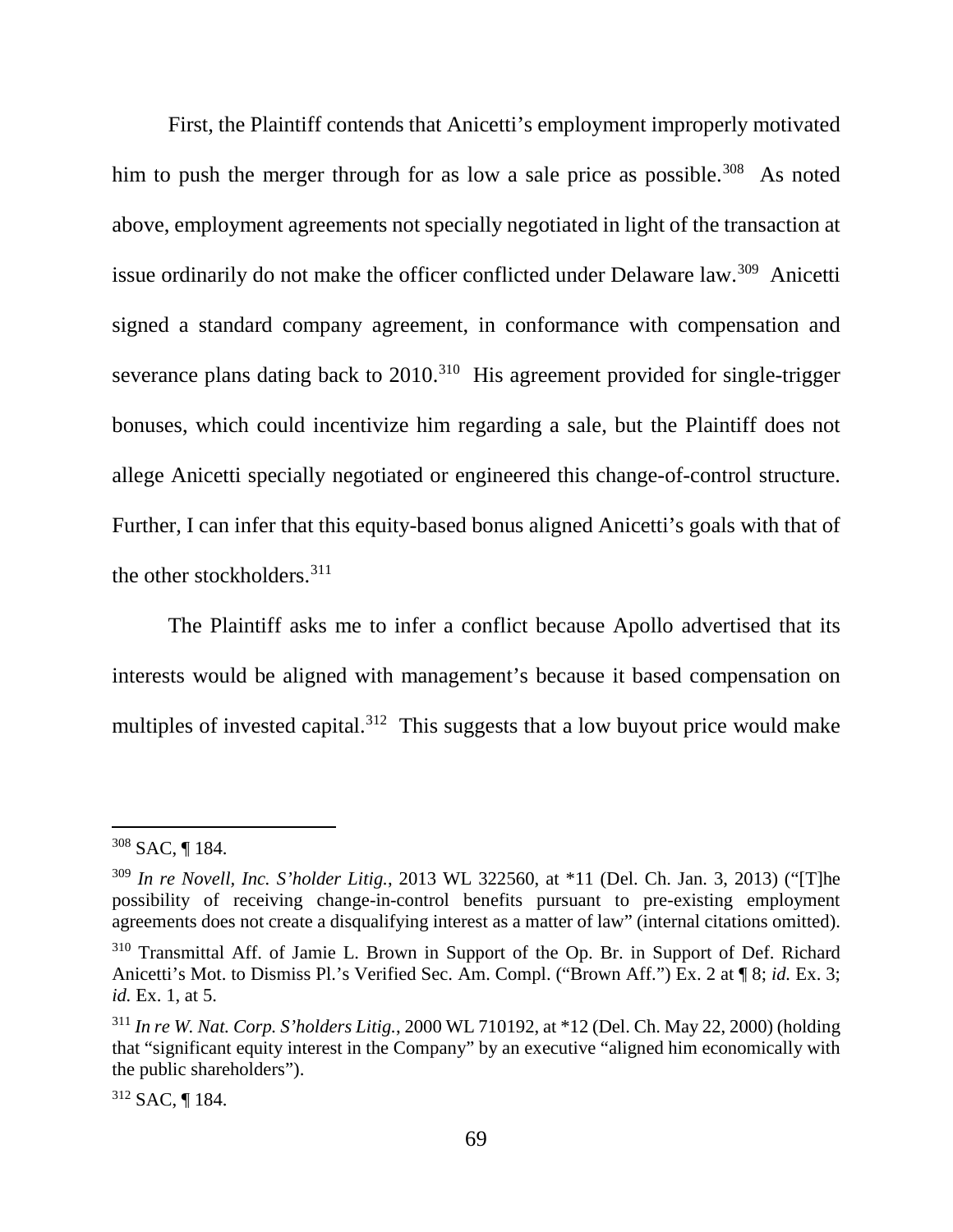First, the Plaintiff contends that Anicetti's employment improperly motivated him to push the merger through for as low a sale price as possible.<sup>308</sup> As noted above, employment agreements not specially negotiated in light of the transaction at issue ordinarily do not make the officer conflicted under Delaware law.<sup>309</sup> Anicetti signed a standard company agreement, in conformance with compensation and severance plans dating back to 2010.<sup>310</sup> His agreement provided for single-trigger bonuses, which could incentivize him regarding a sale, but the Plaintiff does not allege Anicetti specially negotiated or engineered this change-of-control structure. Further, I can infer that this equity-based bonus aligned Anicetti's goals with that of the other stockholders. 311

The Plaintiff asks me to infer a conflict because Apollo advertised that its interests would be aligned with management's because it based compensation on multiples of invested capital.<sup>312</sup> This suggests that a low buyout price would make

<sup>312</sup> SAC, ¶ 184.

 <sup>308</sup> SAC, ¶ 184.

<sup>309</sup> *In re Novell, Inc. S'holder Litig.*, 2013 WL 322560, at \*11 (Del. Ch. Jan. 3, 2013) ("[T]he possibility of receiving change-in-control benefits pursuant to pre-existing employment agreements does not create a disqualifying interest as a matter of law" (internal citations omitted).

<sup>&</sup>lt;sup>310</sup> Transmittal Aff. of Jamie L. Brown in Support of the Op. Br. in Support of Def. Richard Anicetti's Mot. to Dismiss Pl.'s Verified Sec. Am. Compl. ("Brown Aff.") Ex. 2 at ¶ 8; *id.* Ex. 3; *id.* Ex. 1, at 5.

<sup>311</sup> *In re W. Nat. Corp. S'holders Litig.*, 2000 WL 710192, at \*12 (Del. Ch. May 22, 2000) (holding that "significant equity interest in the Company" by an executive "aligned him economically with the public shareholders").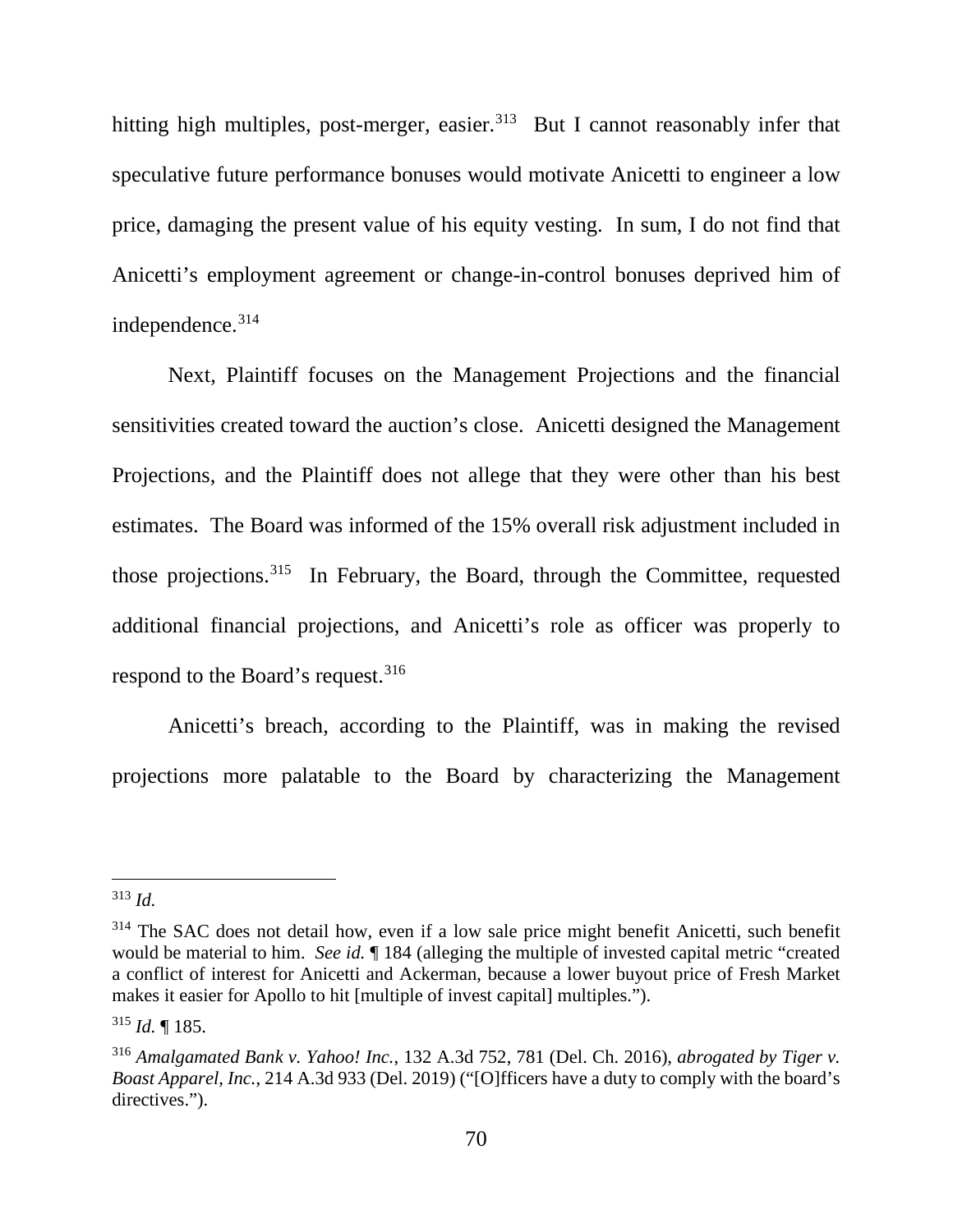hitting high multiples, post-merger, easier. $313$  But I cannot reasonably infer that speculative future performance bonuses would motivate Anicetti to engineer a low price, damaging the present value of his equity vesting. In sum, I do not find that Anicetti's employment agreement or change-in-control bonuses deprived him of independence.<sup>314</sup>

Next, Plaintiff focuses on the Management Projections and the financial sensitivities created toward the auction's close. Anicetti designed the Management Projections, and the Plaintiff does not allege that they were other than his best estimates. The Board was informed of the 15% overall risk adjustment included in those projections.<sup>315</sup> In February, the Board, through the Committee, requested additional financial projections, and Anicetti's role as officer was properly to respond to the Board's request.<sup>316</sup>

Anicetti's breach, according to the Plaintiff, was in making the revised projections more palatable to the Board by characterizing the Management

 <sup>313</sup> *Id.*

 $314$  The SAC does not detail how, even if a low sale price might benefit Anicetti, such benefit would be material to him. *See id.* ¶ 184 (alleging the multiple of invested capital metric "created a conflict of interest for Anicetti and Ackerman, because a lower buyout price of Fresh Market makes it easier for Apollo to hit [multiple of invest capital] multiples.").

<sup>315</sup> *Id.* ¶ 185.

<sup>316</sup> *Amalgamated Bank v. Yahoo! Inc.*, 132 A.3d 752, 781 (Del. Ch. 2016), *abrogated by Tiger v. Boast Apparel, Inc.*, 214 A.3d 933 (Del. 2019) ("[O]fficers have a duty to comply with the board's directives.").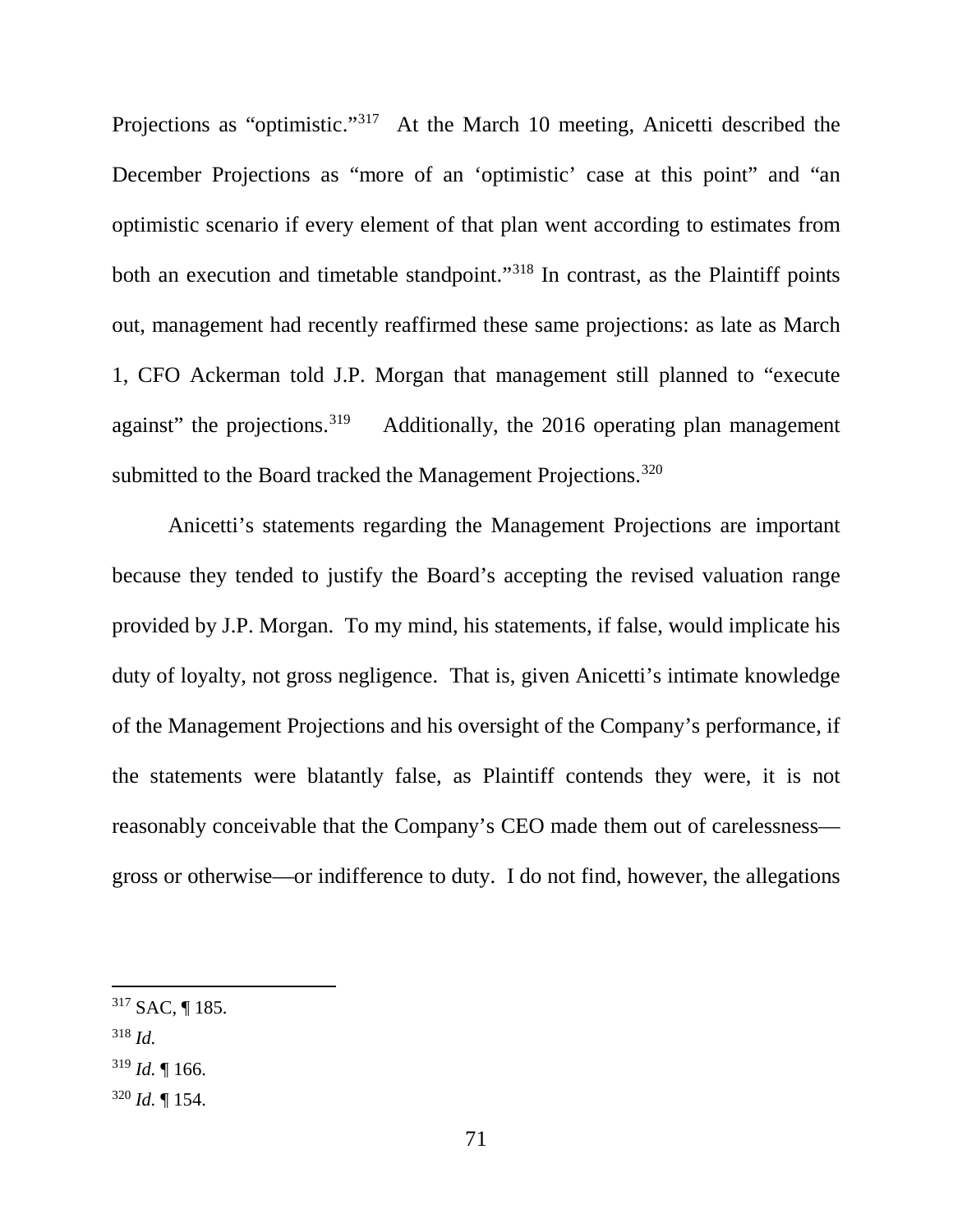Projections as "optimistic."<sup>317</sup> At the March 10 meeting, Anicetti described the December Projections as "more of an 'optimistic' case at this point" and "an optimistic scenario if every element of that plan went according to estimates from both an execution and timetable standpoint."<sup>318</sup> In contrast, as the Plaintiff points out, management had recently reaffirmed these same projections: as late as March 1, CFO Ackerman told J.P. Morgan that management still planned to "execute against" the projections.<sup>319</sup> Additionally, the 2016 operating plan management submitted to the Board tracked the Management Projections.<sup>320</sup>

Anicetti's statements regarding the Management Projections are important because they tended to justify the Board's accepting the revised valuation range provided by J.P. Morgan. To my mind, his statements, if false, would implicate his duty of loyalty, not gross negligence. That is, given Anicetti's intimate knowledge of the Management Projections and his oversight of the Company's performance, if the statements were blatantly false, as Plaintiff contends they were, it is not reasonably conceivable that the Company's CEO made them out of carelessness gross or otherwise—or indifference to duty. I do not find, however, the allegations

- <sup>318</sup> *Id.*
- $319$  *Id.* | 166.
- $320$  *Id.* 154.

 <sup>317</sup> SAC, ¶ 185.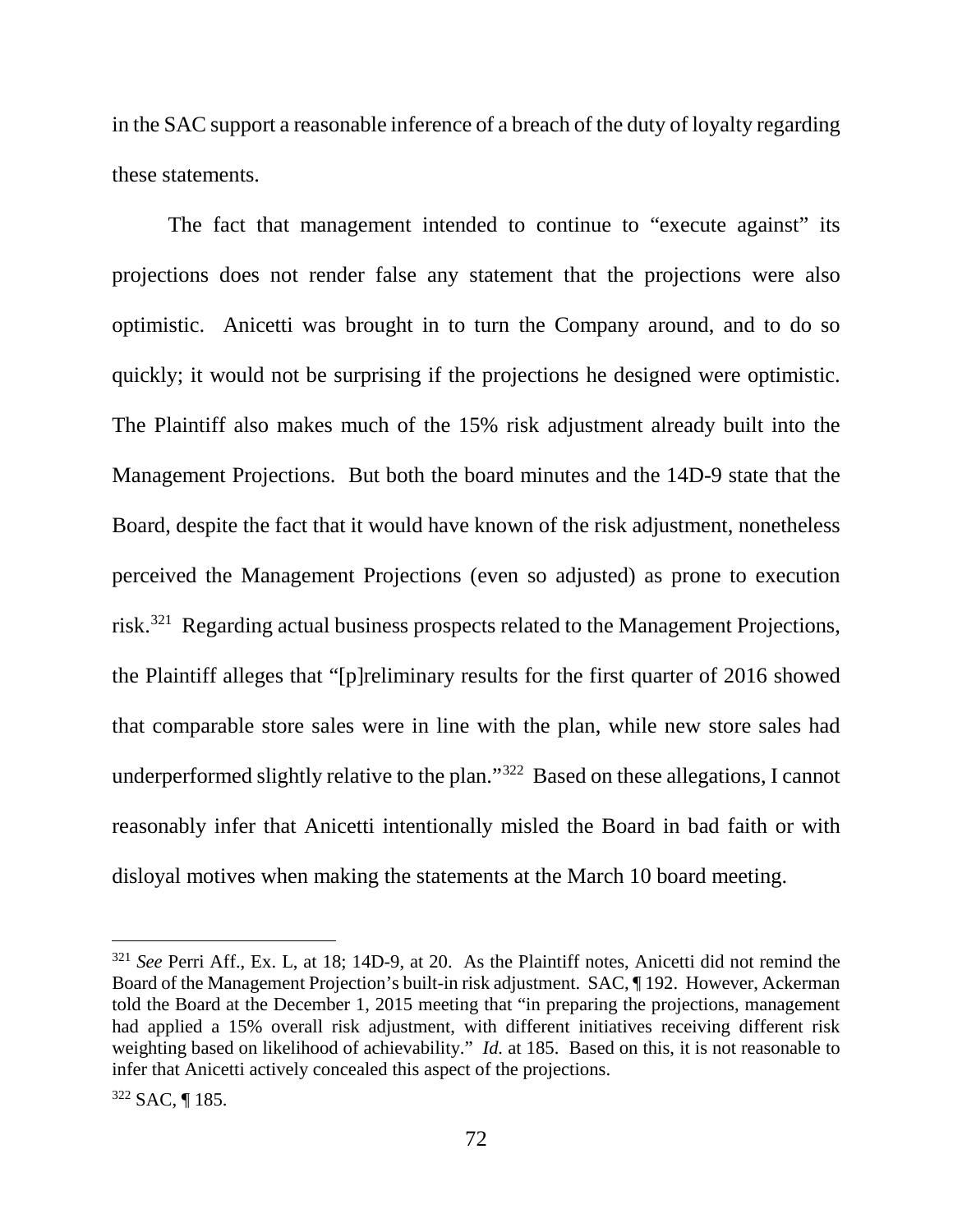in the SAC support a reasonable inference of a breach of the duty of loyalty regarding these statements.

The fact that management intended to continue to "execute against" its projections does not render false any statement that the projections were also optimistic. Anicetti was brought in to turn the Company around, and to do so quickly; it would not be surprising if the projections he designed were optimistic. The Plaintiff also makes much of the 15% risk adjustment already built into the Management Projections. But both the board minutes and the 14D-9 state that the Board, despite the fact that it would have known of the risk adjustment, nonetheless perceived the Management Projections (even so adjusted) as prone to execution risk.321 Regarding actual business prospects related to the Management Projections, the Plaintiff alleges that "[p]reliminary results for the first quarter of 2016 showed that comparable store sales were in line with the plan, while new store sales had underperformed slightly relative to the plan."322 Based on these allegations, I cannot reasonably infer that Anicetti intentionally misled the Board in bad faith or with disloyal motives when making the statements at the March 10 board meeting.

<sup>&</sup>lt;sup>321</sup> See Perri Aff., Ex. L, at 18; 14D-9, at 20. As the Plaintiff notes, Anicetti did not remind the Board of the Management Projection's built-in risk adjustment. SAC, ¶ 192. However, Ackerman told the Board at the December 1, 2015 meeting that "in preparing the projections, management had applied a 15% overall risk adjustment, with different initiatives receiving different risk weighting based on likelihood of achievability." *Id.* at 185. Based on this, it is not reasonable to infer that Anicetti actively concealed this aspect of the projections.

<sup>322</sup> SAC, ¶ 185.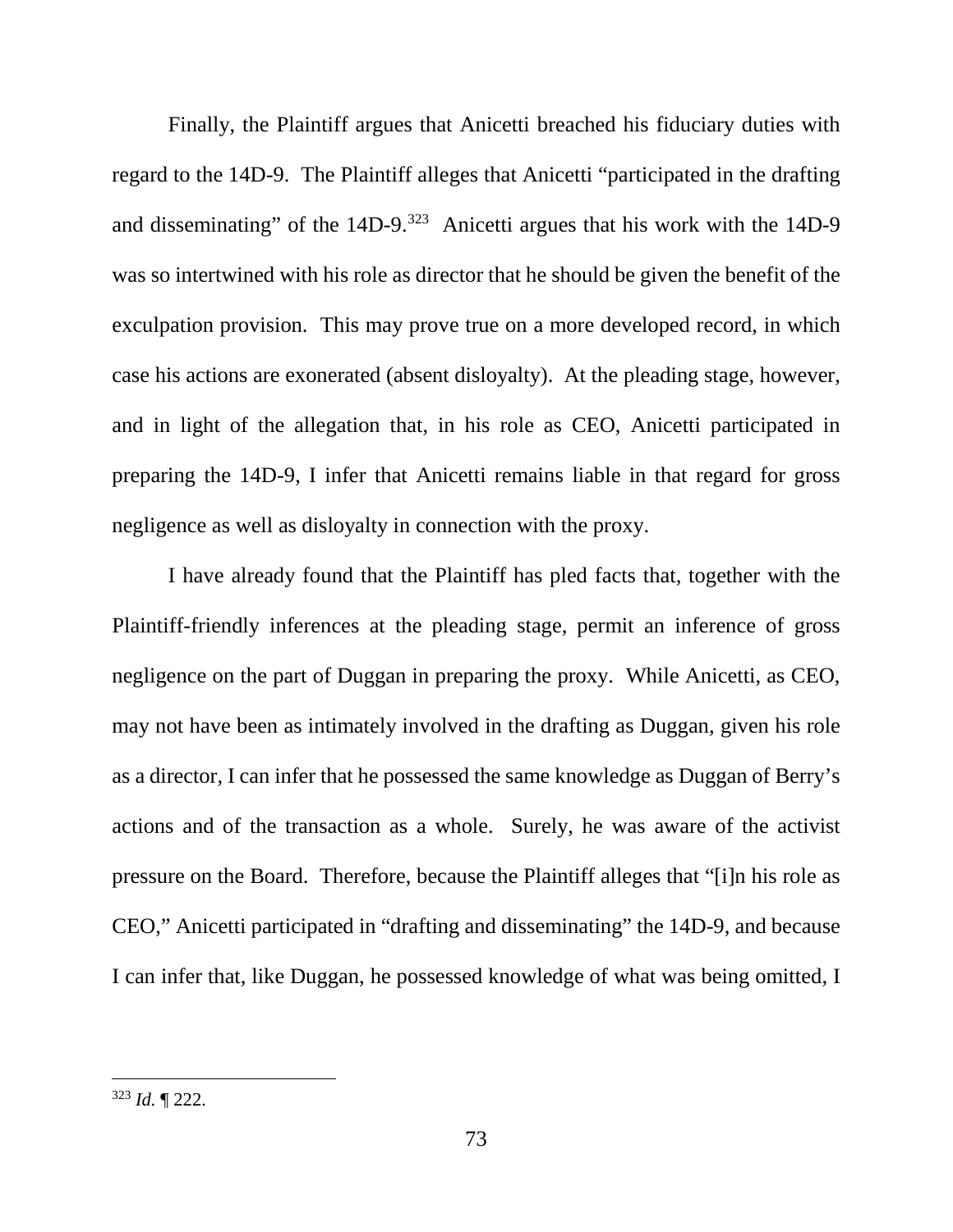Finally, the Plaintiff argues that Anicetti breached his fiduciary duties with regard to the 14D-9. The Plaintiff alleges that Anicetti "participated in the drafting and disseminating" of the  $14D-9.323$  Anicetti argues that his work with the  $14D-9$ was so intertwined with his role as director that he should be given the benefit of the exculpation provision. This may prove true on a more developed record, in which case his actions are exonerated (absent disloyalty). At the pleading stage, however, and in light of the allegation that, in his role as CEO, Anicetti participated in preparing the 14D-9, I infer that Anicetti remains liable in that regard for gross negligence as well as disloyalty in connection with the proxy.

I have already found that the Plaintiff has pled facts that, together with the Plaintiff-friendly inferences at the pleading stage, permit an inference of gross negligence on the part of Duggan in preparing the proxy. While Anicetti, as CEO, may not have been as intimately involved in the drafting as Duggan, given his role as a director, I can infer that he possessed the same knowledge as Duggan of Berry's actions and of the transaction as a whole. Surely, he was aware of the activist pressure on the Board. Therefore, because the Plaintiff alleges that "[i]n his role as CEO," Anicetti participated in "drafting and disseminating" the 14D-9, and because I can infer that, like Duggan, he possessed knowledge of what was being omitted, I

 <sup>323</sup> *Id.* ¶ 222.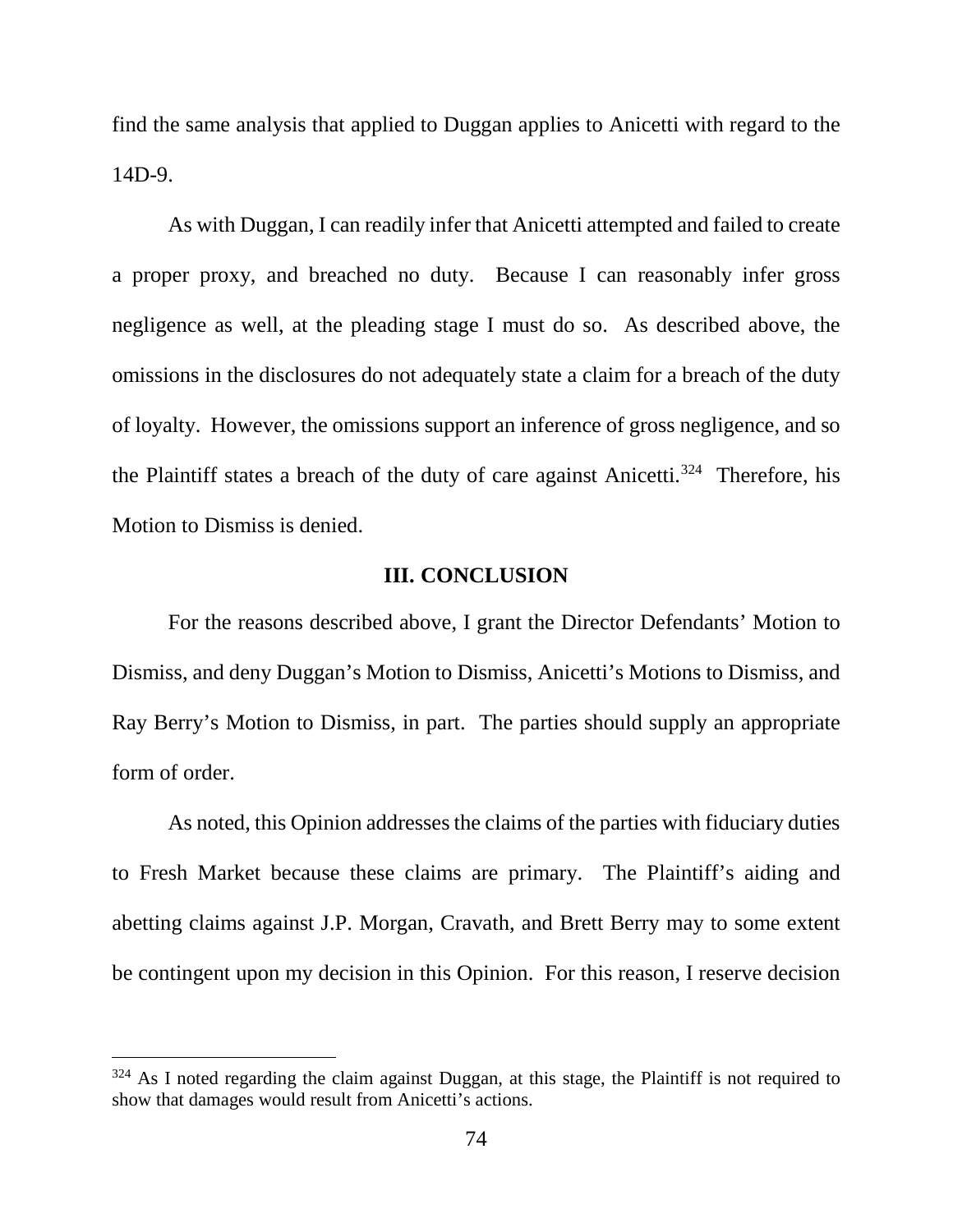find the same analysis that applied to Duggan applies to Anicetti with regard to the 14D-9.

As with Duggan, I can readily infer that Anicetti attempted and failed to create a proper proxy, and breached no duty. Because I can reasonably infer gross negligence as well, at the pleading stage I must do so. As described above, the omissions in the disclosures do not adequately state a claim for a breach of the duty of loyalty. However, the omissions support an inference of gross negligence, and so the Plaintiff states a breach of the duty of care against Anicetti.<sup>324</sup> Therefore, his Motion to Dismiss is denied.

## **III. CONCLUSION**

For the reasons described above, I grant the Director Defendants' Motion to Dismiss, and deny Duggan's Motion to Dismiss, Anicetti's Motions to Dismiss, and Ray Berry's Motion to Dismiss, in part. The parties should supply an appropriate form of order.

As noted, this Opinion addresses the claims of the parties with fiduciary duties to Fresh Market because these claims are primary. The Plaintiff's aiding and abetting claims against J.P. Morgan, Cravath, and Brett Berry may to some extent be contingent upon my decision in this Opinion. For this reason, I reserve decision

<sup>&</sup>lt;sup>324</sup> As I noted regarding the claim against Duggan, at this stage, the Plaintiff is not required to show that damages would result from Anicetti's actions.